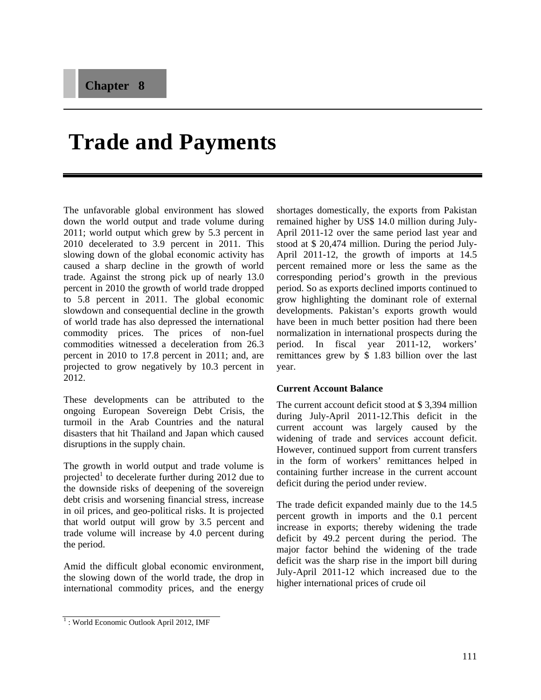# **Trade and Payments**

The unfavorable global environment has slowed down the world output and trade volume during 2011; world output which grew by 5.3 percent in 2010 decelerated to 3.9 percent in 2011. This slowing down of the global economic activity has caused a sharp decline in the growth of world trade. Against the strong pick up of nearly 13.0 percent in 2010 the growth of world trade dropped to 5.8 percent in 2011. The global economic slowdown and consequential decline in the growth of world trade has also depressed the international commodity prices. The prices of non-fuel commodities witnessed a deceleration from 26.3 percent in 2010 to 17.8 percent in 2011; and, are projected to grow negatively by 10.3 percent in 2012.

These developments can be attributed to the ongoing European Sovereign Debt Crisis, the turmoil in the Arab Countries and the natural disasters that hit Thailand and Japan which caused disruptions in the supply chain.

The growth in world output and trade volume is projected<sup>1</sup> to decelerate further during 2012 due to the downside risks of deepening of the sovereign debt crisis and worsening financial stress, increase in oil prices, and geo-political risks. It is projected that world output will grow by 3.5 percent and trade volume will increase by 4.0 percent during the period.

Amid the difficult global economic environment, the slowing down of the world trade, the drop in international commodity prices, and the energy

shortages domestically, the exports from Pakistan remained higher by US\$ 14.0 million during July-April 2011-12 over the same period last year and stood at \$ 20,474 million. During the period July-April 2011-12, the growth of imports at 14.5 percent remained more or less the same as the corresponding period's growth in the previous period. So as exports declined imports continued to grow highlighting the dominant role of external developments. Pakistan's exports growth would have been in much better position had there been normalization in international prospects during the period. In fiscal year 2011-12, workers' remittances grew by \$ 1.83 billion over the last year.

### **Current Account Balance**

The current account deficit stood at \$ 3,394 million during July-April 2011-12.This deficit in the current account was largely caused by the widening of trade and services account deficit. However, continued support from current transfers in the form of workers' remittances helped in containing further increase in the current account deficit during the period under review.

The trade deficit expanded mainly due to the 14.5 percent growth in imports and the 0.1 percent increase in exports; thereby widening the trade deficit by 49.2 percent during the period. The major factor behind the widening of the trade deficit was the sharp rise in the import bill during July-April 2011-12 which increased due to the higher international prices of crude oil

<sup>&</sup>lt;sup>1</sup>: World Economic Outlook April 2012, IMF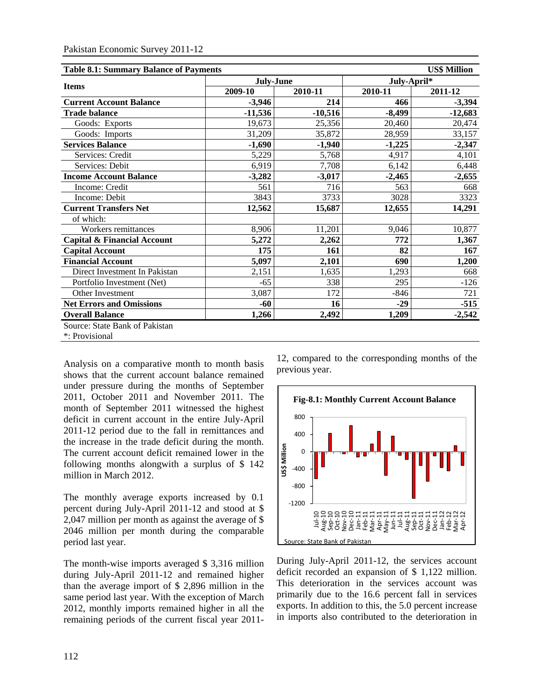| <b>US\$ Million</b><br><b>Table 8.1: Summary Balance of Payments</b> |           |           |             |           |  |  |  |  |  |  |
|----------------------------------------------------------------------|-----------|-----------|-------------|-----------|--|--|--|--|--|--|
|                                                                      | July-June |           | July-April* |           |  |  |  |  |  |  |
| <b>Items</b>                                                         | 2009-10   | 2010-11   | 2010-11     | 2011-12   |  |  |  |  |  |  |
| <b>Current Account Balance</b>                                       | $-3.946$  | 214       | 466         | $-3,394$  |  |  |  |  |  |  |
| <b>Trade balance</b>                                                 | $-11,536$ | $-10,516$ | $-8,499$    | $-12,683$ |  |  |  |  |  |  |
| Goods: Exports                                                       | 19,673    | 25,356    | 20,460      | 20,474    |  |  |  |  |  |  |
| Goods: Imports                                                       | 31,209    | 35,872    | 28,959      | 33,157    |  |  |  |  |  |  |
| <b>Services Balance</b>                                              | $-1,690$  | $-1,940$  | $-1,225$    | $-2,347$  |  |  |  |  |  |  |
| Services: Credit                                                     | 5,229     | 5,768     | 4,917       | 4,101     |  |  |  |  |  |  |
| Services: Debit                                                      | 6,919     | 7,708     | 6,142       | 6,448     |  |  |  |  |  |  |
| <b>Income Account Balance</b>                                        | $-3,282$  | $-3,017$  | $-2.465$    | $-2,655$  |  |  |  |  |  |  |
| Income: Credit                                                       | 561       | 716       | 563         | 668       |  |  |  |  |  |  |
| Income: Debit                                                        | 3843      | 3733      | 3028        | 3323      |  |  |  |  |  |  |
| <b>Current Transfers Net</b>                                         | 12,562    | 15,687    | 12,655      | 14,291    |  |  |  |  |  |  |
| of which:                                                            |           |           |             |           |  |  |  |  |  |  |
| Workers remittances                                                  | 8,906     | 11,201    | 9,046       | 10,877    |  |  |  |  |  |  |
| <b>Capital &amp; Financial Account</b>                               | 5,272     | 2,262     | 772         | 1,367     |  |  |  |  |  |  |
| <b>Capital Account</b>                                               | 175       | 161       | 82          | 167       |  |  |  |  |  |  |
| <b>Financial Account</b>                                             | 5,097     | 2,101     | 690         | 1,200     |  |  |  |  |  |  |
| Direct Investment In Pakistan                                        | 2,151     | 1,635     | 1,293       | 668       |  |  |  |  |  |  |
| Portfolio Investment (Net)                                           | $-65$     | 338       | 295         | $-126$    |  |  |  |  |  |  |
| Other Investment                                                     | 3,087     | 172       | $-846$      | 721       |  |  |  |  |  |  |
| <b>Net Errors and Omissions</b>                                      | -60       | 16        | $-29$       | $-515$    |  |  |  |  |  |  |
| <b>Overall Balance</b>                                               | 1,266     | 2,492     | 1,209       | $-2,542$  |  |  |  |  |  |  |
| Source: State Bank of Pakistan                                       |           |           |             |           |  |  |  |  |  |  |
| *: Provisional                                                       |           |           |             |           |  |  |  |  |  |  |

Analysis on a comparative month to month basis shows that the current account balance remained under pressure during the months of September 2011, October 2011 and November 2011. The month of September 2011 witnessed the highest deficit in current account in the entire July-April 2011-12 period due to the fall in remittances and the increase in the trade deficit during the month. The current account deficit remained lower in the following months alongwith a surplus of \$ 142 million in March 2012.

The monthly average exports increased by 0.1 percent during July-April 2011-12 and stood at \$ 2,047 million per month as against the average of \$ 2046 million per month during the comparable period last year.

The month-wise imports averaged \$ 3,316 million during July-April 2011-12 and remained higher than the average import of \$ 2,896 million in the same period last year. With the exception of March 2012, monthly imports remained higher in all the remaining periods of the current fiscal year 2011-

12, compared to the corresponding months of the previous year.



During July-April 2011-12, the services account deficit recorded an expansion of \$ 1,122 million. This deterioration in the services account was primarily due to the 16.6 percent fall in services exports. In addition to this, the 5.0 percent increase in imports also contributed to the deterioration in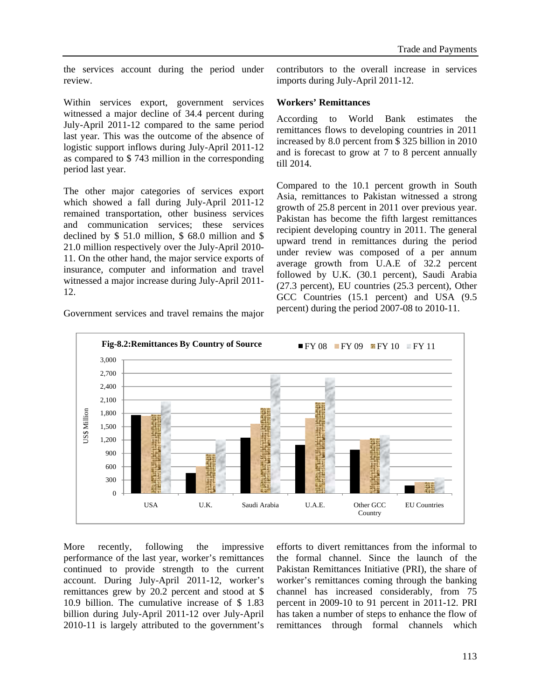the services account during the period under review.

contributors to the overall increase in services imports during July-April 2011-12.

### Within services export, government services witnessed a major decline of 34.4 percent during July-April 2011-12 compared to the same period last year. This was the outcome of the absence of logistic support inflows during July-April 2011-12 as compared to \$ 743 million in the corresponding period last year.

The other major categories of services export which showed a fall during July-April 2011-12 remained transportation, other business services and communication services; these services declined by \$ 51.0 million, \$ 68.0 million and \$ 21.0 million respectively over the July-April 2010- 11. On the other hand, the major service exports of insurance, computer and information and travel witnessed a major increase during July-April 2011- 12.

# **Workers' Remittances**

According to World Bank estimates the remittances flows to developing countries in 2011 increased by 8.0 percent from \$ 325 billion in 2010 and is forecast to grow at 7 to 8 percent annually till 2014.

Compared to the 10.1 percent growth in South Asia, remittances to Pakistan witnessed a strong growth of 25.8 percent in 2011 over previous year. Pakistan has become the fifth largest remittances recipient developing country in 2011. The general upward trend in remittances during the period under review was composed of a per annum average growth from U.A.E of 32.2 percent followed by U.K. (30.1 percent), Saudi Arabia (27.3 percent), EU countries (25.3 percent), Other GCC Countries (15.1 percent) and USA (9.5 percent) during the period 2007-08 to 2010-11.



Government services and travel remains the major

More recently, following the impressive performance of the last year, worker's remittances continued to provide strength to the current account. During July-April 2011-12, worker's remittances grew by 20.2 percent and stood at \$ 10.9 billion. The cumulative increase of \$ 1.83 billion during July-April 2011-12 over July-April 2010-11 is largely attributed to the government's

efforts to divert remittances from the informal to the formal channel. Since the launch of the Pakistan Remittances Initiative (PRI), the share of worker's remittances coming through the banking channel has increased considerably, from 75 percent in 2009-10 to 91 percent in 2011-12. PRI has taken a number of steps to enhance the flow of remittances through formal channels which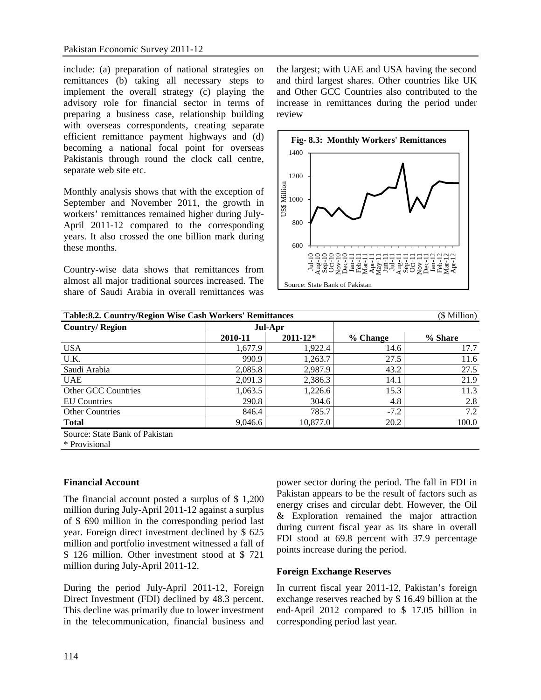include: (a) preparation of national strategies on remittances (b) taking all necessary steps to implement the overall strategy (c) playing the advisory role for financial sector in terms of preparing a business case, relationship building with overseas correspondents, creating separate efficient remittance payment highways and (d) becoming a national focal point for overseas Pakistanis through round the clock call centre, separate web site etc.

Monthly analysis shows that with the exception of September and November 2011, the growth in workers' remittances remained higher during July-April 2011-12 compared to the corresponding years. It also crossed the one billion mark during these months.

Country-wise data shows that remittances from almost all major traditional sources increased. The share of Saudi Arabia in overall remittances was

the largest; with UAE and USA having the second and third largest shares. Other countries like UK and Other GCC Countries also contributed to the increase in remittances during the period under review



| Table: 8.2. Country/Region Wise Cash Workers' Remittances<br>(\$ Million) |         |              |          |         |  |  |  |  |  |  |
|---------------------------------------------------------------------------|---------|--------------|----------|---------|--|--|--|--|--|--|
| <b>Country/Region</b>                                                     | Jul-Apr |              |          |         |  |  |  |  |  |  |
|                                                                           | 2010-11 | $2011 - 12*$ | % Change | % Share |  |  |  |  |  |  |
| <b>USA</b>                                                                | 1,677.9 | 1,922.4      | 14.6     | 17.7    |  |  |  |  |  |  |
| U.K.                                                                      | 990.9   | 1,263.7      | 27.5     | 11.6    |  |  |  |  |  |  |
| Saudi Arabia                                                              | 2,085.8 | 2,987.9      | 43.2     | 27.5    |  |  |  |  |  |  |
| <b>UAE</b>                                                                | 2,091.3 | 2,386.3      | 14.1     | 21.9    |  |  |  |  |  |  |
| Other GCC Countries                                                       | 1,063.5 | 1,226.6      | 15.3     | 11.3    |  |  |  |  |  |  |
| <b>EU</b> Countries                                                       | 290.8   | 304.6        | 4.8      | 2.8     |  |  |  |  |  |  |
| <b>Other Countries</b>                                                    | 846.4   | 785.7        | $-7.2$   | 7.2     |  |  |  |  |  |  |
| <b>Total</b>                                                              | 9,046.6 | 10,877.0     | 20.2     | 100.0   |  |  |  |  |  |  |
| Source: State Bank of Pakistan                                            |         |              |          |         |  |  |  |  |  |  |

\* Provisional

### **Financial Account**

The financial account posted a surplus of \$ 1,200 million during July-April 2011-12 against a surplus of \$ 690 million in the corresponding period last year. Foreign direct investment declined by \$ 625 million and portfolio investment witnessed a fall of \$ 126 million. Other investment stood at \$ 721 million during July-April 2011-12.

During the period July-April 2011-12, Foreign Direct Investment (FDI) declined by 48.3 percent. This decline was primarily due to lower investment in the telecommunication, financial business and power sector during the period. The fall in FDI in Pakistan appears to be the result of factors such as energy crises and circular debt. However, the Oil & Exploration remained the major attraction during current fiscal year as its share in overall FDI stood at 69.8 percent with 37.9 percentage points increase during the period.

### **Foreign Exchange Reserves**

In current fiscal year 2011-12, Pakistan's foreign exchange reserves reached by \$ 16.49 billion at the end-April 2012 compared to \$ 17.05 billion in corresponding period last year.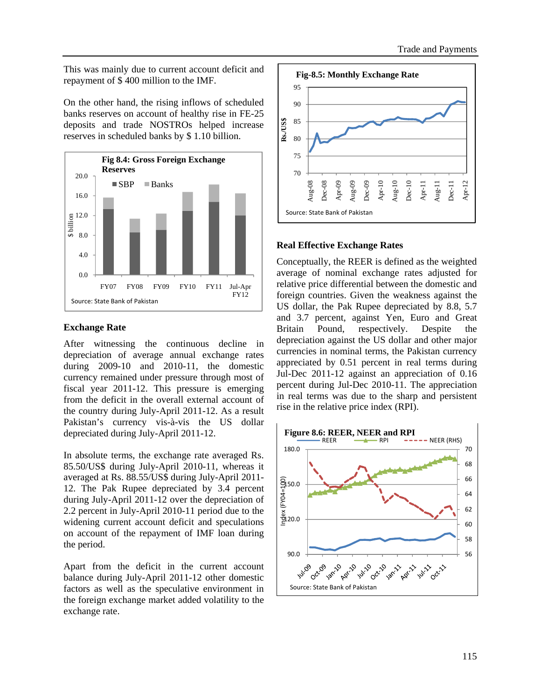This was mainly due to current account deficit and repayment of \$ 400 million to the IMF.

On the other hand, the rising inflows of scheduled banks reserves on account of healthy rise in FE-25 deposits and trade NOSTROs helped increase reserves in scheduled banks by \$ 1.10 billion.



### **Exchange Rate**

After witnessing the continuous decline in depreciation of average annual exchange rates during 2009-10 and 2010-11, the domestic currency remained under pressure through most of fiscal year 2011-12. This pressure is emerging from the deficit in the overall external account of the country during July-April 2011-12. As a result Pakistan's currency vis-à-vis the US dollar depreciated during July-April 2011-12.

In absolute terms, the exchange rate averaged Rs. 85.50/US\$ during July-April 2010-11, whereas it averaged at Rs. 88.55/US\$ during July-April 2011- 12. The Pak Rupee depreciated by 3.4 percent during July-April 2011-12 over the depreciation of 2.2 percent in July-April 2010-11 period due to the widening current account deficit and speculations on account of the repayment of IMF loan during the period.

Apart from the deficit in the current account balance during July-April 2011-12 other domestic factors as well as the speculative environment in the foreign exchange market added volatility to the exchange rate.



## **Real Effective Exchange Rates**

Conceptually, the REER is defined as the weighted average of nominal exchange rates adjusted for relative price differential between the domestic and foreign countries. Given the weakness against the US dollar, the Pak Rupee depreciated by 8.8, 5.7 and 3.7 percent, against Yen, Euro and Great Britain Pound, respectively. Despite depreciation against the US dollar and other major currencies in nominal terms, the Pakistan currency appreciated by 0.51 percent in real terms during Jul-Dec 2011-12 against an appreciation of 0.16 percent during Jul-Dec 2010-11. The appreciation in real terms was due to the sharp and persistent rise in the relative price index (RPI).

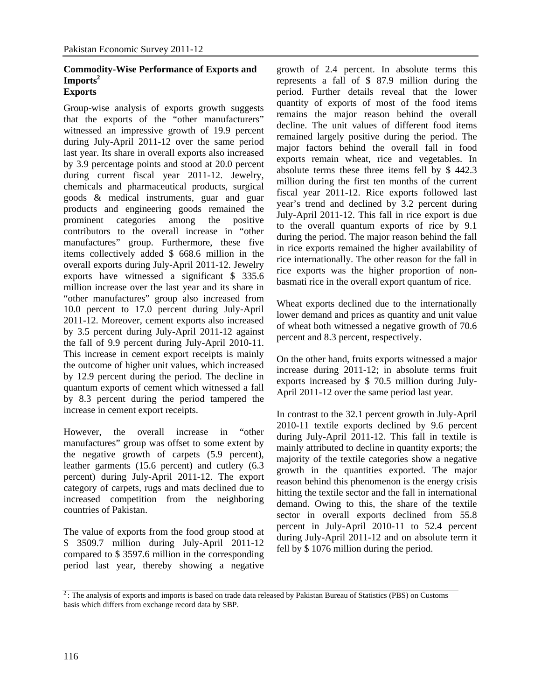### **Commodity-Wise Performance of Exports and Imports2 Exports**

Group-wise analysis of exports growth suggests that the exports of the "other manufacturers" witnessed an impressive growth of 19.9 percent during July-April 2011-12 over the same period last year. Its share in overall exports also increased by 3.9 percentage points and stood at 20.0 percent during current fiscal year 2011-12. Jewelry, chemicals and pharmaceutical products, surgical goods & medical instruments, guar and guar products and engineering goods remained the prominent categories among the positive contributors to the overall increase in "other manufactures" group. Furthermore, these five items collectively added \$ 668.6 million in the overall exports during July-April 2011-12. Jewelry exports have witnessed a significant \$ 335.6 million increase over the last year and its share in "other manufactures" group also increased from 10.0 percent to 17.0 percent during July-April 2011-12. Moreover, cement exports also increased by 3.5 percent during July-April 2011-12 against the fall of 9.9 percent during July-April 2010-11. This increase in cement export receipts is mainly the outcome of higher unit values, which increased by 12.9 percent during the period. The decline in quantum exports of cement which witnessed a fall by 8.3 percent during the period tampered the increase in cement export receipts.

However, the overall increase in "other manufactures" group was offset to some extent by the negative growth of carpets (5.9 percent), leather garments (15.6 percent) and cutlery (6.3 percent) during July-April 2011-12. The export category of carpets, rugs and mats declined due to increased competition from the neighboring countries of Pakistan.

The value of exports from the food group stood at \$ 3509.7 million during July-April 2011-12 compared to \$ 3597.6 million in the corresponding period last year, thereby showing a negative growth of 2.4 percent. In absolute terms this represents a fall of \$ 87.9 million during the period. Further details reveal that the lower quantity of exports of most of the food items remains the major reason behind the overall decline. The unit values of different food items remained largely positive during the period. The major factors behind the overall fall in food exports remain wheat, rice and vegetables. In absolute terms these three items fell by \$ 442.3 million during the first ten months of the current fiscal year 2011-12. Rice exports followed last year's trend and declined by 3.2 percent during July-April 2011-12. This fall in rice export is due to the overall quantum exports of rice by 9.1 during the period. The major reason behind the fall in rice exports remained the higher availability of rice internationally. The other reason for the fall in rice exports was the higher proportion of nonbasmati rice in the overall export quantum of rice.

Wheat exports declined due to the internationally lower demand and prices as quantity and unit value of wheat both witnessed a negative growth of 70.6 percent and 8.3 percent, respectively.

On the other hand, fruits exports witnessed a major increase during 2011-12; in absolute terms fruit exports increased by \$ 70.5 million during July-April 2011-12 over the same period last year.

In contrast to the 32.1 percent growth in July-April 2010-11 textile exports declined by 9.6 percent during July-April 2011-12. This fall in textile is mainly attributed to decline in quantity exports; the majority of the textile categories show a negative growth in the quantities exported. The major reason behind this phenomenon is the energy crisis hitting the textile sector and the fall in international demand. Owing to this, the share of the textile sector in overall exports declined from 55.8 percent in July-April 2010-11 to 52.4 percent during July-April 2011-12 and on absolute term it fell by \$ 1076 million during the period.

 $2$ : The analysis of exports and imports is based on trade data released by Pakistan Bureau of Statistics (PBS) on Customs basis which differs from exchange record data by SBP.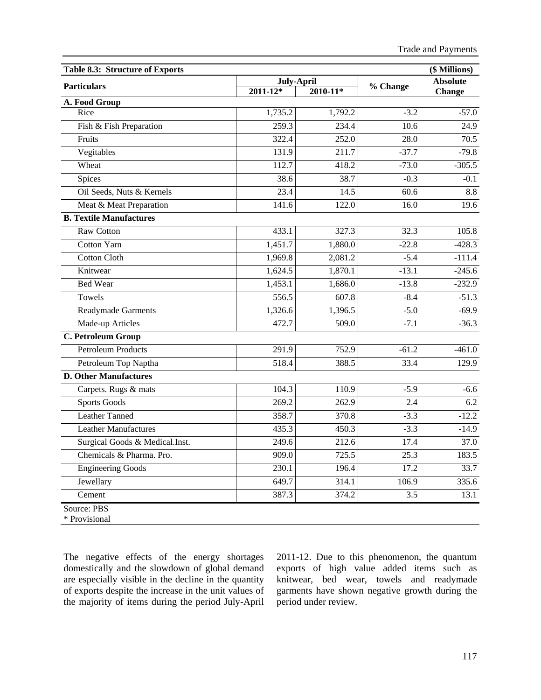| Table 8.3: Structure of Exports |                   |              |                   | (\$ Millions)   |
|---------------------------------|-------------------|--------------|-------------------|-----------------|
| <b>Particulars</b>              | <b>July-April</b> |              | % Change          | <b>Absolute</b> |
|                                 | $2011 - 12*$      | $2010 - 11*$ |                   | <b>Change</b>   |
| A. Food Group<br>Rice           | 1,735.2           | 1,792.2      | $-3.2$            | $-57.0$         |
| Fish & Fish Preparation         | 259.3             | 234.4        | 10.6              | 24.9            |
| Fruits                          | 322.4             | 252.0        | 28.0              | 70.5            |
| Vegitables                      | 131.9             | 211.7        | $-37.7$           | $-79.8$         |
| Wheat                           | 112.7             | 418.2        | $-73.0$           | $-305.5$        |
| Spices                          | 38.6              | 38.7         | $-0.3$            | $-0.1$          |
| Oil Seeds, Nuts & Kernels       | 23.4              | 14.5         | 60.6              | 8.8             |
| Meat & Meat Preparation         | 141.6             | 122.0        | 16.0              | 19.6            |
| <b>B. Textile Manufactures</b>  |                   |              |                   |                 |
| Raw Cotton                      | 433.1             | 327.3        | 32.3              | 105.8           |
| <b>Cotton Yarn</b>              | 1,451.7           | 1,880.0      | $-22.8$           | $-428.3$        |
| <b>Cotton Cloth</b>             | 1,969.8           | 2,081.2      | $-5.4$            | $-111.4$        |
| Knitwear                        | 1,624.5           | 1,870.1      | $-13.1$           | $-245.6$        |
| <b>Bed Wear</b>                 | 1,453.1           | 1,686.0      | $-13.8$           | $-232.9$        |
| Towels                          | 556.5             | 607.8        | $-8.4$            | $-51.3$         |
| Readymade Garments              | 1,326.6           | 1,396.5      | $-5.0$            | $-69.9$         |
| Made-up Articles                | 472.7             | 509.0        | $-7.1$            | $-36.3$         |
| C. Petroleum Group              |                   |              |                   |                 |
| <b>Petroleum Products</b>       | 291.9             | 752.9        | $-61.2$           | $-461.0$        |
| Petroleum Top Naptha            | 518.4             | 388.5        | 33.4              | 129.9           |
| <b>D. Other Manufactures</b>    |                   |              |                   |                 |
| Carpets. Rugs & mats            | 104.3             | 110.9        | $-5.9$            | $-6.6$          |
| <b>Sports Goods</b>             | 269.2             | 262.9        | 2.4               | 6.2             |
| <b>Leather Tanned</b>           | 358.7             | 370.8        | $-3.3$            | $-12.2$         |
| <b>Leather Manufactures</b>     | 435.3             | 450.3        | $-3.3$            | $-14.9$         |
| Surgical Goods & Medical.Inst.  | 249.6             | 212.6        | 17.4              | 37.0            |
| Chemicals & Pharma. Pro.        | 909.0             | 725.5        | $\overline{25.3}$ | 183.5           |
| <b>Engineering Goods</b>        | 230.1             | 196.4        | 17.2              | 33.7            |
| Jewellary                       | 649.7             | 314.1        | 106.9             | 335.6           |
| Cement                          | 387.3             | 374.2        | $\overline{3.5}$  | 13.1            |

The negative effects of the energy shortages domestically and the slowdown of global demand are especially visible in the decline in the quantity of exports despite the increase in the unit values of the majority of items during the period July-April

2011-12. Due to this phenomenon, the quantum exports of high value added items such as knitwear, bed wear, towels and readymade garments have shown negative growth during the period under review.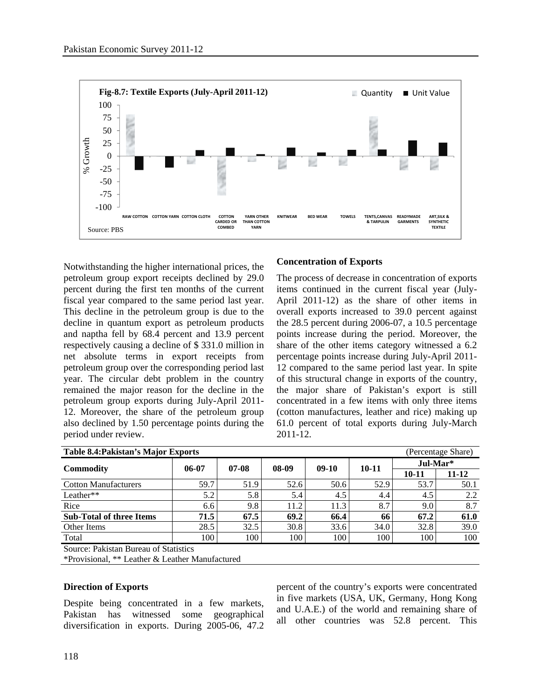

Notwithstanding the higher international prices, the petroleum group export receipts declined by 29.0 percent during the first ten months of the current fiscal year compared to the same period last year. This decline in the petroleum group is due to the decline in quantum export as petroleum products and naptha fell by 68.4 percent and 13.9 percent respectively causing a decline of \$ 331.0 million in net absolute terms in export receipts from petroleum group over the corresponding period last year. The circular debt problem in the country remained the major reason for the decline in the petroleum group exports during July-April 2011- 12. Moreover, the share of the petroleum group also declined by 1.50 percentage points during the period under review.

### **Concentration of Exports**

The process of decrease in concentration of exports items continued in the current fiscal year (July-April 2011-12) as the share of other items in overall exports increased to 39.0 percent against the 28.5 percent during 2006-07, a 10.5 percentage points increase during the period. Moreover, the share of the other items category witnessed a 6.2 percentage points increase during July-April 2011- 12 compared to the same period last year. In spite of this structural change in exports of the country, the major share of Pakistan's export is still concentrated in a few items with only three items (cotton manufactures, leather and rice) making up 61.0 percent of total exports during July-March 2011-12.

| Table 8.4: Pakistan's Major Exports             |         |         |       |         |           |            | (Percentage Share) |  |
|-------------------------------------------------|---------|---------|-------|---------|-----------|------------|--------------------|--|
|                                                 | $06-07$ | $07-08$ | 08-09 | $09-10$ | $10 - 11$ | $Jul-Mar*$ |                    |  |
| Commodity                                       |         |         |       |         |           | $10 - 11$  | 11-12              |  |
| <b>Cotton Manufacturers</b>                     | 59.7    | 51.9    | 52.6  | 50.6    | 52.9      | 53.7       | 50.1               |  |
| Leather**                                       | 5.2     | 5.8     | 5.4   | 4.5     | 4.4       | 4.5        | 2.2                |  |
| Rice                                            | 6.6     | 9.8     | 11.2  | 11.3    | 8.7       | 9.0        | 8.7                |  |
| <b>Sub-Total of three Items</b>                 | 71.5    | 67.5    | 69.2  | 66.4    | 66        | 67.2       | 61.0               |  |
| Other Items                                     | 28.5    | 32.5    | 30.8  | 33.6    | 34.0      | 32.8       | 39.0               |  |
| Total                                           | 100     | 100     | 100   | 100     | 100       | 100        | 100                |  |
| Source: Pakistan Bureau of Statistics           |         |         |       |         |           |            |                    |  |
| *Provisional, ** Leather & Leather Manufactured |         |         |       |         |           |            |                    |  |

### **Direction of Exports**

Despite being concentrated in a few markets, Pakistan has witnessed some geographical diversification in exports. During 2005-06, 47.2 percent of the country's exports were concentrated in five markets (USA, UK, Germany, Hong Kong and U.A.E.) of the world and remaining share of all other countries was 52.8 percent. This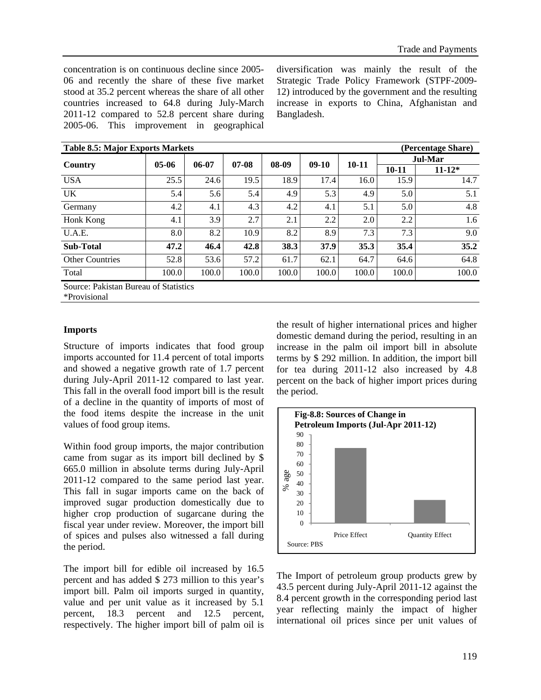concentration is on continuous decline since 2005- 06 and recently the share of these five market stood at 35.2 percent whereas the share of all other countries increased to 64.8 during July-March 2011-12 compared to 52.8 percent share during 2005-06. This improvement in geographical diversification was mainly the result of the Strategic Trade Policy Framework (STPF-2009- 12) introduced by the government and the resulting increase in exports to China, Afghanistan and Bangladesh.

| <b>Table 8.5: Major Exports Markets</b> |         |         |         |       |         |           |           | (Percentage Share) |  |
|-----------------------------------------|---------|---------|---------|-------|---------|-----------|-----------|--------------------|--|
|                                         |         |         | $07-08$ |       |         |           | Jul-Mar   |                    |  |
| Country                                 | $05-06$ | $06-07$ |         | 08-09 | $09-10$ | $10 - 11$ | $10 - 11$ | $11 - 12*$         |  |
| <b>USA</b>                              | 25.5    | 24.6    | 19.5    | 18.9  | 17.4    | 16.0      | 15.9      | 14.7               |  |
| <b>UK</b>                               | 5.4     | 5.6     | 5.4     | 4.9   | 5.3     | 4.9       | 5.0       | 5.1                |  |
| Germany                                 | 4.2     | 4.1     | 4.3     | 4.2   | 4.1     | 5.1       | 5.0       | 4.8                |  |
| Honk Kong                               | 4.1     | 3.9     | 2.7     | 2.1   | 2.2     | 2.0       | 2.2       | 1.6                |  |
| U.A.E.                                  | 8.0     | 8.2     | 10.9    | 8.2   | 8.9     | 7.3       | 7.3       | 9.0                |  |
| <b>Sub-Total</b>                        | 47.2    | 46.4    | 42.8    | 38.3  | 37.9    | 35.3      | 35.4      | 35.2               |  |
| <b>Other Countries</b>                  | 52.8    | 53.6    | 57.2    | 61.7  | 62.1    | 64.7      | 64.6      | 64.8               |  |
| Total                                   | 100.0   | 100.0   | 100.0   | 100.0 | 100.0   | 100.0     | 100.0     | 100.0              |  |

\*Provisional

### **Imports**

Structure of imports indicates that food group imports accounted for 11.4 percent of total imports and showed a negative growth rate of 1.7 percent during July-April 2011-12 compared to last year. This fall in the overall food import bill is the result of a decline in the quantity of imports of most of the food items despite the increase in the unit values of food group items.

Within food group imports, the major contribution came from sugar as its import bill declined by \$ 665.0 million in absolute terms during July-April 2011-12 compared to the same period last year. This fall in sugar imports came on the back of improved sugar production domestically due to higher crop production of sugarcane during the fiscal year under review. Moreover, the import bill of spices and pulses also witnessed a fall during the period.

The import bill for edible oil increased by 16.5 percent and has added \$ 273 million to this year's import bill. Palm oil imports surged in quantity, value and per unit value as it increased by 5.1 percent, 18.3 percent and 12.5 percent, respectively. The higher import bill of palm oil is the result of higher international prices and higher domestic demand during the period, resulting in an increase in the palm oil import bill in absolute terms by \$ 292 million. In addition, the import bill for tea during 2011-12 also increased by 4.8 percent on the back of higher import prices during the period.



The Import of petroleum group products grew by 43.5 percent during July-April 2011-12 against the 8.4 percent growth in the corresponding period last year reflecting mainly the impact of higher international oil prices since per unit values of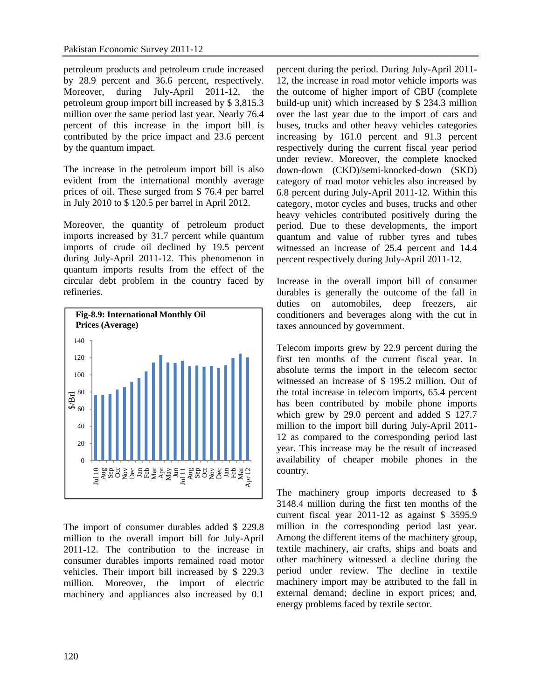petroleum products and petroleum crude increased by 28.9 percent and 36.6 percent, respectively. Moreover, during July-April 2011-12, the petroleum group import bill increased by \$ 3,815.3 million over the same period last year. Nearly 76.4 percent of this increase in the import bill is contributed by the price impact and 23.6 percent by the quantum impact.

The increase in the petroleum import bill is also evident from the international monthly average prices of oil. These surged from \$ 76.4 per barrel in July 2010 to \$ 120.5 per barrel in April 2012.

Moreover, the quantity of petroleum product imports increased by 31.7 percent while quantum imports of crude oil declined by 19.5 percent during July-April 2011-12. This phenomenon in quantum imports results from the effect of the circular debt problem in the country faced by refineries.



The import of consumer durables added \$ 229.8 million to the overall import bill for July-April 2011-12. The contribution to the increase in consumer durables imports remained road motor vehicles. Their import bill increased by \$ 229.3 million. Moreover, the import of electric machinery and appliances also increased by 0.1 percent during the period. During July-April 2011- 12, the increase in road motor vehicle imports was the outcome of higher import of CBU (complete build-up unit) which increased by \$ 234.3 million over the last year due to the import of cars and buses, trucks and other heavy vehicles categories increasing by 161.0 percent and 91.3 percent respectively during the current fiscal year period under review. Moreover, the complete knocked down-down (CKD)/semi-knocked-down (SKD) category of road motor vehicles also increased by 6.8 percent during July-April 2011-12. Within this category, motor cycles and buses, trucks and other heavy vehicles contributed positively during the period. Due to these developments, the import quantum and value of rubber tyres and tubes witnessed an increase of 25.4 percent and 14.4 percent respectively during July-April 2011-12.

Increase in the overall import bill of consumer durables is generally the outcome of the fall in duties on automobiles, deep freezers, air conditioners and beverages along with the cut in taxes announced by government.

Telecom imports grew by 22.9 percent during the first ten months of the current fiscal year. In absolute terms the import in the telecom sector witnessed an increase of \$ 195.2 million. Out of the total increase in telecom imports, 65.4 percent has been contributed by mobile phone imports which grew by 29.0 percent and added \$ 127.7 million to the import bill during July-April 2011- 12 as compared to the corresponding period last year. This increase may be the result of increased availability of cheaper mobile phones in the country.

The machinery group imports decreased to \$ 3148.4 million during the first ten months of the current fiscal year 2011-12 as against \$ 3595.9 million in the corresponding period last year. Among the different items of the machinery group, textile machinery, air crafts, ships and boats and other machinery witnessed a decline during the period under review. The decline in textile machinery import may be attributed to the fall in external demand; decline in export prices; and, energy problems faced by textile sector.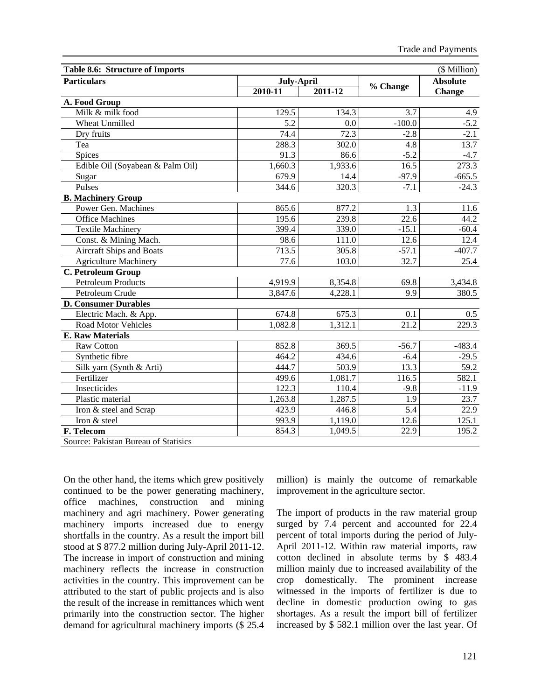| Table 8.6: Structure of Imports      |                   |             |          | (\$ Million)    |
|--------------------------------------|-------------------|-------------|----------|-----------------|
| <b>Particulars</b>                   | July-April        |             |          | <b>Absolute</b> |
|                                      | $2010 - 11$       | $2011 - 12$ | % Change | <b>Change</b>   |
| A. Food Group                        |                   |             |          |                 |
| Milk & milk food                     | 129.5             | 134.3       | 3.7      | 4.9             |
| <b>Wheat Unmilled</b>                | 5.2               | 0.0         | $-100.0$ | $-5.2$          |
| Dry fruits                           | 74.4              | 72.3        | $-2.8$   | $-2.1$          |
| Tea                                  | 288.3             | 302.0       | 4.8      | 13.7            |
| Spices                               | 91.3              | 86.6        | $-5.2$   | $-4.7$          |
| Edible Oil (Soyabean & Palm Oil)     | 1,660.3           | 1,933.6     | 16.5     | 273.3           |
| Sugar                                | 679.9             | 14.4        | $-97.9$  | $-665.5$        |
| Pulses                               | 344.6             | 320.3       | $-7.1$   | $-24.3$         |
| <b>B. Machinery Group</b>            |                   |             |          |                 |
| Power Gen. Machines                  | 865.6             | 877.2       | 1.3      | 11.6            |
| <b>Office Machines</b>               | 195.6             | 239.8       | 22.6     | 44.2            |
| <b>Textile Machinery</b>             | 399.4             | 339.0       | $-15.1$  | $-60.4$         |
| Const. & Mining Mach.                | 98.6              | 111.0       | 12.6     | 12.4            |
| <b>Aircraft Ships and Boats</b>      | 713.5             | 305.8       | $-57.1$  | $-407.7$        |
| <b>Agriculture Machinery</b>         | $\overline{77.6}$ | 103.0       | 32.7     | 25.4            |
| C. Petroleum Group                   |                   |             |          |                 |
| <b>Petroleum Products</b>            | 4,919.9           | 8,354.8     | 69.8     | 3,434.8         |
| Petroleum Crude                      | 3,847.6           | 4,228.1     | 9.9      | 380.5           |
| <b>D. Consumer Durables</b>          |                   |             |          |                 |
| Electric Mach. & App.                | 674.8             | 675.3       | 0.1      | 0.5             |
| <b>Road Motor Vehicles</b>           | 1,082.8           | 1,312.1     | 21.2     | 229.3           |
| <b>E. Raw Materials</b>              |                   |             |          |                 |
| <b>Raw Cotton</b>                    | 852.8             | 369.5       | $-56.7$  | $-483.4$        |
| Synthetic fibre                      | 464.2             | 434.6       | $-6.4$   | $-29.5$         |
| Silk yarn (Synth & Arti)             | 444.7             | 503.9       | 13.3     | 59.2            |
| Fertilizer                           | 499.6             | 1,081.7     | 116.5    | 582.1           |
| Insecticides                         | 122.3             | 110.4       | $-9.8$   | $-11.9$         |
| Plastic material                     | 1,263.8           | 1,287.5     | 1.9      | 23.7            |
| Iron & steel and Scrap               | 423.9             | 446.8       | 5.4      | 22.9            |
| Iron & steel                         | 993.9             | 1,119.0     | 12.6     | 125.1           |
| F. Telecom                           | 854.3             | 1,049.5     | 22.9     | 195.2           |
| Source: Pakistan Bureau of Statisics |                   |             |          |                 |

On the other hand, the items which grew positively continued to be the power generating machinery, office machines, construction and mining machinery and agri machinery. Power generating machinery imports increased due to energy shortfalls in the country. As a result the import bill stood at \$ 877.2 million during July-April 2011-12. The increase in import of construction and mining machinery reflects the increase in construction activities in the country. This improvement can be attributed to the start of public projects and is also the result of the increase in remittances which went primarily into the construction sector. The higher demand for agricultural machinery imports (\$ 25.4 million) is mainly the outcome of remarkable improvement in the agriculture sector.

The import of products in the raw material group surged by 7.4 percent and accounted for 22.4 percent of total imports during the period of July-April 2011-12. Within raw material imports, raw cotton declined in absolute terms by \$ 483.4 million mainly due to increased availability of the crop domestically. The prominent increase witnessed in the imports of fertilizer is due to decline in domestic production owing to gas shortages. As a result the import bill of fertilizer increased by \$ 582.1 million over the last year. Of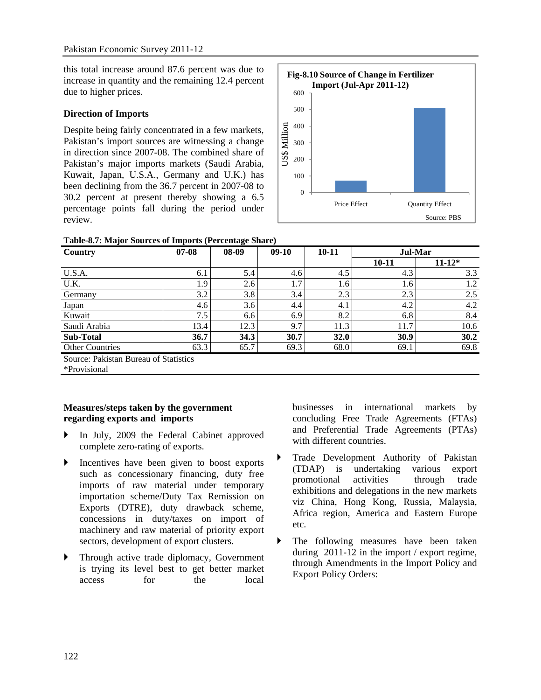this total increase around 87.6 percent was due to increase in quantity and the remaining 12.4 percent due to higher prices.

### **Direction of Imports**

Despite being fairly concentrated in a few markets, Pakistan's import sources are witnessing a change in direction since 2007-08. The combined share of Pakistan's major imports markets (Saudi Arabia, Kuwait, Japan, U.S.A., Germany and U.K.) has been declining from the 36.7 percent in 2007-08 to 30.2 percent at present thereby showing a 6.5 percentage points fall during the period under review.



| Country                               | $07-08$ | 08-09 | $09-10$ | $10 - 11$ | Jul-Mar   |            |  |  |
|---------------------------------------|---------|-------|---------|-----------|-----------|------------|--|--|
|                                       |         |       |         |           | $10 - 11$ | $11 - 12*$ |  |  |
| U.S.A.                                | 6.1     | 5.4   | 4.6     | 4.5       | 4.3       | 3.3        |  |  |
| U.K.                                  | 1.9     | 2.6   | 1.7     | 1.6       | 1.6       | 1.2        |  |  |
| Germany                               | 3.2     | 3.8   | 3.4     | 2.3       | 2.3       | 2.5        |  |  |
| Japan                                 | 4.6     | 3.6   | 4.4     | 4.1       | 4.2       | 4.2        |  |  |
| Kuwait                                | 7.5     | 6.6   | 6.9     | 8.2       | 6.8       | 8.4        |  |  |
| Saudi Arabia                          | 13.4    | 12.3  | 9.7     | 11.3      | 11.7      | 10.6       |  |  |
| <b>Sub-Total</b>                      | 36.7    | 34.3  | 30.7    | 32.0      | 30.9      | 30.2       |  |  |
| <b>Other Countries</b>                | 63.3    | 65.7  | 69.3    | 68.0      | 69.1      | 69.8       |  |  |
| Source: Pakistan Bureau of Statistics |         |       |         |           |           |            |  |  |
| *Provisional                          |         |       |         |           |           |            |  |  |

## **Measures/steps taken by the government regarding exports and imports**

- ` In July, 2009 the Federal Cabinet approved complete zero-rating of exports.
- $\triangleright$  Incentives have been given to boost exports such as concessionary financing, duty free imports of raw material under temporary importation scheme/Duty Tax Remission on Exports (DTRE), duty drawback scheme, concessions in duty/taxes on import of machinery and raw material of priority export sectors, development of export clusters.
- ` Through active trade diplomacy, Government is trying its level best to get better market access for the local

businesses in international markets by concluding Free Trade Agreements (FTAs) and Preferential Trade Agreements (PTAs) with different countries.

- ` Trade Development Authority of Pakistan (TDAP) is undertaking various export promotional activities through trade exhibitions and delegations in the new markets viz China, Hong Kong, Russia, Malaysia, Africa region, America and Eastern Europe etc.
- The following measures have been taken during 2011-12 in the import / export regime, through Amendments in the Import Policy and Export Policy Orders: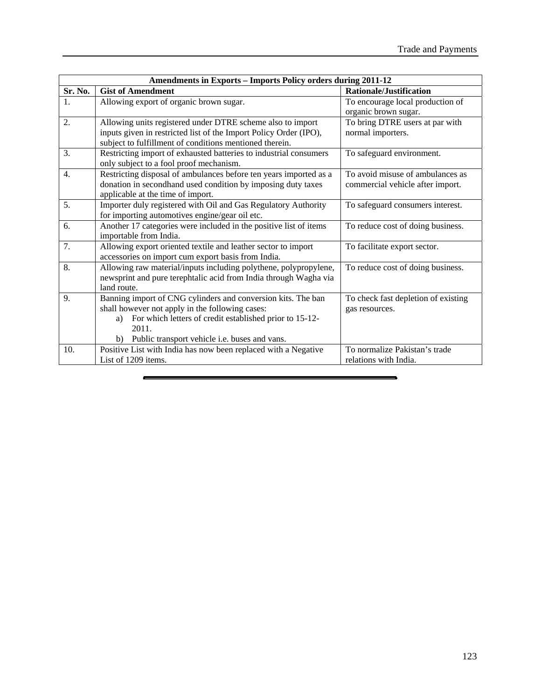|         | <b>Amendments in Exports - Imports Policy orders during 2011-12</b> |                                     |
|---------|---------------------------------------------------------------------|-------------------------------------|
| Sr. No. | <b>Gist of Amendment</b>                                            | <b>Rationale/Justification</b>      |
| 1.      | Allowing export of organic brown sugar.                             | To encourage local production of    |
|         |                                                                     | organic brown sugar.                |
| 2.      | Allowing units registered under DTRE scheme also to import          | To bring DTRE users at par with     |
|         | inputs given in restricted list of the Import Policy Order (IPO),   | normal importers.                   |
|         | subject to fulfillment of conditions mentioned therein.             |                                     |
| 3.      | Restricting import of exhausted batteries to industrial consumers   | To safeguard environment.           |
|         | only subject to a fool proof mechanism.                             |                                     |
| 4.      | Restricting disposal of ambulances before ten years imported as a   | To avoid misuse of ambulances as    |
|         | donation in secondhand used condition by imposing duty taxes        | commercial vehicle after import.    |
|         | applicable at the time of import.                                   |                                     |
| 5.      | Importer duly registered with Oil and Gas Regulatory Authority      | To safeguard consumers interest.    |
|         | for importing automotives engine/gear oil etc.                      |                                     |
| 6.      | Another 17 categories were included in the positive list of items   | To reduce cost of doing business.   |
|         | importable from India.                                              |                                     |
| 7.      | Allowing export oriented textile and leather sector to import       | To facilitate export sector.        |
|         | accessories on import cum export basis from India.                  |                                     |
| 8.      | Allowing raw material/inputs including polythene, polypropylene,    | To reduce cost of doing business.   |
|         | newsprint and pure terephtalic acid from India through Wagha via    |                                     |
|         | land route.                                                         |                                     |
| 9.      | Banning import of CNG cylinders and conversion kits. The ban        | To check fast depletion of existing |
|         | shall however not apply in the following cases:                     | gas resources.                      |
|         | For which letters of credit established prior to 15-12-<br>a)       |                                     |
|         | 2011.                                                               |                                     |
|         | b) Public transport vehicle i.e. buses and vans.                    |                                     |
| 10.     | Positive List with India has now been replaced with a Negative      | To normalize Pakistan's trade       |
|         | List of 1209 items.                                                 | relations with India.               |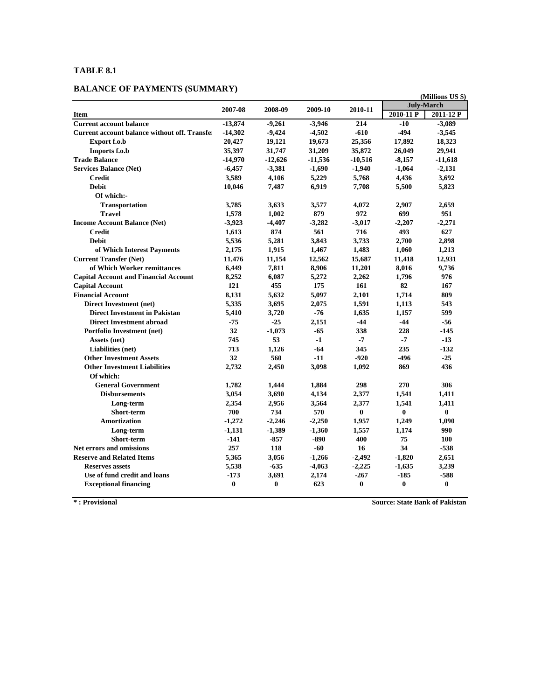# **BALANCE OF PAYMENTS (SUMMARY)**

|                                                       |           |           |           |           |                   | (Millions US \$) |
|-------------------------------------------------------|-----------|-----------|-----------|-----------|-------------------|------------------|
|                                                       | 2007-08   | 2008-09   | 2009-10   | 2010-11   | <b>July-March</b> |                  |
| <b>Item</b>                                           |           |           |           |           | $2010 - 11P$      | 2011-12 P        |
| <b>Current account balance</b>                        | $-13,874$ | $-9,261$  | $-3,946$  | 214       | $-10$             | $-3,089$         |
| <b>Current account balance without off. Transfell</b> | $-14,302$ | $-9,424$  | $-4,502$  | $-610$    | $-494$            | $-3,545$         |
| Export f.o.b                                          | 20,427    | 19,121    | 19,673    | 25,356    | 17,892            | 18,323           |
| Imports f.o.b                                         | 35,397    | 31,747    | 31,209    | 35,872    | 26,049            | 29,941           |
| <b>Trade Balance</b>                                  | $-14,970$ | $-12,626$ | $-11,536$ | $-10,516$ | $-8,157$          | $-11,618$        |
| <b>Services Balance (Net)</b>                         | $-6,457$  | $-3,381$  | $-1,690$  | $-1,940$  | $-1,064$          | $-2,131$         |
| <b>Credit</b>                                         | 3,589     | 4,106     | 5,229     | 5,768     | 4,436             | 3,692            |
| <b>Debit</b>                                          | 10,046    | 7,487     | 6,919     | 7,708     | 5,500             | 5,823            |
| Of which:-                                            |           |           |           |           |                   |                  |
| <b>Transportation</b>                                 | 3,785     | 3,633     | 3,577     | 4,072     | 2,907             | 2,659            |
| <b>Travel</b>                                         | 1,578     | 1,002     | 879       | 972       | 699               | 951              |
| <b>Income Account Balance (Net)</b>                   | $-3,923$  | $-4,407$  | $-3,282$  | $-3,017$  | $-2,207$          | $-2,271$         |
| <b>Credit</b>                                         | 1,613     | 874       | 561       | 716       | 493               | 627              |
| <b>Debit</b>                                          | 5.536     | 5,281     | 3.843     | 3.733     | 2,700             | 2,898            |
| of Which Interest Payments                            | 2.175     | 1,915     | 1,467     | 1,483     | 1,060             | 1,213            |
| <b>Current Transfer (Net)</b>                         | 11,476    | 11,154    | 12,562    | 15,687    | 11,418            | 12,931           |
| of Which Worker remittances                           | 6,449     | 7,811     | 8,906     | 11,201    | 8,016             | 9,736            |
| <b>Capital Account and Financial Account</b>          | 8,252     | 6,087     | 5,272     | 2,262     | 1,796             | 976              |
| <b>Capital Account</b>                                | 121       | 455       | 175       | 161       | 82                | 167              |
| <b>Financial Account</b>                              | 8,131     | 5,632     | 5,097     | 2,101     | 1,714             | 809              |
| Direct Investment (net)                               | 5,335     | 3,695     | 2,075     | 1,591     | 1,113             | 543              |
| <b>Direct Investment in Pakistan</b>                  | 5,410     | 3,720     | -76       | 1,635     | 1.157             | 599              |
| <b>Direct Investment abroad</b>                       | $-75$     | $-25$     | 2.151     | $-44$     | $-44$             | -56              |
| <b>Portfolio Investment (net)</b>                     | 32        | $-1,073$  | -65       | 338       | 228               | $-145$           |
| Assets (net)                                          | 745       | 53        | $-1$      | $-7$      | -7                | $-13$            |
| Liabilities (net)                                     | 713       | 1,126     | -64       | 345       | 235               | $-132$           |
| <b>Other Investment Assets</b>                        | 32        | 560       | $-11$     | $-920$    | -496              | $-25$            |
| <b>Other Investment Liabilities</b>                   | 2,732     | 2,450     | 3,098     | 1,092     | 869               | 436              |
| Of which:                                             |           |           |           |           |                   |                  |
| <b>General Government</b>                             | 1,782     | 1,444     | 1.884     | 298       | 270               | 306              |
| <b>Disbursements</b>                                  | 3,054     | 3,690     | 4,134     | 2,377     | 1,541             | 1,411            |
| Long-term                                             | 2,354     | 2,956     | 3,564     | 2,377     | 1.541             | 1,411            |
| Short-term                                            | 700       | 734       | 570       | $\bf{0}$  | $\bf{0}$          | $\bf{0}$         |
| Amortization                                          | $-1,272$  | $-2,246$  | $-2,250$  | 1,957     | 1,249             | 1,090            |
| Long-term                                             | $-1,131$  | $-1,389$  | $-1,360$  | 1,557     | 1,174             | 990              |
| Short-term                                            | $-141$    | $-857$    | $-890$    | 400       | 75                | 100              |
| <b>Net errors and omissions</b>                       | 257       | 118       | $-60$     | 16        | 34                | $-538$           |
| <b>Reserve and Related Items</b>                      | 5,365     | 3,056     | $-1,266$  | $-2,492$  | $-1,820$          | 2,651            |
| <b>Reserves assets</b>                                | 5,538     | $-635$    | $-4,063$  | $-2,225$  | $-1,635$          | 3,239            |
| Use of fund credit and loans                          | $-173$    | 3.691     | 2.174     | $-267$    | $-185$            | $-588$           |
| <b>Exceptional financing</b>                          | $\bf{0}$  | $\bf{0}$  | 623       | $\bf{0}$  | $\bf{0}$          | $\bf{0}$         |

**\* : Provisional Source: State Bank of Pakistan**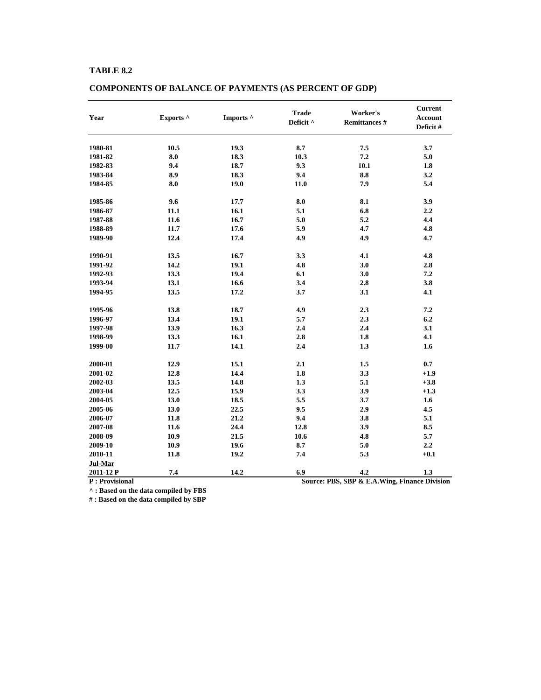| Year      | Exports ^ | Imports ^ | <b>Trade</b><br>Worker's<br>Deficit ^<br><b>Remittances#</b> |      | <b>Current</b><br><b>Account</b><br>Deficit # |
|-----------|-----------|-----------|--------------------------------------------------------------|------|-----------------------------------------------|
| 1980-81   | 10.5      | 19.3      | 8.7                                                          | 7.5  | 3.7                                           |
| 1981-82   | 8.0       | 18.3      | 10.3                                                         | 7.2  | 5.0                                           |
| 1982-83   | 9.4       | 18.7      | 9.3                                                          | 10.1 | 1.8                                           |
| 1983-84   | 8.9       | 18.3      | 9.4                                                          | 8.8  | 3.2                                           |
| 1984-85   | 8.0       | 19.0      | 11.0                                                         | 7.9  | 5.4                                           |
| 1985-86   | 9.6       | 17.7      | 8.0                                                          | 8.1  | 3.9                                           |
| 1986-87   | 11.1      | 16.1      | 5.1                                                          | 6.8  | 2.2                                           |
| 1987-88   | 11.6      | 16.7      | 5.0                                                          | 5.2  | 4.4                                           |
| 1988-89   | 11.7      | 17.6      | 5.9                                                          | 4.7  | 4.8                                           |
| 1989-90   | 12.4      | 17.4      | 4.9                                                          | 4.9  | 4.7                                           |
| 1990-91   | 13.5      | 16.7      | 3.3                                                          | 4.1  | 4.8                                           |
| 1991-92   | 14.2      | 19.1      | 4.8                                                          | 3.0  | 2.8                                           |
| 1992-93   | 13.3      | 19.4      | 6.1                                                          | 3.0  | 7.2                                           |
| 1993-94   | 13.1      | 16.6      | 3.4                                                          | 2.8  | 3.8                                           |
| 1994-95   | 13.5      | 17.2      | 3.7                                                          | 3.1  | 4.1                                           |
| 1995-96   | 13.8      | 18.7      | 4.9                                                          | 2.3  | 7.2                                           |
| 1996-97   | 13.4      | 19.1      | 5.7                                                          | 2.3  | 6.2                                           |
| 1997-98   | 13.9      | 16.3      | 2.4                                                          | 2.4  | 3.1                                           |
| 1998-99   | 13.3      | 16.1      | 2.8                                                          | 1.8  | 4.1                                           |
| 1999-00   | 11.7      | 14.1      | 2.4                                                          | 1.3  | 1.6                                           |
| 2000-01   | 12.9      | 15.1      | 2.1                                                          | 1.5  | 0.7                                           |
| 2001-02   | 12.8      | 14.4      | 1.8                                                          | 3.3  | $+1.9$                                        |
| 2002-03   | 13.5      | 14.8      | 1.3                                                          | 5.1  | $+3.8$                                        |
| 2003-04   | 12.5      | 15.9      | 3.3                                                          | 3.9  | $+1.3$                                        |
| 2004-05   | 13.0      | 18.5      | 5.5                                                          | 3.7  | 1.6                                           |
| 2005-06   | 13.0      | 22.5      | 9.5                                                          | 2.9  | 4.5                                           |
| 2006-07   | 11.8      | 21.2      | 9.4                                                          | 3.8  | 5.1                                           |
| 2007-08   | 11.6      | 24.4      | 12.8                                                         | 3.9  | 8.5                                           |
| 2008-09   | 10.9      | 21.5      | 10.6                                                         | 4.8  | 5.7                                           |
| 2009-10   | 10.9      | 19.6      | 8.7                                                          | 5.0  | 2.2                                           |
| 2010-11   | 11.8      | 19.2      | 7.4                                                          | 5.3  | $+0.1$                                        |
| Jul-Mar   |           |           |                                                              |      |                                               |
| 2011-12 P | 7.4       | 14.2      | 6.9                                                          | 4.2  | 1.3                                           |

# **COMPONENTS OF BALANCE OF PAYMENTS (AS PERCENT OF GDP)**

**^ : Based on the data compiled by FBS**

**# : Based on the data compiled by SBP**

**P : Provisional Source: PBS, SBP & E.A.Wing, Finance Division**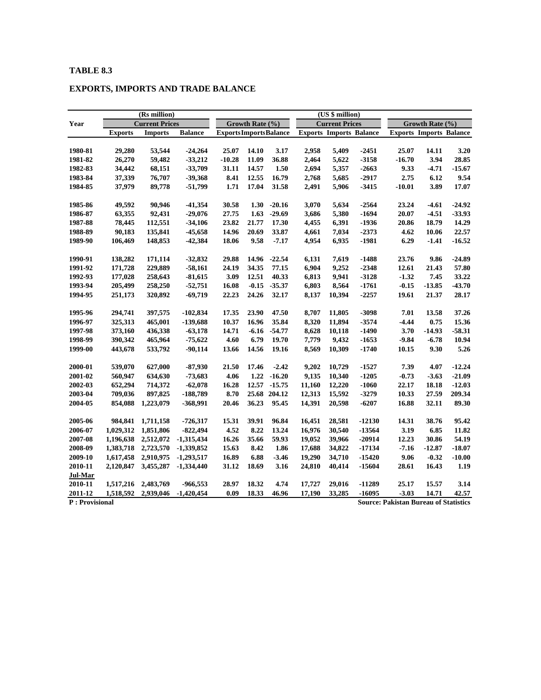# **EXPORTS, IMPORTS AND TRADE BALANCE**

|                |                | (Rs million)          |                |                                |                 |              |        | (US \$ million)                |          |                                              |                                |          |
|----------------|----------------|-----------------------|----------------|--------------------------------|-----------------|--------------|--------|--------------------------------|----------|----------------------------------------------|--------------------------------|----------|
| Year           |                | <b>Current Prices</b> |                |                                | Growth Rate (%) |              |        | <b>Current Prices</b>          |          |                                              | Growth Rate (%)                |          |
|                | <b>Exports</b> | <b>Imports</b>        | <b>Balance</b> | <b>Exports Imports Balance</b> |                 |              |        | <b>Exports Imports Balance</b> |          |                                              | <b>Exports Imports Balance</b> |          |
|                |                |                       |                |                                |                 |              |        |                                |          |                                              |                                |          |
| 1980-81        | 29,280         | 53,544                | $-24,264$      | 25.07                          | 14.10           | 3.17         | 2,958  | 5,409                          | $-2451$  | 25.07                                        | 14.11                          | 3.20     |
| 1981-82        | 26,270         | 59,482                | $-33,212$      | $-10.28$                       | 11.09           | 36.88        | 2,464  | 5,622                          | $-3158$  | $-16.70$                                     | 3.94                           | 28.85    |
| 1982-83        | 34,442         | 68,151                | $-33,709$      | 31.11                          | 14.57           | 1.50         | 2,694  | 5,357                          | $-2663$  | 9.33                                         | $-4.71$                        | $-15.67$ |
| 1983-84        | 37,339         | 76,707                | $-39,368$      | 8.41                           | 12.55           | 16.79        | 2,768  | 5,685                          | $-2917$  | 2.75                                         | 6.12                           | 9.54     |
| 1984-85        | 37,979         | 89,778                | $-51,799$      | 1.71                           | 17.04           | 31.58        | 2,491  | 5,906                          | $-3415$  | $-10.01$                                     | 3.89                           | 17.07    |
| 1985-86        | 49,592         | 90,946                | $-41,354$      | 30.58                          | 1.30            | $-20.16$     | 3,070  | 5,634                          | $-2564$  | 23.24                                        | $-4.61$                        | $-24.92$ |
| 1986-87        | 63,355         | 92,431                | $-29,076$      | 27.75                          | 1.63            | $-29.69$     | 3,686  | 5,380                          | $-1694$  | 20.07                                        | $-4.51$                        | $-33.93$ |
| 1987-88        | 78,445         | 112,551               | $-34,106$      | 23.82                          | 21.77           | 17.30        | 4,455  | 6,391                          | $-1936$  | 20.86                                        | 18.79                          | 14.29    |
| 1988-89        | 90,183         | 135,841               | $-45,658$      | 14.96                          | 20.69           | 33.87        | 4,661  | 7,034                          | $-2373$  | 4.62                                         | 10.06                          | 22.57    |
| 1989-90        | 106,469        | 148,853               | $-42,384$      | 18.06                          | 9.58            | $-7.17$      | 4,954  | 6,935                          | $-1981$  | 6.29                                         | $-1.41$                        | $-16.52$ |
| 1990-91        | 138,282        | 171,114               | $-32,832$      | 29.88                          | 14.96           | $-22.54$     | 6,131  | 7,619                          | $-1488$  | 23.76                                        | 9.86                           | $-24.89$ |
| 1991-92        | 171,728        | 229,889               | $-58,161$      | 24.19                          | 34.35           | 77.15        | 6,904  | 9,252                          | $-2348$  | 12.61                                        | 21.43                          | 57.80    |
| 1992-93        | 177,028        | 258,643               | $-81,615$      | 3.09                           | 12.51           | 40.33        | 6,813  | 9,941                          | $-3128$  | $-1.32$                                      | 7.45                           | 33.22    |
| 1993-94        | 205,499        | 258,250               | $-52,751$      | 16.08                          | $-0.15$         | $-35.37$     | 6,803  | 8,564                          | $-1761$  | $-0.15$                                      | $-13.85$                       | $-43.70$ |
| 1994-95        | 251,173        | 320,892               | $-69,719$      | 22.23                          | 24.26           | 32.17        | 8,137  | 10,394                         | $-2257$  | 19.61                                        | 21.37                          | 28.17    |
| 1995-96        | 294,741        | 397,575               | $-102,834$     | 17.35                          | 23.90           | 47.50        | 8,707  | 11,805                         | $-3098$  | 7.01                                         | 13.58                          | 37.26    |
| 1996-97        | 325,313        | 465,001               | -139,688       | 10.37                          | 16.96           | 35.84        | 8,320  | 11,894                         | $-3574$  | $-4.44$                                      | 0.75                           | 15.36    |
| 1997-98        | 373,160        | 436,338               | $-63,178$      | 14.71                          | $-6.16$         | $-54.77$     | 8,628  | 10,118                         | $-1490$  | 3.70                                         | -14.93                         | $-58.31$ |
| 1998-99        | 390,342        | 465,964               | $-75,622$      | 4.60                           | 6.79            | 19.70        | 7,779  | 9,432                          | $-1653$  | $-9.84$                                      | $-6.78$                        | 10.94    |
| 1999-00        | 443,678        | 533,792               | $-90,114$      | 13.66                          | 14.56           | 19.16        | 8,569  | 10,309                         | $-1740$  | 10.15                                        | 9.30                           | 5.26     |
|                |                |                       |                |                                |                 |              |        |                                |          |                                              |                                |          |
| 2000-01        | 539,070        | 627,000               | $-87,930$      | 21.50                          | 17.46           | $-2.42$      | 9,202  | 10,729                         | $-1527$  | 7.39                                         | 4.07                           | $-12.24$ |
| 2001-02        | 560,947        | 634,630               | $-73,683$      | 4.06                           | 1.22            | $-16.20$     | 9,135  | 10,340                         | $-1205$  | $-0.73$                                      | $-3.63$                        | $-21.09$ |
| 2002-03        | 652,294        | 714,372               | $-62,078$      | 16.28                          | 12.57           | $-15.75$     | 11,160 | 12,220                         | $-1060$  | 22.17                                        | 18.18                          | $-12.03$ |
| 2003-04        | 709,036        | 897,825               | -188,789       | 8.70                           |                 | 25.68 204.12 | 12,313 | 15,592                         | $-3279$  | 10.33                                        | 27.59                          | 209.34   |
| 2004-05        | 854,088        | 1,223,079             | -368,991       | 20.46                          | 36.23           | 95.45        | 14,391 | 20,598                         | $-6207$  | 16.88                                        | 32.11                          | 89.30    |
| 2005-06        | 984,841        | 1,711,158             | $-726,317$     | 15.31                          | 39.91           | 96.84        | 16,451 | 28,581                         | $-12130$ | 14.31                                        | 38.76                          | 95.42    |
| 2006-07        | 1,029,312      | 1,851,806             | $-822,494$     | 4.52                           | 8.22            | 13.24        | 16,976 | 30,540                         | $-13564$ | 3.19                                         | 6.85                           | 11.82    |
| 2007-08        | 1,196,638      | 2,512,072             | $-1,315,434$   | 16.26                          | 35.66           | 59.93        | 19,052 | 39,966                         | $-20914$ | 12.23                                        | 30.86                          | 54.19    |
| 2008-09        | 1,383,718      | 2,723,570             | $-1,339,852$   | 15.63                          | 8.42            | 1.86         | 17,688 | 34,822                         | $-17134$ | $-7.16$                                      | $-12.87$                       | $-18.07$ |
| 2009-10        | 1,617,458      | 2,910,975             | $-1,293,517$   | 16.89                          | 6.88            | $-3.46$      | 19,290 | 34,710                         | $-15420$ | 9.06                                         | $-0.32$                        | $-10.00$ |
| 2010-11        | 2,120,847      | 3,455,287             | $-1,334,440$   | 31.12                          | 18.69           | 3.16         | 24,810 | 40,414                         | -15604   | 28.61                                        | 16.43                          | 1.19     |
| Jul-Mar        |                |                       |                |                                |                 |              |        |                                |          |                                              |                                |          |
| 2010-11        | 1,517,216      | 2,483,769             | -966,553       | 28.97                          | 18.32           | 4.74         | 17,727 | 29,016                         | $-11289$ | 25.17                                        | 15.57                          | 3.14     |
| 2011-12        | 1,518,592      | 2,939,046             | $-1,420,454$   | 0.09                           | 18.33           | 46.96        | 17,190 | 33,285                         | $-16095$ | $-3.03$                                      | 14.71                          | 42.57    |
| P: Provisional |                |                       |                |                                |                 |              |        |                                |          | <b>Source: Pakistan Bureau of Statistics</b> |                                |          |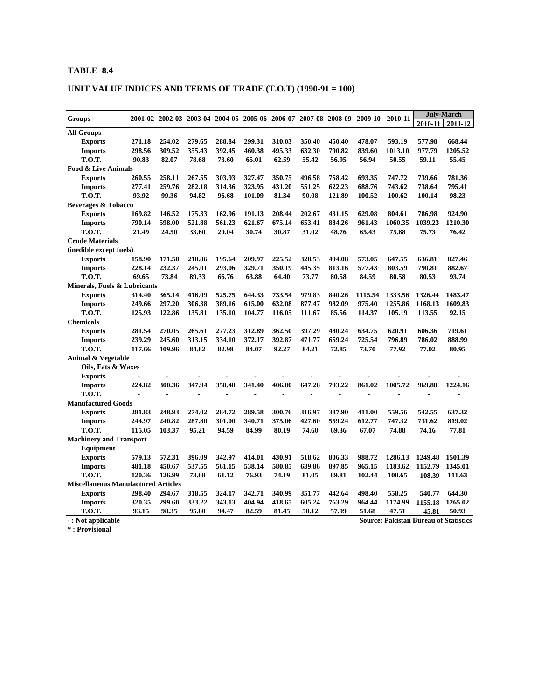# **UNIT VALUE INDICES AND TERMS OF TRADE (T.O.T) (1990-91 = 100)**

| <b>Groups</b>                              |                |        | 2001-02 2002-03 2003-04 2004-05 2005-06 2006-07 2007-08 2008-09 |        |        |        |        |        | 2009-10 | 2010-11 |                                              | <b>July-March</b> |
|--------------------------------------------|----------------|--------|-----------------------------------------------------------------|--------|--------|--------|--------|--------|---------|---------|----------------------------------------------|-------------------|
|                                            |                |        |                                                                 |        |        |        |        |        |         |         | 2010-11                                      | 2011-12           |
| <b>All Groups</b>                          |                |        |                                                                 |        |        |        |        |        |         |         |                                              |                   |
| <b>Exports</b>                             | 271.18         | 254.02 | 279.65                                                          | 288.84 | 299.31 | 310.03 | 350.40 | 450.40 | 478.07  | 593.19  | 577.98                                       | 668.44            |
| <b>Imports</b>                             | 298.56         | 309.52 | 355.43                                                          | 392.45 | 460.38 | 495.33 | 632.30 | 790.82 | 839.60  | 1013.10 | 977.79                                       | 1205.52           |
| <b>T.O.T.</b>                              | 90.83          | 82.07  | 78.68                                                           | 73.60  | 65.01  | 62.59  | 55.42  | 56.95  | 56.94   | 50.55   | 59.11                                        | 55.45             |
| Food & Live Animals                        |                |        |                                                                 |        |        |        |        |        |         |         |                                              |                   |
| <b>Exports</b>                             | 260.55         | 258.11 | 267.55                                                          | 303.93 | 327.47 | 350.75 | 496.58 | 758.42 | 693.35  | 747.72  | 739.66                                       | 781.36            |
| <b>Imports</b>                             | 277.41         | 259.76 | 282.18                                                          | 314.36 | 323.95 | 431.20 | 551.25 | 622.23 | 688.76  | 743.62  | 738.64                                       | 795.41            |
| <b>T.O.T.</b>                              | 93.92          | 99.36  | 94.82                                                           | 96.68  | 101.09 | 81.34  | 90.08  | 121.89 | 100.52  | 100.62  | 100.14                                       | 98.23             |
| <b>Beverages &amp; Tobacco</b>             |                |        |                                                                 |        |        |        |        |        |         |         |                                              |                   |
| <b>Exports</b>                             | 169.82         | 146.52 | 175.33                                                          | 162.96 | 191.13 | 208.44 | 202.67 | 431.15 | 629.08  | 804.61  | 786.98                                       | 924.90            |
| <b>Imports</b>                             | 790.14         | 598.00 | 521.88                                                          | 561.23 | 621.67 | 675.14 | 653.41 | 884.26 | 961.43  | 1060.35 | 1039.23                                      | 1210.30           |
| <b>T.O.T.</b>                              | 21.49          | 24.50  | 33.60                                                           | 29.04  | 30.74  | 30.87  | 31.02  | 48.76  | 65.43   | 75.88   | 75.73                                        | 76.42             |
| <b>Crude Materials</b>                     |                |        |                                                                 |        |        |        |        |        |         |         |                                              |                   |
| (inedible except fuels)                    |                |        |                                                                 |        |        |        |        |        |         |         |                                              |                   |
| <b>Exports</b>                             | 158.90         | 171.58 | 218.86                                                          | 195.64 | 209.97 | 225.52 | 328.53 | 494.08 | 573.05  | 647.55  | 636.81                                       | 827.46            |
| <b>Imports</b>                             | 228.14         | 232.37 | 245.01                                                          | 293.06 | 329.71 | 350.19 | 445.35 | 813.16 | 577.43  | 803.59  | 790.81                                       | 882.67            |
| <b>T.O.T.</b>                              | 69.65          | 73.84  | 89.33                                                           | 66.76  | 63.88  | 64.40  | 73.77  | 80.58  | 84.59   | 80.58   | 80.53                                        | 93.74             |
| Minerals, Fuels & Lubricants               |                |        |                                                                 |        |        |        |        |        |         |         |                                              |                   |
| <b>Exports</b>                             | 314.40         | 365.14 | 416.09                                                          | 525.75 | 644.33 | 733.54 | 979.83 | 840.26 | 1115.54 | 1333.56 | 1326.44                                      | 1483.47           |
| <b>Imports</b>                             | 249.66         | 297.20 | 306.38                                                          | 389.16 | 615.00 | 632.08 | 877.47 | 982.09 | 975.40  | 1255.86 | 1168.13                                      | 1609.83           |
| <b>T.O.T.</b>                              | 125.93         | 122.86 | 135.81                                                          | 135.10 | 104.77 | 116.05 | 111.67 | 85.56  | 114.37  | 105.19  | 113.55                                       | 92.15             |
| <b>Chemicals</b>                           |                |        |                                                                 |        |        |        |        |        |         |         |                                              |                   |
| <b>Exports</b>                             | 281.54         | 270.05 | 265.61                                                          | 277.23 | 312.89 | 362.50 | 397.29 | 480.24 | 634.75  | 620.91  | 606.36                                       | 719.61            |
| <b>Imports</b>                             | 239.29         | 245.60 | 313.15                                                          | 334.10 | 372.17 | 392.87 | 471.77 | 659.24 | 725.54  | 796.89  | 786.02                                       | 888.99            |
| <b>T.O.T.</b>                              | 117.66         | 109.96 | 84.82                                                           | 82.98  | 84.07  | 92.27  | 84.21  | 72.85  | 73.70   | 77.92   | 77.02                                        | 80.95             |
| Animal & Vegetable                         |                |        |                                                                 |        |        |        |        |        |         |         |                                              |                   |
| Oils, Fats & Waxes                         |                |        |                                                                 |        |        |        |        |        |         |         |                                              |                   |
| <b>Exports</b>                             |                |        |                                                                 |        |        |        |        |        |         |         |                                              |                   |
| <b>Imports</b>                             | 224.82         | 300.36 | 347.94                                                          | 358.48 | 341.40 | 406.00 | 647.28 | 793.22 | 861.02  | 1005.72 | 969.88                                       | 1224.16           |
| <b>T.O.T.</b>                              | $\overline{a}$ |        |                                                                 |        |        |        |        |        |         |         |                                              |                   |
| <b>Manufactured Goods</b>                  |                |        |                                                                 |        |        |        |        |        |         |         |                                              |                   |
| <b>Exports</b>                             | 281.83         | 248.93 | 274.02                                                          | 284.72 | 289.58 | 300.76 | 316.97 | 387.90 | 411.00  | 559.56  | 542.55                                       | 637.32            |
| <b>Imports</b>                             | 244.97         | 240.82 | 287.80                                                          | 301.00 | 340.71 | 375.06 | 427.60 | 559.24 | 612.77  | 747.32  | 731.62                                       | 819.02            |
| <b>T.O.T.</b>                              | 115.05         | 103.37 | 95.21                                                           | 94.59  | 84.99  | 80.19  | 74.60  | 69.36  | 67.07   | 74.88   | 74.16                                        | 77.81             |
| <b>Machinery and Transport</b>             |                |        |                                                                 |        |        |        |        |        |         |         |                                              |                   |
| <b>Equipment</b>                           |                |        |                                                                 |        |        |        |        |        |         |         |                                              |                   |
| <b>Exports</b>                             | 579.13         | 572.31 | 396.09                                                          | 342.97 | 414.01 | 430.91 | 518.62 | 806.33 | 988.72  | 1286.13 | 1249.48                                      | 1501.39           |
| <b>Imports</b>                             | 481.18         | 450.67 | 537.55                                                          | 561.15 | 538.14 | 580.85 | 639.86 | 897.85 | 965.15  | 1183.62 | 1152.79                                      | 1345.01           |
| <b>T.O.T.</b>                              | 120.36         | 126.99 | 73.68                                                           | 61.12  | 76.93  | 74.19  | 81.05  | 89.81  | 102.44  | 108.65  | 108.39                                       | 111.63            |
| <b>Miscellaneous Manufactured Articles</b> |                |        |                                                                 |        |        |        |        |        |         |         |                                              |                   |
| <b>Exports</b>                             | 298.40         | 294.67 | 318.55                                                          | 324.17 | 342.71 | 340.99 | 351.77 | 442.64 | 498.40  | 558.25  | 540.77                                       | 644.30            |
| <b>Imports</b>                             | 320.35         | 299.60 | 333.22                                                          | 343.13 | 404.94 | 418.65 | 605.24 | 763.29 | 964.44  | 1174.99 | 1155.18                                      | 1265.02           |
| T.O.T.                                     | 93.15          | 98.35  | 95.60                                                           | 94.47  | 82.59  | 81.45  | 58.12  | 57.99  | 51.68   | 47.51   | 45.81                                        | 50.93             |
| -: Not applicable                          |                |        |                                                                 |        |        |        |        |        |         |         | <b>Source: Pakistan Bureau of Statistics</b> |                   |

**\* : Provisional**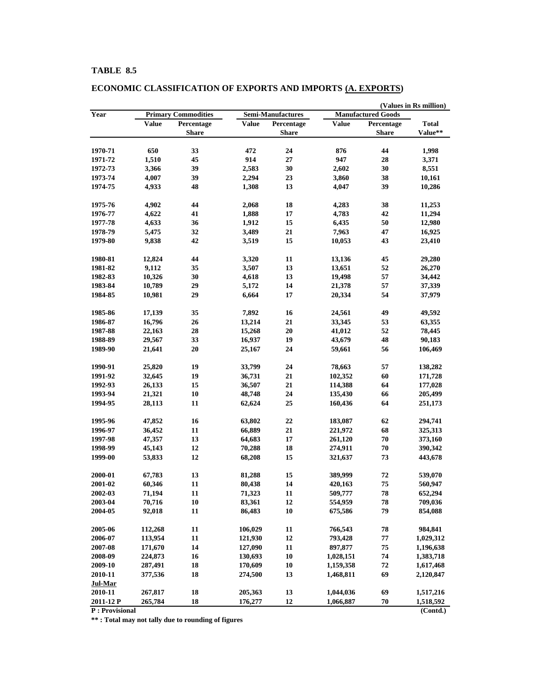| <b>Primary Commodities</b><br>Semi-Manufactures<br><b>Manufactured Goods</b><br><b>Value</b><br>Percentage<br><b>Value</b><br>Percentage<br><b>Value</b><br>Percentage<br><b>Total</b><br>Value**<br><b>Share</b><br><b>Share</b><br>Share<br>44<br>1970-71<br>650<br>33<br>472<br>24<br>876<br>1,998<br>1,510<br>914<br>$27\,$<br>947<br>45<br>28<br>3,371<br>1971-72<br>30<br>30<br>1972-73<br>3,366<br>39<br>2,583<br>2,602<br>8,551<br>39<br>2,294<br>23<br>38<br>1973-74<br>4,007<br>3,860<br>10,161<br>1974-75<br>48<br>1,308<br>13<br>39<br>10,286<br>4,933<br>4,047<br>4,902<br>44<br>18<br>4,283<br>38<br>11,253<br>1975-76<br>2,068<br>1976-77<br>4,622<br>41<br>17<br>4,783<br>42<br>11,294<br>1,888<br>15<br>50<br>1977-78<br>4,633<br>36<br>1,912<br>6,435<br>12,980<br>32<br>21<br>1978-79<br>5,475<br>3,489<br>7,963<br>47<br>16,925<br>15<br>1979-80<br>42<br>10,053<br>43<br>9,838<br>3,519<br>23,410<br>44<br>11<br>45<br>29,280<br>1980-81<br>12,824<br>3,320<br>13,136<br>13<br>52<br>1981-82<br>9,112<br>35<br>3,507<br>13,651<br>26,270<br>1982-83<br>10,326<br>30<br>13<br>19,498<br>57<br>34,442<br>4,618<br>14<br>57<br>1983-84<br>29<br>10,789<br>5,172<br>21,378<br>37,339<br>17<br>54<br>1984-85<br>29<br>10,981<br>6,664<br>20,334<br>37,979<br>1985-86<br>17,139<br>35<br>7,892<br>16<br>24,561<br>49<br>49,592<br>26<br>21<br>16,796<br>13,214<br>33,345<br>53<br>1986-87<br>63,355<br>28<br>20<br>52<br>1987-88<br>22,163<br>15,268<br>41,012<br>78,445<br>33<br>19<br>43,679<br>48<br>1988-89<br>29,567<br>16,937<br>90,183<br>20<br>56<br>1989-90<br>24<br>21,641<br>25,167<br>59,661<br>106,469<br>25,820<br>19<br>33,799<br>24<br>78,663<br>57<br>138,282<br>1990-91<br>60<br>32,645<br>19<br>21<br>102,352<br>1991-92<br>36,731<br>171,728<br>21<br>15<br>114,388<br>64<br>1992-93<br>26,133<br>36,507<br>177,028<br>21,321<br>10<br>48,748<br>24<br>135,430<br>66<br>205,499<br>1993-94<br>25<br>64<br>1994-95<br>28,113<br>11<br>62,624<br>160,436<br>251,173<br>47,852<br>16<br>22<br>62<br>1995-96<br>63,802<br>183,087<br>294,741<br>21<br>11<br>68<br>1996-97<br>36,452<br>66,889<br>221,972<br>325,313<br>13<br>17<br>261,120<br>70<br>373,160<br>1997-98<br>47,357<br>64,683<br>${\bf 70}$<br>1998-99<br>45,143<br>12<br>70,288<br>18<br>274,911<br>390,342<br>1999-00<br>12<br>15<br>73<br>53,833<br>68,208<br>321,637<br>443,678<br>2000-01<br>67,783<br>13<br>15<br>389,999<br>72<br>81,288<br>539,070<br>11<br>14<br>75<br>2001-02<br>60,346<br>560,947<br>80,438<br>420,163<br>78<br>2002-03<br>11<br>11<br>509,777<br>652,294<br>71,194<br>71,323<br>70,716<br>10<br>83,361<br>12<br>554,959<br>78<br>709,036<br>2003-04<br>79<br>11<br>10<br>2004-05<br>92,018<br>86,483<br>675,586<br>854,088<br>2005-06<br>112,268<br>11<br>106,029<br>11<br>766,543<br>78<br>984,841<br>$\bf 12$<br>2006-07<br>113,954<br>11<br>793,428<br>77<br>1,029,312<br>121,930<br>14<br>11<br>897,877<br>75<br>2007-08<br>171,670<br>127,090<br>1,196,638<br>16<br>10<br>74<br>2008-09<br>224,873<br>130,693<br>1,028,151<br>1,383,718<br>18<br>10<br>72<br>2009-10<br>287,491<br>170,609<br>1,159,358<br>1,617,468<br>2010-11<br>18<br>13<br>69<br>377,536<br>274,500<br>1,468,811<br>2,120,847<br>Jul-Mar<br>13<br>69<br>2010-11<br>267,817<br>18<br>205,363<br>1,044,036<br>1,517,216<br>18<br>12<br>70<br>2011-12 P<br>265,784<br>176,277<br>1,066,887<br>1,518,592<br>P: Provisional<br>(Contd.) |      |  |  |  | (Values in Rs million) |
|-------------------------------------------------------------------------------------------------------------------------------------------------------------------------------------------------------------------------------------------------------------------------------------------------------------------------------------------------------------------------------------------------------------------------------------------------------------------------------------------------------------------------------------------------------------------------------------------------------------------------------------------------------------------------------------------------------------------------------------------------------------------------------------------------------------------------------------------------------------------------------------------------------------------------------------------------------------------------------------------------------------------------------------------------------------------------------------------------------------------------------------------------------------------------------------------------------------------------------------------------------------------------------------------------------------------------------------------------------------------------------------------------------------------------------------------------------------------------------------------------------------------------------------------------------------------------------------------------------------------------------------------------------------------------------------------------------------------------------------------------------------------------------------------------------------------------------------------------------------------------------------------------------------------------------------------------------------------------------------------------------------------------------------------------------------------------------------------------------------------------------------------------------------------------------------------------------------------------------------------------------------------------------------------------------------------------------------------------------------------------------------------------------------------------------------------------------------------------------------------------------------------------------------------------------------------------------------------------------------------------------------------------------------------------------------------------------------------------------------------------------------------------------------------------------------------------------------------------------------------------------------------------------------------------------------------------------------------------------------------------------------------------------------------------------------------------------------------------------------------------------------------------------------------------------------------------------------------------------------------------------------------------------------------------------------------------------------------------------------------------------------------------------------------------------------|------|--|--|--|------------------------|
|                                                                                                                                                                                                                                                                                                                                                                                                                                                                                                                                                                                                                                                                                                                                                                                                                                                                                                                                                                                                                                                                                                                                                                                                                                                                                                                                                                                                                                                                                                                                                                                                                                                                                                                                                                                                                                                                                                                                                                                                                                                                                                                                                                                                                                                                                                                                                                                                                                                                                                                                                                                                                                                                                                                                                                                                                                                                                                                                                                                                                                                                                                                                                                                                                                                                                                                                                                                                                                     | Year |  |  |  |                        |
|                                                                                                                                                                                                                                                                                                                                                                                                                                                                                                                                                                                                                                                                                                                                                                                                                                                                                                                                                                                                                                                                                                                                                                                                                                                                                                                                                                                                                                                                                                                                                                                                                                                                                                                                                                                                                                                                                                                                                                                                                                                                                                                                                                                                                                                                                                                                                                                                                                                                                                                                                                                                                                                                                                                                                                                                                                                                                                                                                                                                                                                                                                                                                                                                                                                                                                                                                                                                                                     |      |  |  |  |                        |
|                                                                                                                                                                                                                                                                                                                                                                                                                                                                                                                                                                                                                                                                                                                                                                                                                                                                                                                                                                                                                                                                                                                                                                                                                                                                                                                                                                                                                                                                                                                                                                                                                                                                                                                                                                                                                                                                                                                                                                                                                                                                                                                                                                                                                                                                                                                                                                                                                                                                                                                                                                                                                                                                                                                                                                                                                                                                                                                                                                                                                                                                                                                                                                                                                                                                                                                                                                                                                                     |      |  |  |  |                        |
|                                                                                                                                                                                                                                                                                                                                                                                                                                                                                                                                                                                                                                                                                                                                                                                                                                                                                                                                                                                                                                                                                                                                                                                                                                                                                                                                                                                                                                                                                                                                                                                                                                                                                                                                                                                                                                                                                                                                                                                                                                                                                                                                                                                                                                                                                                                                                                                                                                                                                                                                                                                                                                                                                                                                                                                                                                                                                                                                                                                                                                                                                                                                                                                                                                                                                                                                                                                                                                     |      |  |  |  |                        |
|                                                                                                                                                                                                                                                                                                                                                                                                                                                                                                                                                                                                                                                                                                                                                                                                                                                                                                                                                                                                                                                                                                                                                                                                                                                                                                                                                                                                                                                                                                                                                                                                                                                                                                                                                                                                                                                                                                                                                                                                                                                                                                                                                                                                                                                                                                                                                                                                                                                                                                                                                                                                                                                                                                                                                                                                                                                                                                                                                                                                                                                                                                                                                                                                                                                                                                                                                                                                                                     |      |  |  |  |                        |
|                                                                                                                                                                                                                                                                                                                                                                                                                                                                                                                                                                                                                                                                                                                                                                                                                                                                                                                                                                                                                                                                                                                                                                                                                                                                                                                                                                                                                                                                                                                                                                                                                                                                                                                                                                                                                                                                                                                                                                                                                                                                                                                                                                                                                                                                                                                                                                                                                                                                                                                                                                                                                                                                                                                                                                                                                                                                                                                                                                                                                                                                                                                                                                                                                                                                                                                                                                                                                                     |      |  |  |  |                        |
|                                                                                                                                                                                                                                                                                                                                                                                                                                                                                                                                                                                                                                                                                                                                                                                                                                                                                                                                                                                                                                                                                                                                                                                                                                                                                                                                                                                                                                                                                                                                                                                                                                                                                                                                                                                                                                                                                                                                                                                                                                                                                                                                                                                                                                                                                                                                                                                                                                                                                                                                                                                                                                                                                                                                                                                                                                                                                                                                                                                                                                                                                                                                                                                                                                                                                                                                                                                                                                     |      |  |  |  |                        |
|                                                                                                                                                                                                                                                                                                                                                                                                                                                                                                                                                                                                                                                                                                                                                                                                                                                                                                                                                                                                                                                                                                                                                                                                                                                                                                                                                                                                                                                                                                                                                                                                                                                                                                                                                                                                                                                                                                                                                                                                                                                                                                                                                                                                                                                                                                                                                                                                                                                                                                                                                                                                                                                                                                                                                                                                                                                                                                                                                                                                                                                                                                                                                                                                                                                                                                                                                                                                                                     |      |  |  |  |                        |
|                                                                                                                                                                                                                                                                                                                                                                                                                                                                                                                                                                                                                                                                                                                                                                                                                                                                                                                                                                                                                                                                                                                                                                                                                                                                                                                                                                                                                                                                                                                                                                                                                                                                                                                                                                                                                                                                                                                                                                                                                                                                                                                                                                                                                                                                                                                                                                                                                                                                                                                                                                                                                                                                                                                                                                                                                                                                                                                                                                                                                                                                                                                                                                                                                                                                                                                                                                                                                                     |      |  |  |  |                        |
|                                                                                                                                                                                                                                                                                                                                                                                                                                                                                                                                                                                                                                                                                                                                                                                                                                                                                                                                                                                                                                                                                                                                                                                                                                                                                                                                                                                                                                                                                                                                                                                                                                                                                                                                                                                                                                                                                                                                                                                                                                                                                                                                                                                                                                                                                                                                                                                                                                                                                                                                                                                                                                                                                                                                                                                                                                                                                                                                                                                                                                                                                                                                                                                                                                                                                                                                                                                                                                     |      |  |  |  |                        |
|                                                                                                                                                                                                                                                                                                                                                                                                                                                                                                                                                                                                                                                                                                                                                                                                                                                                                                                                                                                                                                                                                                                                                                                                                                                                                                                                                                                                                                                                                                                                                                                                                                                                                                                                                                                                                                                                                                                                                                                                                                                                                                                                                                                                                                                                                                                                                                                                                                                                                                                                                                                                                                                                                                                                                                                                                                                                                                                                                                                                                                                                                                                                                                                                                                                                                                                                                                                                                                     |      |  |  |  |                        |
|                                                                                                                                                                                                                                                                                                                                                                                                                                                                                                                                                                                                                                                                                                                                                                                                                                                                                                                                                                                                                                                                                                                                                                                                                                                                                                                                                                                                                                                                                                                                                                                                                                                                                                                                                                                                                                                                                                                                                                                                                                                                                                                                                                                                                                                                                                                                                                                                                                                                                                                                                                                                                                                                                                                                                                                                                                                                                                                                                                                                                                                                                                                                                                                                                                                                                                                                                                                                                                     |      |  |  |  |                        |
|                                                                                                                                                                                                                                                                                                                                                                                                                                                                                                                                                                                                                                                                                                                                                                                                                                                                                                                                                                                                                                                                                                                                                                                                                                                                                                                                                                                                                                                                                                                                                                                                                                                                                                                                                                                                                                                                                                                                                                                                                                                                                                                                                                                                                                                                                                                                                                                                                                                                                                                                                                                                                                                                                                                                                                                                                                                                                                                                                                                                                                                                                                                                                                                                                                                                                                                                                                                                                                     |      |  |  |  |                        |
|                                                                                                                                                                                                                                                                                                                                                                                                                                                                                                                                                                                                                                                                                                                                                                                                                                                                                                                                                                                                                                                                                                                                                                                                                                                                                                                                                                                                                                                                                                                                                                                                                                                                                                                                                                                                                                                                                                                                                                                                                                                                                                                                                                                                                                                                                                                                                                                                                                                                                                                                                                                                                                                                                                                                                                                                                                                                                                                                                                                                                                                                                                                                                                                                                                                                                                                                                                                                                                     |      |  |  |  |                        |
|                                                                                                                                                                                                                                                                                                                                                                                                                                                                                                                                                                                                                                                                                                                                                                                                                                                                                                                                                                                                                                                                                                                                                                                                                                                                                                                                                                                                                                                                                                                                                                                                                                                                                                                                                                                                                                                                                                                                                                                                                                                                                                                                                                                                                                                                                                                                                                                                                                                                                                                                                                                                                                                                                                                                                                                                                                                                                                                                                                                                                                                                                                                                                                                                                                                                                                                                                                                                                                     |      |  |  |  |                        |
|                                                                                                                                                                                                                                                                                                                                                                                                                                                                                                                                                                                                                                                                                                                                                                                                                                                                                                                                                                                                                                                                                                                                                                                                                                                                                                                                                                                                                                                                                                                                                                                                                                                                                                                                                                                                                                                                                                                                                                                                                                                                                                                                                                                                                                                                                                                                                                                                                                                                                                                                                                                                                                                                                                                                                                                                                                                                                                                                                                                                                                                                                                                                                                                                                                                                                                                                                                                                                                     |      |  |  |  |                        |
|                                                                                                                                                                                                                                                                                                                                                                                                                                                                                                                                                                                                                                                                                                                                                                                                                                                                                                                                                                                                                                                                                                                                                                                                                                                                                                                                                                                                                                                                                                                                                                                                                                                                                                                                                                                                                                                                                                                                                                                                                                                                                                                                                                                                                                                                                                                                                                                                                                                                                                                                                                                                                                                                                                                                                                                                                                                                                                                                                                                                                                                                                                                                                                                                                                                                                                                                                                                                                                     |      |  |  |  |                        |
|                                                                                                                                                                                                                                                                                                                                                                                                                                                                                                                                                                                                                                                                                                                                                                                                                                                                                                                                                                                                                                                                                                                                                                                                                                                                                                                                                                                                                                                                                                                                                                                                                                                                                                                                                                                                                                                                                                                                                                                                                                                                                                                                                                                                                                                                                                                                                                                                                                                                                                                                                                                                                                                                                                                                                                                                                                                                                                                                                                                                                                                                                                                                                                                                                                                                                                                                                                                                                                     |      |  |  |  |                        |
|                                                                                                                                                                                                                                                                                                                                                                                                                                                                                                                                                                                                                                                                                                                                                                                                                                                                                                                                                                                                                                                                                                                                                                                                                                                                                                                                                                                                                                                                                                                                                                                                                                                                                                                                                                                                                                                                                                                                                                                                                                                                                                                                                                                                                                                                                                                                                                                                                                                                                                                                                                                                                                                                                                                                                                                                                                                                                                                                                                                                                                                                                                                                                                                                                                                                                                                                                                                                                                     |      |  |  |  |                        |
|                                                                                                                                                                                                                                                                                                                                                                                                                                                                                                                                                                                                                                                                                                                                                                                                                                                                                                                                                                                                                                                                                                                                                                                                                                                                                                                                                                                                                                                                                                                                                                                                                                                                                                                                                                                                                                                                                                                                                                                                                                                                                                                                                                                                                                                                                                                                                                                                                                                                                                                                                                                                                                                                                                                                                                                                                                                                                                                                                                                                                                                                                                                                                                                                                                                                                                                                                                                                                                     |      |  |  |  |                        |
|                                                                                                                                                                                                                                                                                                                                                                                                                                                                                                                                                                                                                                                                                                                                                                                                                                                                                                                                                                                                                                                                                                                                                                                                                                                                                                                                                                                                                                                                                                                                                                                                                                                                                                                                                                                                                                                                                                                                                                                                                                                                                                                                                                                                                                                                                                                                                                                                                                                                                                                                                                                                                                                                                                                                                                                                                                                                                                                                                                                                                                                                                                                                                                                                                                                                                                                                                                                                                                     |      |  |  |  |                        |
|                                                                                                                                                                                                                                                                                                                                                                                                                                                                                                                                                                                                                                                                                                                                                                                                                                                                                                                                                                                                                                                                                                                                                                                                                                                                                                                                                                                                                                                                                                                                                                                                                                                                                                                                                                                                                                                                                                                                                                                                                                                                                                                                                                                                                                                                                                                                                                                                                                                                                                                                                                                                                                                                                                                                                                                                                                                                                                                                                                                                                                                                                                                                                                                                                                                                                                                                                                                                                                     |      |  |  |  |                        |
|                                                                                                                                                                                                                                                                                                                                                                                                                                                                                                                                                                                                                                                                                                                                                                                                                                                                                                                                                                                                                                                                                                                                                                                                                                                                                                                                                                                                                                                                                                                                                                                                                                                                                                                                                                                                                                                                                                                                                                                                                                                                                                                                                                                                                                                                                                                                                                                                                                                                                                                                                                                                                                                                                                                                                                                                                                                                                                                                                                                                                                                                                                                                                                                                                                                                                                                                                                                                                                     |      |  |  |  |                        |
|                                                                                                                                                                                                                                                                                                                                                                                                                                                                                                                                                                                                                                                                                                                                                                                                                                                                                                                                                                                                                                                                                                                                                                                                                                                                                                                                                                                                                                                                                                                                                                                                                                                                                                                                                                                                                                                                                                                                                                                                                                                                                                                                                                                                                                                                                                                                                                                                                                                                                                                                                                                                                                                                                                                                                                                                                                                                                                                                                                                                                                                                                                                                                                                                                                                                                                                                                                                                                                     |      |  |  |  |                        |
|                                                                                                                                                                                                                                                                                                                                                                                                                                                                                                                                                                                                                                                                                                                                                                                                                                                                                                                                                                                                                                                                                                                                                                                                                                                                                                                                                                                                                                                                                                                                                                                                                                                                                                                                                                                                                                                                                                                                                                                                                                                                                                                                                                                                                                                                                                                                                                                                                                                                                                                                                                                                                                                                                                                                                                                                                                                                                                                                                                                                                                                                                                                                                                                                                                                                                                                                                                                                                                     |      |  |  |  |                        |
|                                                                                                                                                                                                                                                                                                                                                                                                                                                                                                                                                                                                                                                                                                                                                                                                                                                                                                                                                                                                                                                                                                                                                                                                                                                                                                                                                                                                                                                                                                                                                                                                                                                                                                                                                                                                                                                                                                                                                                                                                                                                                                                                                                                                                                                                                                                                                                                                                                                                                                                                                                                                                                                                                                                                                                                                                                                                                                                                                                                                                                                                                                                                                                                                                                                                                                                                                                                                                                     |      |  |  |  |                        |
|                                                                                                                                                                                                                                                                                                                                                                                                                                                                                                                                                                                                                                                                                                                                                                                                                                                                                                                                                                                                                                                                                                                                                                                                                                                                                                                                                                                                                                                                                                                                                                                                                                                                                                                                                                                                                                                                                                                                                                                                                                                                                                                                                                                                                                                                                                                                                                                                                                                                                                                                                                                                                                                                                                                                                                                                                                                                                                                                                                                                                                                                                                                                                                                                                                                                                                                                                                                                                                     |      |  |  |  |                        |
|                                                                                                                                                                                                                                                                                                                                                                                                                                                                                                                                                                                                                                                                                                                                                                                                                                                                                                                                                                                                                                                                                                                                                                                                                                                                                                                                                                                                                                                                                                                                                                                                                                                                                                                                                                                                                                                                                                                                                                                                                                                                                                                                                                                                                                                                                                                                                                                                                                                                                                                                                                                                                                                                                                                                                                                                                                                                                                                                                                                                                                                                                                                                                                                                                                                                                                                                                                                                                                     |      |  |  |  |                        |
|                                                                                                                                                                                                                                                                                                                                                                                                                                                                                                                                                                                                                                                                                                                                                                                                                                                                                                                                                                                                                                                                                                                                                                                                                                                                                                                                                                                                                                                                                                                                                                                                                                                                                                                                                                                                                                                                                                                                                                                                                                                                                                                                                                                                                                                                                                                                                                                                                                                                                                                                                                                                                                                                                                                                                                                                                                                                                                                                                                                                                                                                                                                                                                                                                                                                                                                                                                                                                                     |      |  |  |  |                        |
|                                                                                                                                                                                                                                                                                                                                                                                                                                                                                                                                                                                                                                                                                                                                                                                                                                                                                                                                                                                                                                                                                                                                                                                                                                                                                                                                                                                                                                                                                                                                                                                                                                                                                                                                                                                                                                                                                                                                                                                                                                                                                                                                                                                                                                                                                                                                                                                                                                                                                                                                                                                                                                                                                                                                                                                                                                                                                                                                                                                                                                                                                                                                                                                                                                                                                                                                                                                                                                     |      |  |  |  |                        |
|                                                                                                                                                                                                                                                                                                                                                                                                                                                                                                                                                                                                                                                                                                                                                                                                                                                                                                                                                                                                                                                                                                                                                                                                                                                                                                                                                                                                                                                                                                                                                                                                                                                                                                                                                                                                                                                                                                                                                                                                                                                                                                                                                                                                                                                                                                                                                                                                                                                                                                                                                                                                                                                                                                                                                                                                                                                                                                                                                                                                                                                                                                                                                                                                                                                                                                                                                                                                                                     |      |  |  |  |                        |
|                                                                                                                                                                                                                                                                                                                                                                                                                                                                                                                                                                                                                                                                                                                                                                                                                                                                                                                                                                                                                                                                                                                                                                                                                                                                                                                                                                                                                                                                                                                                                                                                                                                                                                                                                                                                                                                                                                                                                                                                                                                                                                                                                                                                                                                                                                                                                                                                                                                                                                                                                                                                                                                                                                                                                                                                                                                                                                                                                                                                                                                                                                                                                                                                                                                                                                                                                                                                                                     |      |  |  |  |                        |
|                                                                                                                                                                                                                                                                                                                                                                                                                                                                                                                                                                                                                                                                                                                                                                                                                                                                                                                                                                                                                                                                                                                                                                                                                                                                                                                                                                                                                                                                                                                                                                                                                                                                                                                                                                                                                                                                                                                                                                                                                                                                                                                                                                                                                                                                                                                                                                                                                                                                                                                                                                                                                                                                                                                                                                                                                                                                                                                                                                                                                                                                                                                                                                                                                                                                                                                                                                                                                                     |      |  |  |  |                        |
|                                                                                                                                                                                                                                                                                                                                                                                                                                                                                                                                                                                                                                                                                                                                                                                                                                                                                                                                                                                                                                                                                                                                                                                                                                                                                                                                                                                                                                                                                                                                                                                                                                                                                                                                                                                                                                                                                                                                                                                                                                                                                                                                                                                                                                                                                                                                                                                                                                                                                                                                                                                                                                                                                                                                                                                                                                                                                                                                                                                                                                                                                                                                                                                                                                                                                                                                                                                                                                     |      |  |  |  |                        |
|                                                                                                                                                                                                                                                                                                                                                                                                                                                                                                                                                                                                                                                                                                                                                                                                                                                                                                                                                                                                                                                                                                                                                                                                                                                                                                                                                                                                                                                                                                                                                                                                                                                                                                                                                                                                                                                                                                                                                                                                                                                                                                                                                                                                                                                                                                                                                                                                                                                                                                                                                                                                                                                                                                                                                                                                                                                                                                                                                                                                                                                                                                                                                                                                                                                                                                                                                                                                                                     |      |  |  |  |                        |
|                                                                                                                                                                                                                                                                                                                                                                                                                                                                                                                                                                                                                                                                                                                                                                                                                                                                                                                                                                                                                                                                                                                                                                                                                                                                                                                                                                                                                                                                                                                                                                                                                                                                                                                                                                                                                                                                                                                                                                                                                                                                                                                                                                                                                                                                                                                                                                                                                                                                                                                                                                                                                                                                                                                                                                                                                                                                                                                                                                                                                                                                                                                                                                                                                                                                                                                                                                                                                                     |      |  |  |  |                        |
|                                                                                                                                                                                                                                                                                                                                                                                                                                                                                                                                                                                                                                                                                                                                                                                                                                                                                                                                                                                                                                                                                                                                                                                                                                                                                                                                                                                                                                                                                                                                                                                                                                                                                                                                                                                                                                                                                                                                                                                                                                                                                                                                                                                                                                                                                                                                                                                                                                                                                                                                                                                                                                                                                                                                                                                                                                                                                                                                                                                                                                                                                                                                                                                                                                                                                                                                                                                                                                     |      |  |  |  |                        |
|                                                                                                                                                                                                                                                                                                                                                                                                                                                                                                                                                                                                                                                                                                                                                                                                                                                                                                                                                                                                                                                                                                                                                                                                                                                                                                                                                                                                                                                                                                                                                                                                                                                                                                                                                                                                                                                                                                                                                                                                                                                                                                                                                                                                                                                                                                                                                                                                                                                                                                                                                                                                                                                                                                                                                                                                                                                                                                                                                                                                                                                                                                                                                                                                                                                                                                                                                                                                                                     |      |  |  |  |                        |
|                                                                                                                                                                                                                                                                                                                                                                                                                                                                                                                                                                                                                                                                                                                                                                                                                                                                                                                                                                                                                                                                                                                                                                                                                                                                                                                                                                                                                                                                                                                                                                                                                                                                                                                                                                                                                                                                                                                                                                                                                                                                                                                                                                                                                                                                                                                                                                                                                                                                                                                                                                                                                                                                                                                                                                                                                                                                                                                                                                                                                                                                                                                                                                                                                                                                                                                                                                                                                                     |      |  |  |  |                        |
|                                                                                                                                                                                                                                                                                                                                                                                                                                                                                                                                                                                                                                                                                                                                                                                                                                                                                                                                                                                                                                                                                                                                                                                                                                                                                                                                                                                                                                                                                                                                                                                                                                                                                                                                                                                                                                                                                                                                                                                                                                                                                                                                                                                                                                                                                                                                                                                                                                                                                                                                                                                                                                                                                                                                                                                                                                                                                                                                                                                                                                                                                                                                                                                                                                                                                                                                                                                                                                     |      |  |  |  |                        |
|                                                                                                                                                                                                                                                                                                                                                                                                                                                                                                                                                                                                                                                                                                                                                                                                                                                                                                                                                                                                                                                                                                                                                                                                                                                                                                                                                                                                                                                                                                                                                                                                                                                                                                                                                                                                                                                                                                                                                                                                                                                                                                                                                                                                                                                                                                                                                                                                                                                                                                                                                                                                                                                                                                                                                                                                                                                                                                                                                                                                                                                                                                                                                                                                                                                                                                                                                                                                                                     |      |  |  |  |                        |
|                                                                                                                                                                                                                                                                                                                                                                                                                                                                                                                                                                                                                                                                                                                                                                                                                                                                                                                                                                                                                                                                                                                                                                                                                                                                                                                                                                                                                                                                                                                                                                                                                                                                                                                                                                                                                                                                                                                                                                                                                                                                                                                                                                                                                                                                                                                                                                                                                                                                                                                                                                                                                                                                                                                                                                                                                                                                                                                                                                                                                                                                                                                                                                                                                                                                                                                                                                                                                                     |      |  |  |  |                        |
|                                                                                                                                                                                                                                                                                                                                                                                                                                                                                                                                                                                                                                                                                                                                                                                                                                                                                                                                                                                                                                                                                                                                                                                                                                                                                                                                                                                                                                                                                                                                                                                                                                                                                                                                                                                                                                                                                                                                                                                                                                                                                                                                                                                                                                                                                                                                                                                                                                                                                                                                                                                                                                                                                                                                                                                                                                                                                                                                                                                                                                                                                                                                                                                                                                                                                                                                                                                                                                     |      |  |  |  |                        |
|                                                                                                                                                                                                                                                                                                                                                                                                                                                                                                                                                                                                                                                                                                                                                                                                                                                                                                                                                                                                                                                                                                                                                                                                                                                                                                                                                                                                                                                                                                                                                                                                                                                                                                                                                                                                                                                                                                                                                                                                                                                                                                                                                                                                                                                                                                                                                                                                                                                                                                                                                                                                                                                                                                                                                                                                                                                                                                                                                                                                                                                                                                                                                                                                                                                                                                                                                                                                                                     |      |  |  |  |                        |
|                                                                                                                                                                                                                                                                                                                                                                                                                                                                                                                                                                                                                                                                                                                                                                                                                                                                                                                                                                                                                                                                                                                                                                                                                                                                                                                                                                                                                                                                                                                                                                                                                                                                                                                                                                                                                                                                                                                                                                                                                                                                                                                                                                                                                                                                                                                                                                                                                                                                                                                                                                                                                                                                                                                                                                                                                                                                                                                                                                                                                                                                                                                                                                                                                                                                                                                                                                                                                                     |      |  |  |  |                        |
|                                                                                                                                                                                                                                                                                                                                                                                                                                                                                                                                                                                                                                                                                                                                                                                                                                                                                                                                                                                                                                                                                                                                                                                                                                                                                                                                                                                                                                                                                                                                                                                                                                                                                                                                                                                                                                                                                                                                                                                                                                                                                                                                                                                                                                                                                                                                                                                                                                                                                                                                                                                                                                                                                                                                                                                                                                                                                                                                                                                                                                                                                                                                                                                                                                                                                                                                                                                                                                     |      |  |  |  |                        |
|                                                                                                                                                                                                                                                                                                                                                                                                                                                                                                                                                                                                                                                                                                                                                                                                                                                                                                                                                                                                                                                                                                                                                                                                                                                                                                                                                                                                                                                                                                                                                                                                                                                                                                                                                                                                                                                                                                                                                                                                                                                                                                                                                                                                                                                                                                                                                                                                                                                                                                                                                                                                                                                                                                                                                                                                                                                                                                                                                                                                                                                                                                                                                                                                                                                                                                                                                                                                                                     |      |  |  |  |                        |
|                                                                                                                                                                                                                                                                                                                                                                                                                                                                                                                                                                                                                                                                                                                                                                                                                                                                                                                                                                                                                                                                                                                                                                                                                                                                                                                                                                                                                                                                                                                                                                                                                                                                                                                                                                                                                                                                                                                                                                                                                                                                                                                                                                                                                                                                                                                                                                                                                                                                                                                                                                                                                                                                                                                                                                                                                                                                                                                                                                                                                                                                                                                                                                                                                                                                                                                                                                                                                                     |      |  |  |  |                        |
|                                                                                                                                                                                                                                                                                                                                                                                                                                                                                                                                                                                                                                                                                                                                                                                                                                                                                                                                                                                                                                                                                                                                                                                                                                                                                                                                                                                                                                                                                                                                                                                                                                                                                                                                                                                                                                                                                                                                                                                                                                                                                                                                                                                                                                                                                                                                                                                                                                                                                                                                                                                                                                                                                                                                                                                                                                                                                                                                                                                                                                                                                                                                                                                                                                                                                                                                                                                                                                     |      |  |  |  |                        |
|                                                                                                                                                                                                                                                                                                                                                                                                                                                                                                                                                                                                                                                                                                                                                                                                                                                                                                                                                                                                                                                                                                                                                                                                                                                                                                                                                                                                                                                                                                                                                                                                                                                                                                                                                                                                                                                                                                                                                                                                                                                                                                                                                                                                                                                                                                                                                                                                                                                                                                                                                                                                                                                                                                                                                                                                                                                                                                                                                                                                                                                                                                                                                                                                                                                                                                                                                                                                                                     |      |  |  |  |                        |
|                                                                                                                                                                                                                                                                                                                                                                                                                                                                                                                                                                                                                                                                                                                                                                                                                                                                                                                                                                                                                                                                                                                                                                                                                                                                                                                                                                                                                                                                                                                                                                                                                                                                                                                                                                                                                                                                                                                                                                                                                                                                                                                                                                                                                                                                                                                                                                                                                                                                                                                                                                                                                                                                                                                                                                                                                                                                                                                                                                                                                                                                                                                                                                                                                                                                                                                                                                                                                                     |      |  |  |  |                        |
|                                                                                                                                                                                                                                                                                                                                                                                                                                                                                                                                                                                                                                                                                                                                                                                                                                                                                                                                                                                                                                                                                                                                                                                                                                                                                                                                                                                                                                                                                                                                                                                                                                                                                                                                                                                                                                                                                                                                                                                                                                                                                                                                                                                                                                                                                                                                                                                                                                                                                                                                                                                                                                                                                                                                                                                                                                                                                                                                                                                                                                                                                                                                                                                                                                                                                                                                                                                                                                     |      |  |  |  |                        |
|                                                                                                                                                                                                                                                                                                                                                                                                                                                                                                                                                                                                                                                                                                                                                                                                                                                                                                                                                                                                                                                                                                                                                                                                                                                                                                                                                                                                                                                                                                                                                                                                                                                                                                                                                                                                                                                                                                                                                                                                                                                                                                                                                                                                                                                                                                                                                                                                                                                                                                                                                                                                                                                                                                                                                                                                                                                                                                                                                                                                                                                                                                                                                                                                                                                                                                                                                                                                                                     |      |  |  |  |                        |

# **ECONOMIC CLASSIFICATION OF EXPORTS AND IMPORTS (A. EXPORTS)**

**\*\* : Total may not tally due to rounding of figures**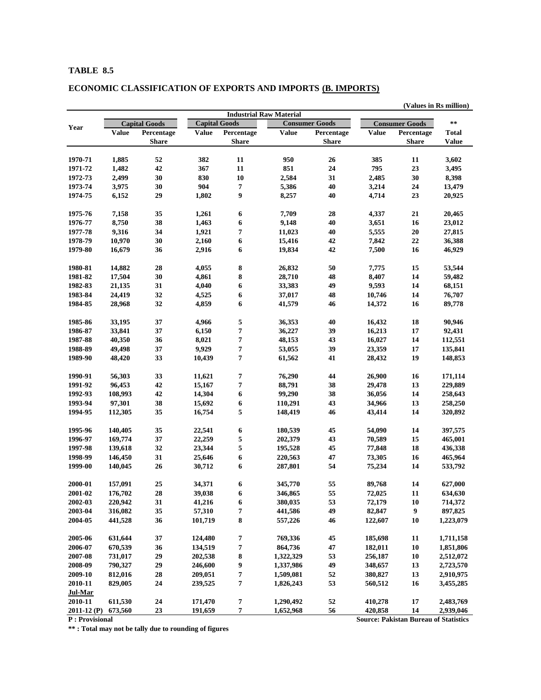# **ECONOMIC CLASSIFICATION OF EXPORTS AND IMPORTS (B. IMPORTS)**

|                    |              |                      |                      |                                |              |                       |              |                                              | (Values in Rs million) |
|--------------------|--------------|----------------------|----------------------|--------------------------------|--------------|-----------------------|--------------|----------------------------------------------|------------------------|
|                    |              |                      |                      | <b>Industrial Raw Material</b> |              |                       |              |                                              |                        |
| Year               |              | <b>Capital Goods</b> | <b>Capital Goods</b> |                                |              | <b>Consumer Goods</b> |              | <b>Consumer Goods</b>                        | $\star\star$           |
|                    | <b>Value</b> | Percentage           | <b>Value</b>         | Percentage                     | <b>Value</b> | Percentage            | <b>Value</b> | Percentage                                   | <b>Total</b>           |
|                    |              | <b>Share</b>         |                      | Share                          |              | Share                 |              | <b>Share</b>                                 | <b>Value</b>           |
| 1970-71            | 1,885        | 52                   | 382                  | 11                             | 950          | 26                    | 385          | 11                                           | 3,602                  |
| 1971-72            | 1,482        | 42                   | 367                  | 11                             | 851          | 24                    | 795          | 23                                           | 3,495                  |
| 1972-73            | 2,499        | 30                   | 830                  | 10                             | 2,584        | 31                    | 2,485        | 30                                           | 8,398                  |
| 1973-74            | 3,975        | 30                   | 904                  | 7                              | 5,386        | 40                    | 3,214        | 24                                           | 13,479                 |
| 1974-75            | 6,152        | 29                   | 1,802                | 9                              | 8,257        | 40                    | 4,714        | 23                                           | 20,925                 |
| 1975-76            | 7,158        | 35                   | 1,261                | 6                              | 7,709        | 28                    | 4,337        | 21                                           | 20,465                 |
| 1976-77            | 8,750        | 38                   | 1,463                | 6                              | 9,148        | 40                    | 3,651        | 16                                           | 23,012                 |
| 1977-78            | 9,316        | 34                   | 1,921                | 7                              | 11,023       | 40                    | 5,555        | 20                                           | 27,815                 |
| 1978-79            | 10,970       | 30                   | 2,160                | 6                              | 15,416       | 42                    | 7,842        | 22                                           | 36,388                 |
| 1979-80            | 16,679       | 36                   | 2,916                | 6                              | 19,834       | 42                    | 7,500        | 16                                           | 46,929                 |
|                    |              |                      |                      |                                |              |                       |              |                                              |                        |
| 1980-81            | 14,882       | 28                   | 4,055                | 8                              | 26,832       | 50                    | 7,775        | 15                                           | 53,544                 |
| 1981-82            | 17,504       | 30                   | 4,861                | 8                              | 28,710       | 48                    | 8,407        | 14                                           | 59,482                 |
| 1982-83            | 21,135       | 31                   | 4,040                | 6                              | 33,383       | 49                    | 9,593        | 14                                           | 68,151                 |
| 1983-84            | 24,419       | 32                   | 4,525                | 6                              | 37,017       | 48                    | 10,746       | 14                                           | 76,707                 |
| 1984-85            | 28,968       | 32                   | 4,859                | 6                              | 41,579       | 46                    | 14,372       | 16                                           | 89,778                 |
| 1985-86            | 33,195       | 37                   | 4,966                | 5                              | 36,353       | 40                    | 16,432       | 18                                           | 90,946                 |
| 1986-87            | 33,841       | 37                   | 6,150                | 7                              | 36,227       | 39                    | 16,213       | 17                                           | 92,431                 |
| 1987-88            | 40,350       | 36                   | 8,021                | 7                              | 48,153       | 43                    | 16,027       | 14                                           | 112,551                |
| 1988-89            | 49,498       | 37                   | 9,929                | 7                              | 53,055       | 39                    | 23,359       | 17                                           | 135,841                |
| 1989-90            | 48,420       | 33                   | 10,439               | 7                              | 61,562       | 41                    | 28,432       | 19                                           | 148,853                |
| 1990-91            | 56,303       | 33                   | 11,621               | 7                              | 76,290       | 44                    | 26,900       | 16                                           | 171,114                |
| 1991-92            | 96,453       | 42                   | 15,167               | 7                              | 88,791       | 38                    | 29,478       | 13                                           | 229,889                |
| 1992-93            | 108,993      | 42                   | 14,304               | 6                              | 99,290       | 38                    | 36,056       | 14                                           | 258,643                |
| 1993-94            | 97,301       | 38                   | 15,692               | 6                              | 110,291      | 43                    | 34,966       | 13                                           | 258,250                |
| 1994-95            | 112,305      | 35                   | 16,754               | 5                              | 148,419      | 46                    | 43,414       | 14                                           | 320,892                |
| 1995-96            | 140,405      | 35                   | 22,541               | 6                              | 180,539      | 45                    | 54,090       | 14                                           | 397,575                |
| 1996-97            | 169,774      | 37                   | 22,259               | 5                              | 202,379      | 43                    | 70,589       | 15                                           | 465,001                |
| 1997-98            | 139,618      | 32                   | 23,344               | 5                              | 195,528      | 45                    | 77,848       | 18                                           | 436,338                |
| 1998-99            | 146,450      | 31                   | 25,646               | 6                              | 220,563      | 47                    | 73,305       | 16                                           | 465,964                |
| 1999-00            | 140,045      | 26                   | 30,712               | 6                              | 287,801      | 54                    | 75,234       | 14                                           | 533,792                |
| 2000-01            | 157,091      | 25                   | 34,371               | 6                              | 345,770      | 55                    | 89,768       | 14                                           | 627,000                |
|                    |              |                      |                      |                                |              |                       |              |                                              |                        |
| 2001-02            | 176,702      | 28                   | 39,038               | 6                              | 346,865      | 55                    | 72,025       | <b>11</b>                                    | 634,630                |
| 2002-03            | 220,942      | 31                   | 41,216               | 6                              | 380,035      | 53                    | 72,179       | 10                                           | 714,372                |
| 2003-04<br>2004-05 | 316,082      | 35                   | 57,310               | 7                              | 441,586      | 49                    | 82,847       | 9                                            | 897,825                |
|                    | 441,528      | 36                   | 101,719              | 8                              | 557,226      | 46                    | 122,607      | 10                                           | 1,223,079              |
| 2005-06            | 631,644      | 37                   | 124,480              | 7                              | 769,336      | 45                    | 185,698      | 11                                           | 1,711,158              |
| 2006-07            | 670,539      | 36                   | 134,519              | 7                              | 864,736      | 47                    | 182,011      | 10                                           | 1,851,806              |
| 2007-08            | 731,017      | 29                   | 202,538              | 8                              | 1,322,329    | 53                    | 256,187      | 10                                           | 2,512,072              |
| 2008-09            | 790,327      | ${\bf 29}$           | 246,600              | 9                              | 1,337,986    | 49                    | 348,657      | 13                                           | 2,723,570              |
| 2009-10            | 812,016      | 28                   | 209,051              | 7                              | 1,509,081    | 52                    | 380,827      | 13                                           | 2,910,975              |
| 2010-11<br>Jul-Mar | 829,005      | 24                   | 239,525              | 7                              | 1,826,243    | 53                    | 560,512      | 16                                           | 3,455,285              |
| 2010-11            | 611,530      | 24                   | 171,470              | 7                              | 1,290,492    | 52                    | 410,278      | 17                                           | 2,483,769              |
| $2011 - 12$ (P)    | 673,560      | 23                   | 191,659              | 7                              | 1,652,968    | 56                    | 420,858      | 14                                           | 2,939,046              |
| P: Provisional     |              |                      |                      |                                |              |                       |              | <b>Source: Pakistan Bureau of Statistics</b> |                        |

**\*\* : Total may not be tally due to rounding of figures**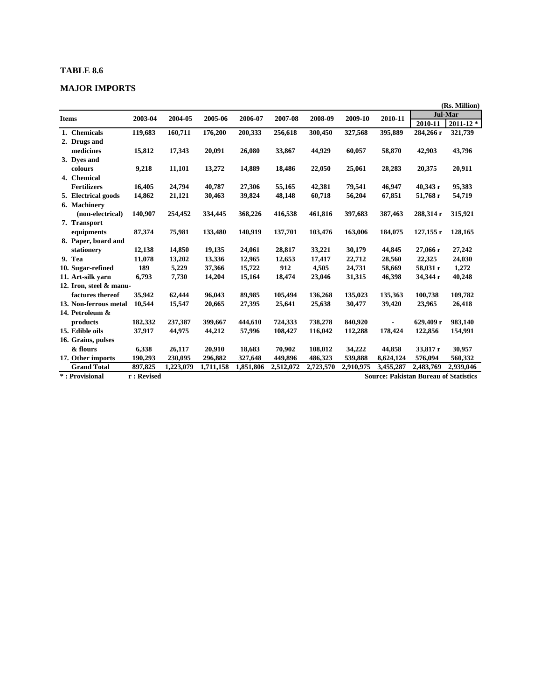# **MAJOR IMPORTS**

|                         |            |           |           |           |           |           |           |                                              |             | (Rs. Million)  |
|-------------------------|------------|-----------|-----------|-----------|-----------|-----------|-----------|----------------------------------------------|-------------|----------------|
| <b>Items</b>            | 2003-04    | 2004-05   | 2005-06   | 2006-07   | 2007-08   | 2008-09   | 2009-10   | 2010-11                                      |             | <b>Jul-Mar</b> |
|                         |            |           |           |           |           |           |           |                                              | 2010-11     | $2011 - 12$ *  |
| 1. Chemicals            | 119,683    | 160,711   | 176,200   | 200,333   | 256,618   | 300,450   | 327,568   | 395,889                                      | 284,266 r   | 321,739        |
| 2. Drugs and            |            |           |           |           |           |           |           |                                              |             |                |
| medicines               | 15,812     | 17,343    | 20,091    | 26,080    | 33,867    | 44,929    | 60,057    | 58,870                                       | 42,903      | 43,796         |
| 3. Dyes and             |            |           |           |           |           |           |           |                                              |             |                |
| colours                 | 9,218      | 11,101    | 13,272    | 14,889    | 18,486    | 22,050    | 25,061    | 28,283                                       | 20,375      | 20,911         |
| 4. Chemical             |            |           |           |           |           |           |           |                                              |             |                |
| <b>Fertilizers</b>      | 16,405     | 24,794    | 40,787    | 27,306    | 55,165    | 42,381    | 79,541    | 46,947                                       | 40,343 г    | 95,383         |
| 5. Electrical goods     | 14,862     | 21,121    | 30,463    | 39,824    | 48,148    | 60,718    | 56,204    | 67,851                                       | 51,768 r    | 54,719         |
| 6. Machinery            |            |           |           |           |           |           |           |                                              |             |                |
| (non-electrical)        | 140,907    | 254,452   | 334,445   | 368,226   | 416,538   | 461,816   | 397,683   | 387,463                                      | 288,314 r   | 315,921        |
| 7. Transport            |            |           |           |           |           |           |           |                                              |             |                |
| equipments              | 87,374     | 75,981    | 133,480   | 140,919   | 137,701   | 103,476   | 163,006   | 184,075                                      | $127,155$ r | 128,165        |
| 8. Paper, board and     |            |           |           |           |           |           |           |                                              |             |                |
| stationery              | 12,138     | 14,850    | 19,135    | 24,061    | 28,817    | 33,221    | 30,179    | 44,845                                       | 27,066 r    | 27,242         |
| 9. Tea                  | 11,078     | 13,202    | 13,336    | 12,965    | 12,653    | 17,417    | 22,712    | 28,560                                       | 22,325      | 24,030         |
| 10. Sugar-refined       | 189        | 5,229     | 37,366    | 15,722    | 912       | 4,505     | 24,731    | 58,669                                       | 58,031 r    | 1,272          |
| 11. Art-silk varn       | 6,793      | 7,730     | 14,204    | 15,164    | 18,474    | 23,046    | 31,315    | 46,398                                       | 34,344 r    | 40,248         |
| 12. Iron, steel & manu- |            |           |           |           |           |           |           |                                              |             |                |
| factures thereof        | 35,942     | 62,444    | 96,043    | 89.985    | 105,494   | 136,268   | 135,023   | 135,363                                      | 100,738     | 109,782        |
| 13. Non-ferrous metal   | 10,544     | 15,547    | 20,665    | 27,395    | 25,641    | 25,638    | 30,477    | 39,420                                       | 23,965      | 26,418         |
| 14. Petroleum &         |            |           |           |           |           |           |           |                                              |             |                |
| products                | 182,332    | 237,387   | 399,667   | 444.610   | 724.333   | 738,278   | 840,920   |                                              | 629.409 r   | 983,140        |
| 15. Edible oils         | 37,917     | 44,975    | 44,212    | 57,996    | 108,427   | 116,042   | 112,288   | 178,424                                      | 122,856     | 154,991        |
| 16. Grains, pulses      |            |           |           |           |           |           |           |                                              |             |                |
| & flours                | 6,338      | 26,117    | 20,910    | 18,683    | 70.902    | 108,012   | 34,222    | 44,858                                       | 33,817 r    | 30,957         |
| 17. Other imports       | 190,293    | 230,095   | 296,882   | 327,648   | 449,896   | 486,323   | 539,888   | 8,624,124                                    | 576,094     | 560,332        |
| <b>Grand Total</b>      | 897,825    | 1,223,079 | 1,711,158 | 1,851,806 | 2,512,072 | 2,723,570 | 2,910,975 | 3,455,287                                    | 2,483,769   | 2,939,046      |
| *: Provisional          | r: Revised |           |           |           |           |           |           | <b>Source: Pakistan Bureau of Statistics</b> |             |                |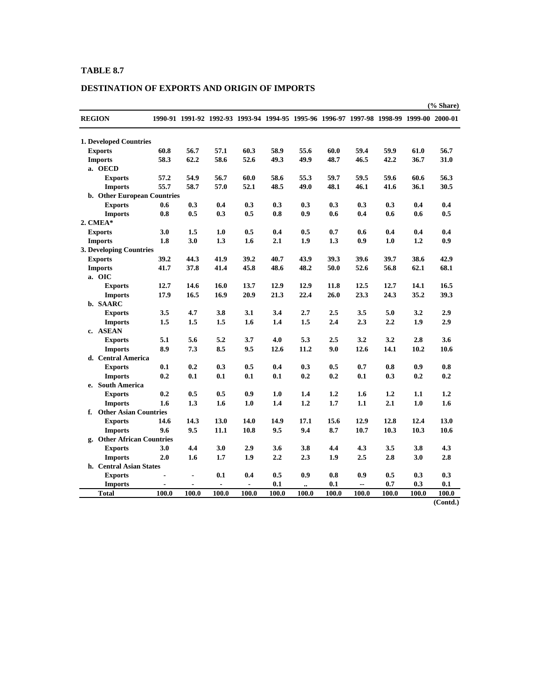# **DESTINATION OF EXPORTS AND ORIGIN OF IMPORTS**

| 1990-91 1991-92 1992-93 1993-94 1994-95 1995-96 1996-97 1997-98 1998-99 1999-00 2000-01<br><b>REGION</b><br><b>1. Developed Countries</b><br>60.8<br>56.7<br>57.1<br>60.3<br>58.9<br>55.6<br>59.4<br>59.9<br>61.0<br>56.7<br><b>Exports</b><br>60.0<br>62.2<br>52.6<br>49.9<br>42.2<br>58.3<br>58.6<br>49.3<br>48.7<br>46.5<br>36.7<br>31.0<br><b>Imports</b><br>a. OECD<br>57.2<br>54.9<br>56.7<br>60.0<br>58.6<br>55.3<br>59.7<br>59.5<br>59.6<br>60.6<br>56.3<br><b>Exports</b><br>55.7<br>58.7<br>57.0<br>52.1<br>48.5<br>49.0<br>48.1<br>46.1<br>41.6<br>36.1<br>30.5<br><b>Imports</b><br>b. Other European Countries<br>0.3<br>0.4<br>0.3<br>0.3<br>0.3<br>0.3<br>0.3<br>0.3<br>0.4<br>0.4<br><b>Exports</b><br>0.6<br>0.8<br>0.8<br>0.5<br>0.3<br>0.5<br>0.9<br>0.6<br>0.4<br>0.6<br>0.6<br>0.5<br><b>Imports</b><br>2. CMEA*<br>3.0<br>1.5<br>1.0<br>0.5<br>0.4<br>0.5<br>0.7<br>0.4<br>0.4<br>0.4<br><b>Exports</b><br>0.6<br>1.8<br>2.1<br>1.9<br>1.0<br>1.2<br>0.9<br>3.0<br>1.3<br>1.6<br>1.3<br>0.9<br><b>Imports</b><br>3. Developing Countries<br>39.2<br>39.2<br>43.9<br>39.6<br>38.6<br>44.3<br>41.9<br>40.7<br>39.3<br>39.7<br>42.9<br><b>Exports</b><br>37.8<br>45.8<br>48.6<br>48.2<br>52.6<br>56.8<br>62.1<br>68.1<br><b>Imports</b><br>41.7<br>41.4<br>50.0<br>a. OIC<br>12.7<br>14.6<br>16.0<br>13.7<br>12.9<br>12.9<br>11.8<br>12.5<br>12.7<br>14.1<br>16.5<br><b>Exports</b><br>16.5<br>20.9<br>22.4<br>23.3<br>24.3<br>35.2<br>39.3<br>17.9<br>16.9<br>21.3<br>26.0<br><b>Imports</b><br>b. SAARC<br>3.5<br>3.4<br>3.5<br>5.0<br>2.9<br>4.7<br>3.8<br>3.1<br>2.7<br>2.5<br>3.2<br><b>Exports</b><br>1.4<br>1.5<br>2.3<br>2.2<br>1.5<br>1.5<br>1.5<br>1.6<br>2.4<br>1.9<br>2.9<br><b>Imports</b><br>c. ASEAN<br>5.1<br>5.6<br>5.2<br>3.7<br>4.0<br>5.3<br>2.5<br>3.2<br>3.2<br>2.8<br>3.6<br><b>Exports</b><br>8.9<br>7.3<br>8.5<br>9.5<br>12.6<br>11.2<br>9.0<br>12.6<br>14.1<br>10.2<br><b>Imports</b><br>10.6<br>d. Central America<br>0.1<br>0.8<br>0.9<br><b>Exports</b><br>0.2<br>0.3<br>0.5<br>0.4<br>0.3<br>0.5<br>0.7<br>0.8<br>0.2<br>0.1<br>0.2<br>0.2<br>0.3<br>0.2<br>0.2<br><b>Imports</b><br>0.1<br>0.1<br>0.1<br>0.1<br>e. South America<br>0.2<br>0.5<br>0.5<br>0.9<br>1.0<br>1.2<br>1.2<br>1.4<br>1.6<br>1.1<br>1.2<br><b>Exports</b><br>1.6<br>1.3<br>1.0<br>1.4<br>1.2<br>1.7<br>1.1<br>2.1<br>1.0<br><b>Imports</b><br>1.6<br>1.6<br>f. Other Asian Countries<br>14.3<br>17.1<br>15.6<br>12.9<br>12.8<br>12.4<br><b>Exports</b><br>14.6<br>13.0<br>14.0<br>14.9<br>13.0<br>9.6<br>9.5<br>9.5<br>9.4<br>8.7<br>10.7<br>10.3<br>10.3<br>10.6<br><b>Imports</b><br>11.1<br>10.8<br>g. Other African Countries<br>3.0<br>4.4<br>3.0<br>2.9<br>3.6<br>4.4<br>4.3<br>3.5<br>3.8<br>4.3<br><b>Exports</b><br>3.8<br>2.0<br>1.9<br>2.2<br>2.3<br>2.5<br>2.8<br><b>Imports</b><br>1.6<br>1.7<br>1.9<br>3.0<br>2.8<br>h. Central Asian States<br>0.1<br>0.4<br>0.5<br>0.9<br>0.8<br>0.5<br>0.3<br><b>Exports</b><br>0.9<br>0.3<br>$\overline{a}$<br>0.1<br>0.7<br>0.3<br>0.1<br>0.1<br><b>Imports</b><br>$\overline{a}$<br>$\overline{a}$<br>$\overline{a}$<br>$\ddot{\phantom{a}}$<br><b>Total</b><br>100.0<br>100.0<br>100.0<br>100.0<br>100.0<br>100.0<br>100.0<br>100.0<br>100.0<br>100.0<br>100.0 |  |  |  |  |  | $%$ Share) |
|---------------------------------------------------------------------------------------------------------------------------------------------------------------------------------------------------------------------------------------------------------------------------------------------------------------------------------------------------------------------------------------------------------------------------------------------------------------------------------------------------------------------------------------------------------------------------------------------------------------------------------------------------------------------------------------------------------------------------------------------------------------------------------------------------------------------------------------------------------------------------------------------------------------------------------------------------------------------------------------------------------------------------------------------------------------------------------------------------------------------------------------------------------------------------------------------------------------------------------------------------------------------------------------------------------------------------------------------------------------------------------------------------------------------------------------------------------------------------------------------------------------------------------------------------------------------------------------------------------------------------------------------------------------------------------------------------------------------------------------------------------------------------------------------------------------------------------------------------------------------------------------------------------------------------------------------------------------------------------------------------------------------------------------------------------------------------------------------------------------------------------------------------------------------------------------------------------------------------------------------------------------------------------------------------------------------------------------------------------------------------------------------------------------------------------------------------------------------------------------------------------------------------------------------------------------------------------------------------------------------------------------------------------------------------------------------------------------------------------------------------------------------------------------------------------------------------------------------------------------------------------------------------------------------------------------------------------------------------------------------------------------------------------------------------------------------------------------------------------------------------------------------------------------------------------------------------------------------------------------------|--|--|--|--|--|------------|
|                                                                                                                                                                                                                                                                                                                                                                                                                                                                                                                                                                                                                                                                                                                                                                                                                                                                                                                                                                                                                                                                                                                                                                                                                                                                                                                                                                                                                                                                                                                                                                                                                                                                                                                                                                                                                                                                                                                                                                                                                                                                                                                                                                                                                                                                                                                                                                                                                                                                                                                                                                                                                                                                                                                                                                                                                                                                                                                                                                                                                                                                                                                                                                                                                                             |  |  |  |  |  |            |
|                                                                                                                                                                                                                                                                                                                                                                                                                                                                                                                                                                                                                                                                                                                                                                                                                                                                                                                                                                                                                                                                                                                                                                                                                                                                                                                                                                                                                                                                                                                                                                                                                                                                                                                                                                                                                                                                                                                                                                                                                                                                                                                                                                                                                                                                                                                                                                                                                                                                                                                                                                                                                                                                                                                                                                                                                                                                                                                                                                                                                                                                                                                                                                                                                                             |  |  |  |  |  |            |
|                                                                                                                                                                                                                                                                                                                                                                                                                                                                                                                                                                                                                                                                                                                                                                                                                                                                                                                                                                                                                                                                                                                                                                                                                                                                                                                                                                                                                                                                                                                                                                                                                                                                                                                                                                                                                                                                                                                                                                                                                                                                                                                                                                                                                                                                                                                                                                                                                                                                                                                                                                                                                                                                                                                                                                                                                                                                                                                                                                                                                                                                                                                                                                                                                                             |  |  |  |  |  |            |
|                                                                                                                                                                                                                                                                                                                                                                                                                                                                                                                                                                                                                                                                                                                                                                                                                                                                                                                                                                                                                                                                                                                                                                                                                                                                                                                                                                                                                                                                                                                                                                                                                                                                                                                                                                                                                                                                                                                                                                                                                                                                                                                                                                                                                                                                                                                                                                                                                                                                                                                                                                                                                                                                                                                                                                                                                                                                                                                                                                                                                                                                                                                                                                                                                                             |  |  |  |  |  |            |
|                                                                                                                                                                                                                                                                                                                                                                                                                                                                                                                                                                                                                                                                                                                                                                                                                                                                                                                                                                                                                                                                                                                                                                                                                                                                                                                                                                                                                                                                                                                                                                                                                                                                                                                                                                                                                                                                                                                                                                                                                                                                                                                                                                                                                                                                                                                                                                                                                                                                                                                                                                                                                                                                                                                                                                                                                                                                                                                                                                                                                                                                                                                                                                                                                                             |  |  |  |  |  |            |
|                                                                                                                                                                                                                                                                                                                                                                                                                                                                                                                                                                                                                                                                                                                                                                                                                                                                                                                                                                                                                                                                                                                                                                                                                                                                                                                                                                                                                                                                                                                                                                                                                                                                                                                                                                                                                                                                                                                                                                                                                                                                                                                                                                                                                                                                                                                                                                                                                                                                                                                                                                                                                                                                                                                                                                                                                                                                                                                                                                                                                                                                                                                                                                                                                                             |  |  |  |  |  |            |
|                                                                                                                                                                                                                                                                                                                                                                                                                                                                                                                                                                                                                                                                                                                                                                                                                                                                                                                                                                                                                                                                                                                                                                                                                                                                                                                                                                                                                                                                                                                                                                                                                                                                                                                                                                                                                                                                                                                                                                                                                                                                                                                                                                                                                                                                                                                                                                                                                                                                                                                                                                                                                                                                                                                                                                                                                                                                                                                                                                                                                                                                                                                                                                                                                                             |  |  |  |  |  |            |
|                                                                                                                                                                                                                                                                                                                                                                                                                                                                                                                                                                                                                                                                                                                                                                                                                                                                                                                                                                                                                                                                                                                                                                                                                                                                                                                                                                                                                                                                                                                                                                                                                                                                                                                                                                                                                                                                                                                                                                                                                                                                                                                                                                                                                                                                                                                                                                                                                                                                                                                                                                                                                                                                                                                                                                                                                                                                                                                                                                                                                                                                                                                                                                                                                                             |  |  |  |  |  |            |
|                                                                                                                                                                                                                                                                                                                                                                                                                                                                                                                                                                                                                                                                                                                                                                                                                                                                                                                                                                                                                                                                                                                                                                                                                                                                                                                                                                                                                                                                                                                                                                                                                                                                                                                                                                                                                                                                                                                                                                                                                                                                                                                                                                                                                                                                                                                                                                                                                                                                                                                                                                                                                                                                                                                                                                                                                                                                                                                                                                                                                                                                                                                                                                                                                                             |  |  |  |  |  |            |
|                                                                                                                                                                                                                                                                                                                                                                                                                                                                                                                                                                                                                                                                                                                                                                                                                                                                                                                                                                                                                                                                                                                                                                                                                                                                                                                                                                                                                                                                                                                                                                                                                                                                                                                                                                                                                                                                                                                                                                                                                                                                                                                                                                                                                                                                                                                                                                                                                                                                                                                                                                                                                                                                                                                                                                                                                                                                                                                                                                                                                                                                                                                                                                                                                                             |  |  |  |  |  |            |
|                                                                                                                                                                                                                                                                                                                                                                                                                                                                                                                                                                                                                                                                                                                                                                                                                                                                                                                                                                                                                                                                                                                                                                                                                                                                                                                                                                                                                                                                                                                                                                                                                                                                                                                                                                                                                                                                                                                                                                                                                                                                                                                                                                                                                                                                                                                                                                                                                                                                                                                                                                                                                                                                                                                                                                                                                                                                                                                                                                                                                                                                                                                                                                                                                                             |  |  |  |  |  |            |
|                                                                                                                                                                                                                                                                                                                                                                                                                                                                                                                                                                                                                                                                                                                                                                                                                                                                                                                                                                                                                                                                                                                                                                                                                                                                                                                                                                                                                                                                                                                                                                                                                                                                                                                                                                                                                                                                                                                                                                                                                                                                                                                                                                                                                                                                                                                                                                                                                                                                                                                                                                                                                                                                                                                                                                                                                                                                                                                                                                                                                                                                                                                                                                                                                                             |  |  |  |  |  |            |
|                                                                                                                                                                                                                                                                                                                                                                                                                                                                                                                                                                                                                                                                                                                                                                                                                                                                                                                                                                                                                                                                                                                                                                                                                                                                                                                                                                                                                                                                                                                                                                                                                                                                                                                                                                                                                                                                                                                                                                                                                                                                                                                                                                                                                                                                                                                                                                                                                                                                                                                                                                                                                                                                                                                                                                                                                                                                                                                                                                                                                                                                                                                                                                                                                                             |  |  |  |  |  |            |
|                                                                                                                                                                                                                                                                                                                                                                                                                                                                                                                                                                                                                                                                                                                                                                                                                                                                                                                                                                                                                                                                                                                                                                                                                                                                                                                                                                                                                                                                                                                                                                                                                                                                                                                                                                                                                                                                                                                                                                                                                                                                                                                                                                                                                                                                                                                                                                                                                                                                                                                                                                                                                                                                                                                                                                                                                                                                                                                                                                                                                                                                                                                                                                                                                                             |  |  |  |  |  |            |
|                                                                                                                                                                                                                                                                                                                                                                                                                                                                                                                                                                                                                                                                                                                                                                                                                                                                                                                                                                                                                                                                                                                                                                                                                                                                                                                                                                                                                                                                                                                                                                                                                                                                                                                                                                                                                                                                                                                                                                                                                                                                                                                                                                                                                                                                                                                                                                                                                                                                                                                                                                                                                                                                                                                                                                                                                                                                                                                                                                                                                                                                                                                                                                                                                                             |  |  |  |  |  |            |
|                                                                                                                                                                                                                                                                                                                                                                                                                                                                                                                                                                                                                                                                                                                                                                                                                                                                                                                                                                                                                                                                                                                                                                                                                                                                                                                                                                                                                                                                                                                                                                                                                                                                                                                                                                                                                                                                                                                                                                                                                                                                                                                                                                                                                                                                                                                                                                                                                                                                                                                                                                                                                                                                                                                                                                                                                                                                                                                                                                                                                                                                                                                                                                                                                                             |  |  |  |  |  |            |
|                                                                                                                                                                                                                                                                                                                                                                                                                                                                                                                                                                                                                                                                                                                                                                                                                                                                                                                                                                                                                                                                                                                                                                                                                                                                                                                                                                                                                                                                                                                                                                                                                                                                                                                                                                                                                                                                                                                                                                                                                                                                                                                                                                                                                                                                                                                                                                                                                                                                                                                                                                                                                                                                                                                                                                                                                                                                                                                                                                                                                                                                                                                                                                                                                                             |  |  |  |  |  |            |
|                                                                                                                                                                                                                                                                                                                                                                                                                                                                                                                                                                                                                                                                                                                                                                                                                                                                                                                                                                                                                                                                                                                                                                                                                                                                                                                                                                                                                                                                                                                                                                                                                                                                                                                                                                                                                                                                                                                                                                                                                                                                                                                                                                                                                                                                                                                                                                                                                                                                                                                                                                                                                                                                                                                                                                                                                                                                                                                                                                                                                                                                                                                                                                                                                                             |  |  |  |  |  |            |
|                                                                                                                                                                                                                                                                                                                                                                                                                                                                                                                                                                                                                                                                                                                                                                                                                                                                                                                                                                                                                                                                                                                                                                                                                                                                                                                                                                                                                                                                                                                                                                                                                                                                                                                                                                                                                                                                                                                                                                                                                                                                                                                                                                                                                                                                                                                                                                                                                                                                                                                                                                                                                                                                                                                                                                                                                                                                                                                                                                                                                                                                                                                                                                                                                                             |  |  |  |  |  |            |
|                                                                                                                                                                                                                                                                                                                                                                                                                                                                                                                                                                                                                                                                                                                                                                                                                                                                                                                                                                                                                                                                                                                                                                                                                                                                                                                                                                                                                                                                                                                                                                                                                                                                                                                                                                                                                                                                                                                                                                                                                                                                                                                                                                                                                                                                                                                                                                                                                                                                                                                                                                                                                                                                                                                                                                                                                                                                                                                                                                                                                                                                                                                                                                                                                                             |  |  |  |  |  |            |
|                                                                                                                                                                                                                                                                                                                                                                                                                                                                                                                                                                                                                                                                                                                                                                                                                                                                                                                                                                                                                                                                                                                                                                                                                                                                                                                                                                                                                                                                                                                                                                                                                                                                                                                                                                                                                                                                                                                                                                                                                                                                                                                                                                                                                                                                                                                                                                                                                                                                                                                                                                                                                                                                                                                                                                                                                                                                                                                                                                                                                                                                                                                                                                                                                                             |  |  |  |  |  |            |
|                                                                                                                                                                                                                                                                                                                                                                                                                                                                                                                                                                                                                                                                                                                                                                                                                                                                                                                                                                                                                                                                                                                                                                                                                                                                                                                                                                                                                                                                                                                                                                                                                                                                                                                                                                                                                                                                                                                                                                                                                                                                                                                                                                                                                                                                                                                                                                                                                                                                                                                                                                                                                                                                                                                                                                                                                                                                                                                                                                                                                                                                                                                                                                                                                                             |  |  |  |  |  |            |
|                                                                                                                                                                                                                                                                                                                                                                                                                                                                                                                                                                                                                                                                                                                                                                                                                                                                                                                                                                                                                                                                                                                                                                                                                                                                                                                                                                                                                                                                                                                                                                                                                                                                                                                                                                                                                                                                                                                                                                                                                                                                                                                                                                                                                                                                                                                                                                                                                                                                                                                                                                                                                                                                                                                                                                                                                                                                                                                                                                                                                                                                                                                                                                                                                                             |  |  |  |  |  |            |
|                                                                                                                                                                                                                                                                                                                                                                                                                                                                                                                                                                                                                                                                                                                                                                                                                                                                                                                                                                                                                                                                                                                                                                                                                                                                                                                                                                                                                                                                                                                                                                                                                                                                                                                                                                                                                                                                                                                                                                                                                                                                                                                                                                                                                                                                                                                                                                                                                                                                                                                                                                                                                                                                                                                                                                                                                                                                                                                                                                                                                                                                                                                                                                                                                                             |  |  |  |  |  |            |
|                                                                                                                                                                                                                                                                                                                                                                                                                                                                                                                                                                                                                                                                                                                                                                                                                                                                                                                                                                                                                                                                                                                                                                                                                                                                                                                                                                                                                                                                                                                                                                                                                                                                                                                                                                                                                                                                                                                                                                                                                                                                                                                                                                                                                                                                                                                                                                                                                                                                                                                                                                                                                                                                                                                                                                                                                                                                                                                                                                                                                                                                                                                                                                                                                                             |  |  |  |  |  |            |
|                                                                                                                                                                                                                                                                                                                                                                                                                                                                                                                                                                                                                                                                                                                                                                                                                                                                                                                                                                                                                                                                                                                                                                                                                                                                                                                                                                                                                                                                                                                                                                                                                                                                                                                                                                                                                                                                                                                                                                                                                                                                                                                                                                                                                                                                                                                                                                                                                                                                                                                                                                                                                                                                                                                                                                                                                                                                                                                                                                                                                                                                                                                                                                                                                                             |  |  |  |  |  |            |
|                                                                                                                                                                                                                                                                                                                                                                                                                                                                                                                                                                                                                                                                                                                                                                                                                                                                                                                                                                                                                                                                                                                                                                                                                                                                                                                                                                                                                                                                                                                                                                                                                                                                                                                                                                                                                                                                                                                                                                                                                                                                                                                                                                                                                                                                                                                                                                                                                                                                                                                                                                                                                                                                                                                                                                                                                                                                                                                                                                                                                                                                                                                                                                                                                                             |  |  |  |  |  |            |
|                                                                                                                                                                                                                                                                                                                                                                                                                                                                                                                                                                                                                                                                                                                                                                                                                                                                                                                                                                                                                                                                                                                                                                                                                                                                                                                                                                                                                                                                                                                                                                                                                                                                                                                                                                                                                                                                                                                                                                                                                                                                                                                                                                                                                                                                                                                                                                                                                                                                                                                                                                                                                                                                                                                                                                                                                                                                                                                                                                                                                                                                                                                                                                                                                                             |  |  |  |  |  |            |
|                                                                                                                                                                                                                                                                                                                                                                                                                                                                                                                                                                                                                                                                                                                                                                                                                                                                                                                                                                                                                                                                                                                                                                                                                                                                                                                                                                                                                                                                                                                                                                                                                                                                                                                                                                                                                                                                                                                                                                                                                                                                                                                                                                                                                                                                                                                                                                                                                                                                                                                                                                                                                                                                                                                                                                                                                                                                                                                                                                                                                                                                                                                                                                                                                                             |  |  |  |  |  |            |
|                                                                                                                                                                                                                                                                                                                                                                                                                                                                                                                                                                                                                                                                                                                                                                                                                                                                                                                                                                                                                                                                                                                                                                                                                                                                                                                                                                                                                                                                                                                                                                                                                                                                                                                                                                                                                                                                                                                                                                                                                                                                                                                                                                                                                                                                                                                                                                                                                                                                                                                                                                                                                                                                                                                                                                                                                                                                                                                                                                                                                                                                                                                                                                                                                                             |  |  |  |  |  |            |
|                                                                                                                                                                                                                                                                                                                                                                                                                                                                                                                                                                                                                                                                                                                                                                                                                                                                                                                                                                                                                                                                                                                                                                                                                                                                                                                                                                                                                                                                                                                                                                                                                                                                                                                                                                                                                                                                                                                                                                                                                                                                                                                                                                                                                                                                                                                                                                                                                                                                                                                                                                                                                                                                                                                                                                                                                                                                                                                                                                                                                                                                                                                                                                                                                                             |  |  |  |  |  |            |
|                                                                                                                                                                                                                                                                                                                                                                                                                                                                                                                                                                                                                                                                                                                                                                                                                                                                                                                                                                                                                                                                                                                                                                                                                                                                                                                                                                                                                                                                                                                                                                                                                                                                                                                                                                                                                                                                                                                                                                                                                                                                                                                                                                                                                                                                                                                                                                                                                                                                                                                                                                                                                                                                                                                                                                                                                                                                                                                                                                                                                                                                                                                                                                                                                                             |  |  |  |  |  |            |
|                                                                                                                                                                                                                                                                                                                                                                                                                                                                                                                                                                                                                                                                                                                                                                                                                                                                                                                                                                                                                                                                                                                                                                                                                                                                                                                                                                                                                                                                                                                                                                                                                                                                                                                                                                                                                                                                                                                                                                                                                                                                                                                                                                                                                                                                                                                                                                                                                                                                                                                                                                                                                                                                                                                                                                                                                                                                                                                                                                                                                                                                                                                                                                                                                                             |  |  |  |  |  |            |
|                                                                                                                                                                                                                                                                                                                                                                                                                                                                                                                                                                                                                                                                                                                                                                                                                                                                                                                                                                                                                                                                                                                                                                                                                                                                                                                                                                                                                                                                                                                                                                                                                                                                                                                                                                                                                                                                                                                                                                                                                                                                                                                                                                                                                                                                                                                                                                                                                                                                                                                                                                                                                                                                                                                                                                                                                                                                                                                                                                                                                                                                                                                                                                                                                                             |  |  |  |  |  |            |
|                                                                                                                                                                                                                                                                                                                                                                                                                                                                                                                                                                                                                                                                                                                                                                                                                                                                                                                                                                                                                                                                                                                                                                                                                                                                                                                                                                                                                                                                                                                                                                                                                                                                                                                                                                                                                                                                                                                                                                                                                                                                                                                                                                                                                                                                                                                                                                                                                                                                                                                                                                                                                                                                                                                                                                                                                                                                                                                                                                                                                                                                                                                                                                                                                                             |  |  |  |  |  |            |
|                                                                                                                                                                                                                                                                                                                                                                                                                                                                                                                                                                                                                                                                                                                                                                                                                                                                                                                                                                                                                                                                                                                                                                                                                                                                                                                                                                                                                                                                                                                                                                                                                                                                                                                                                                                                                                                                                                                                                                                                                                                                                                                                                                                                                                                                                                                                                                                                                                                                                                                                                                                                                                                                                                                                                                                                                                                                                                                                                                                                                                                                                                                                                                                                                                             |  |  |  |  |  |            |
|                                                                                                                                                                                                                                                                                                                                                                                                                                                                                                                                                                                                                                                                                                                                                                                                                                                                                                                                                                                                                                                                                                                                                                                                                                                                                                                                                                                                                                                                                                                                                                                                                                                                                                                                                                                                                                                                                                                                                                                                                                                                                                                                                                                                                                                                                                                                                                                                                                                                                                                                                                                                                                                                                                                                                                                                                                                                                                                                                                                                                                                                                                                                                                                                                                             |  |  |  |  |  |            |
|                                                                                                                                                                                                                                                                                                                                                                                                                                                                                                                                                                                                                                                                                                                                                                                                                                                                                                                                                                                                                                                                                                                                                                                                                                                                                                                                                                                                                                                                                                                                                                                                                                                                                                                                                                                                                                                                                                                                                                                                                                                                                                                                                                                                                                                                                                                                                                                                                                                                                                                                                                                                                                                                                                                                                                                                                                                                                                                                                                                                                                                                                                                                                                                                                                             |  |  |  |  |  |            |
|                                                                                                                                                                                                                                                                                                                                                                                                                                                                                                                                                                                                                                                                                                                                                                                                                                                                                                                                                                                                                                                                                                                                                                                                                                                                                                                                                                                                                                                                                                                                                                                                                                                                                                                                                                                                                                                                                                                                                                                                                                                                                                                                                                                                                                                                                                                                                                                                                                                                                                                                                                                                                                                                                                                                                                                                                                                                                                                                                                                                                                                                                                                                                                                                                                             |  |  |  |  |  |            |
|                                                                                                                                                                                                                                                                                                                                                                                                                                                                                                                                                                                                                                                                                                                                                                                                                                                                                                                                                                                                                                                                                                                                                                                                                                                                                                                                                                                                                                                                                                                                                                                                                                                                                                                                                                                                                                                                                                                                                                                                                                                                                                                                                                                                                                                                                                                                                                                                                                                                                                                                                                                                                                                                                                                                                                                                                                                                                                                                                                                                                                                                                                                                                                                                                                             |  |  |  |  |  |            |
|                                                                                                                                                                                                                                                                                                                                                                                                                                                                                                                                                                                                                                                                                                                                                                                                                                                                                                                                                                                                                                                                                                                                                                                                                                                                                                                                                                                                                                                                                                                                                                                                                                                                                                                                                                                                                                                                                                                                                                                                                                                                                                                                                                                                                                                                                                                                                                                                                                                                                                                                                                                                                                                                                                                                                                                                                                                                                                                                                                                                                                                                                                                                                                                                                                             |  |  |  |  |  |            |

**(Contd.)**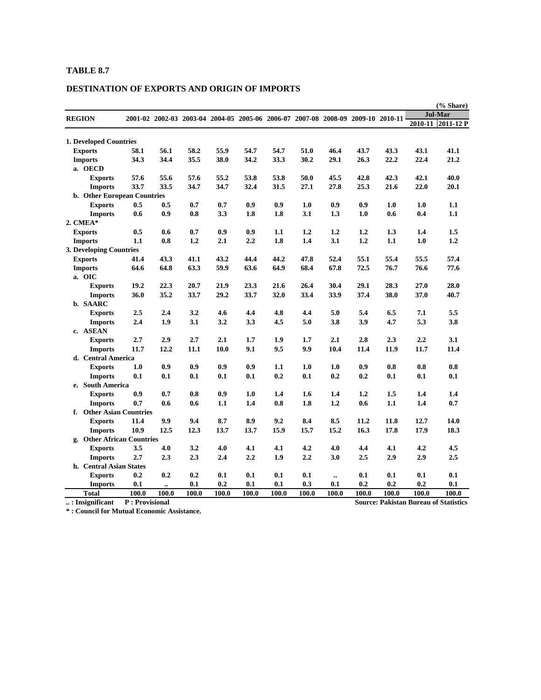### **DESTINATION OF EXPORTS AND ORIGIN OF IMPORTS**

|                                    |                |              |                                                                                 |              |              |              |              |                      |              |              |              | (% Share)                                    |
|------------------------------------|----------------|--------------|---------------------------------------------------------------------------------|--------------|--------------|--------------|--------------|----------------------|--------------|--------------|--------------|----------------------------------------------|
| <b>REGION</b>                      |                |              | 2001-02 2002-03 2003-04 2004-05 2005-06 2006-07 2007-08 2008-09 2009-10 2010-11 |              |              |              |              |                      |              |              |              | <b>Jul-Mar</b>                               |
|                                    |                |              |                                                                                 |              |              |              |              |                      |              |              | 2010-11      | $2011 - 12P$                                 |
|                                    |                |              |                                                                                 |              |              |              |              |                      |              |              |              |                                              |
| <b>1. Developed Countries</b>      |                |              |                                                                                 |              |              |              |              |                      |              |              |              |                                              |
| <b>Exports</b>                     | 58.1           | 56.1<br>34.4 | 58.2<br>35.5                                                                    | 55.9<br>38.0 | 54.7<br>34.2 | 54.7<br>33.3 | 51.0<br>30.2 | 46.4                 | 43.7<br>26.3 | 43.3<br>22.2 | 43.1<br>22.4 | 41.1<br>21.2                                 |
| <b>Imports</b>                     | 34.3           |              |                                                                                 |              |              |              |              | 29.1                 |              |              |              |                                              |
| a. OECD                            |                | 55.6         |                                                                                 | 55.2         | 53.8         | 53.8         | 50.0         | 45.5                 | 42.8         | 42.3         | 42.1         | 40.0                                         |
| <b>Exports</b>                     | 57.6<br>33.7   | 33.5         | 57.6<br>34.7                                                                    | 34.7         | 32.4         | 31.5         | 27.1         | 27.8                 | 25.3         | 21.6         | 22.0         | 20.1                                         |
| <b>Imports</b>                     |                |              |                                                                                 |              |              |              |              |                      |              |              |              |                                              |
| <b>b.</b> Other European Countries | 0.5            | 0.5          | 0.7                                                                             | 0.7          | 0.9          | 0.9          | 1.0          | 0.9                  | 0.9          | 1.0          | 1.0          | 1.1                                          |
| <b>Exports</b>                     | 0.6            | 0.9          | 0.8                                                                             | 3.3          | 1.8          | 1.8          | 3.1          | 1.3                  | 1.0          | 0.6          | 0.4          | 1.1                                          |
| <b>Imports</b><br>2. CMEA*         |                |              |                                                                                 |              |              |              |              |                      |              |              |              |                                              |
|                                    | 0.5            | 0.6          | 0.7                                                                             | 0.9          | 0.9          | 1.1          | 1.2          | 1.2                  |              |              | 1.4          |                                              |
| <b>Exports</b>                     | 1.1            | 0.8          | 1.2                                                                             | 2.1          | 2.2          | 1.8          | 1.4          | 3.1                  | 1.2<br>1.2   | 1.3<br>1.1   | 1.0          | 1.5<br>1.2                                   |
| <b>Imports</b>                     |                |              |                                                                                 |              |              |              |              |                      |              |              |              |                                              |
| 3. Developing Countries            | 41.4           | 43.3         | 41.1                                                                            | 43.2         | 44.4         | 44.2         | 47.8         | 52.4                 | 55.1         | 55.4         | 55.5         | 57.4                                         |
| <b>Exports</b>                     |                | 64.8         | 63.3                                                                            | 59.9         | 63.6         | 64.9         | 68.4         | 67.8                 | 72.5         | 76.7         | 76.6         | 77.6                                         |
| <b>Imports</b><br>a. OIC           | 64.6           |              |                                                                                 |              |              |              |              |                      |              |              |              |                                              |
|                                    |                |              |                                                                                 |              |              |              | 26.4         |                      |              | 28.3         | 27.0         |                                              |
| <b>Exports</b>                     | 19.2<br>36.0   | 22.3<br>35.2 | 20.7<br>33.7                                                                    | 21.9<br>29.2 | 23.3<br>33.7 | 21.6<br>32.0 | 33.4         | 30.4<br>33.9         | 29.1<br>37.4 | 38.0         | 37.0         | 28.0<br>40.7                                 |
| <b>Imports</b><br>b. SAARC         |                |              |                                                                                 |              |              |              |              |                      |              |              |              |                                              |
| <b>Exports</b>                     | 2.5            | 2.4          | 3.2                                                                             | 4.6          | 4.4          | 4.8          | 4.4          | 5.0                  | 5.4          | 6.5          | 7.1          | 5.5                                          |
| <b>Imports</b>                     | 2.4            | 1.9          | 3.1                                                                             | 3.2          | 3.3          | 4.5          | 5.0          | 3.8                  | 3.9          | 4.7          | 5.3          | 3.8                                          |
| c. ASEAN                           |                |              |                                                                                 |              |              |              |              |                      |              |              |              |                                              |
| <b>Exports</b>                     | 2.7            | 2.9          | 2.7                                                                             | 2.1          | 1.7          | 1.9          | 1.7          | 2.1                  | 2.8          | 2.3          | 2.2          | 3.1                                          |
| <b>Imports</b>                     | 11.7           | 12.2         | 11.1                                                                            | 10.0         | 9.1          | 9.5          | 9.9          | 10.4                 | 11.4         | 11.9         | 11.7         | 11.4                                         |
| d. Central America                 |                |              |                                                                                 |              |              |              |              |                      |              |              |              |                                              |
| <b>Exports</b>                     | 1.0            | 0.9          | 0.9                                                                             | 0.9          | 0.9          | 1.1          | 1.0          | 1.0                  | 0.9          | 0.8          | 0.8          | 0.8                                          |
| <b>Imports</b>                     | 0.1            | 0.1          | 0.1                                                                             | 0.1          | 0.1          | 0.2          | 0.1          | 0.2                  | 0.2          | 0.1          | 0.1          | 0.1                                          |
| e. South America                   |                |              |                                                                                 |              |              |              |              |                      |              |              |              |                                              |
| <b>Exports</b>                     | 0.9            | 0.7          | 0.8                                                                             | 0.9          | 1.0          | 1.4          | 1.6          | 1.4                  | 1.2          | 1.5          | 1.4          | 1.4                                          |
| <b>Imports</b>                     | 0.7            | 0.6          | 0.6                                                                             | 1.1          | 1.4          | 0.8          | 1.8          | 1.2                  | 0.6          | 1.1          | 1.4          | 0.7                                          |
| f. Other Asian Countries           |                |              |                                                                                 |              |              |              |              |                      |              |              |              |                                              |
| <b>Exports</b>                     | 11.4           | 9.9          | 9.4                                                                             | 8.7          | 8.9          | 9.2          | 8.4          | 8.5                  | 11.2         | 11.8         | 12.7         | 14.0                                         |
| <b>Imports</b>                     | 10.9           | 12.5         | 12.3                                                                            | 13.7         | 13.7         | 15.9         | 15.7         | 15.2                 | 16.3         | 17.8         | 17.9         | 18.3                                         |
| g. Other African Countries         |                |              |                                                                                 |              |              |              |              |                      |              |              |              |                                              |
| <b>Exports</b>                     | 3.5            | 4.0          | 3.2                                                                             | 4.0          | 4.1          | 4.1          | 4.2          | 4.0                  | 4.4          | 4.1          | 4.2          | 4.5                                          |
| <b>Imports</b>                     | 2.7            | 2.3          | 2.3                                                                             | 2.4          | 2.2          | 1.9          | 2,2          | 3.0                  | 2.5          | 2.9          | 2.9          | 2.5                                          |
| h. Central Asian States            |                |              |                                                                                 |              |              |              |              |                      |              |              |              |                                              |
| <b>Exports</b>                     | 0.2            | 0.2          | 0.2                                                                             | 0.1          | 0.1          | 0.1          | 0.1          | $\ddot{\phantom{a}}$ | 0.1          | 0.1          | 0.1          | 0.1                                          |
| <b>Imports</b>                     | 0.1            | $\ddotsc$    | 0.1                                                                             | 0.2          | 0.1          | 0.1          | 0.3          | 0.1                  | 0.2          | 0.2          | 0.2          | 0.1                                          |
| <b>Total</b>                       | 100.0          | 100.0        | 100.0                                                                           | 100.0        | 100.0        | 100.0        | 100.0        | 100.0                | 100.0        | 100.0        | 100.0        | 100.0                                        |
| : Insignificant                    | P: Provisional |              |                                                                                 |              |              |              |              |                      |              |              |              | <b>Source: Pakistan Bureau of Statistics</b> |

**\* : Council for Mutual Economic Assistance.**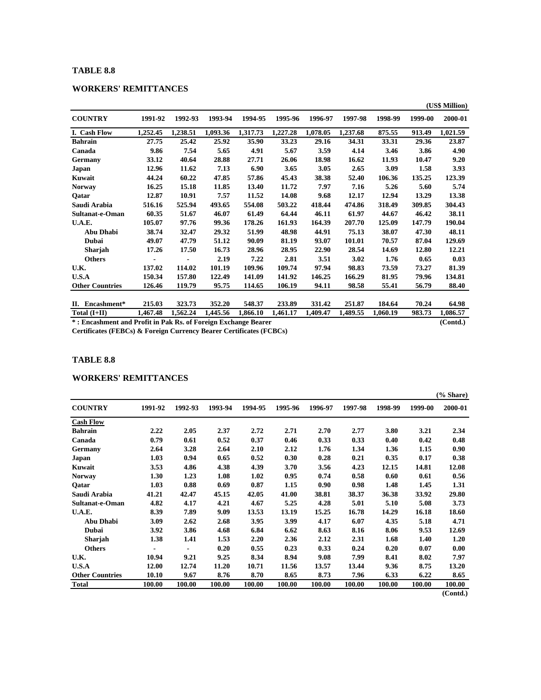### **WORKERS' REMITTANCES**

|                                                                |          |          |          |          |          |          |          |          |          | (US\$ Million) |
|----------------------------------------------------------------|----------|----------|----------|----------|----------|----------|----------|----------|----------|----------------|
| <b>COUNTRY</b>                                                 | 1991-92  | 1992-93  | 1993-94  | 1994-95  | 1995-96  | 1996-97  | 1997-98  | 1998-99  | 1999-00  | 2000-01        |
| I. Cash Flow                                                   | 1,252.45 | 1,238.51 | 1,093.36 | 1,317.73 | 1,227.28 | 1,078.05 | 1,237.68 | 875.55   | 913.49   | 1,021.59       |
| <b>Bahrain</b>                                                 | 27.75    | 25.42    | 25.92    | 35.90    | 33.23    | 29.16    | 34.31    | 33.31    | 29.36    | 23.87          |
| Canada                                                         | 9.86     | 7.54     | 5.65     | 4.91     | 5.67     | 3.59     | 4.14     | 3.46     | 3.86     | 4.90           |
| Germany                                                        | 33.12    | 40.64    | 28.88    | 27.71    | 26.06    | 18.98    | 16.62    | 11.93    | 10.47    | 9.20           |
| Japan                                                          | 12.96    | 11.62    | 7.13     | 6.90     | 3.65     | 3.05     | 2.65     | 3.09     | 1.58     | 3.93           |
| Kuwait                                                         | 44.24    | 60.22    | 47.85    | 57.86    | 45.43    | 38.38    | 52.40    | 106.36   | 135.25   | 123.39         |
| <b>Norway</b>                                                  | 16.25    | 15.18    | 11.85    | 13.40    | 11.72    | 7.97     | 7.16     | 5.26     | 5.60     | 5.74           |
| Oatar                                                          | 12.87    | 10.91    | 7.57     | 11.52    | 14.08    | 9.68     | 12.17    | 12.94    | 13.29    | 13.38          |
| Saudi Arabia                                                   | 516.16   | 525.94   | 493.65   | 554.08   | 503.22   | 418.44   | 474.86   | 318.49   | 309.85   | 304.43         |
| Sultanat-e-Oman                                                | 60.35    | 51.67    | 46.07    | 61.49    | 64.44    | 46.11    | 61.97    | 44.67    | 46.42    | 38.11          |
| U.A.E.                                                         | 105.07   | 97.76    | 99.36    | 178.26   | 161.93   | 164.39   | 207.70   | 125.09   | 147.79   | 190.04         |
| Abu Dhabi                                                      | 38.74    | 32.47    | 29.32    | 51.99    | 48.98    | 44.91    | 75.13    | 38.07    | 47.30    | 48.11          |
| Dubai                                                          | 49.07    | 47.79    | 51.12    | 90.09    | 81.19    | 93.07    | 101.01   | 70.57    | 87.04    | 129.69         |
| Sharjah                                                        | 17.26    | 17.50    | 16.73    | 28.96    | 28.95    | 22.90    | 28.54    | 14.69    | 12.80    | 12.21          |
| <b>Others</b>                                                  |          |          | 2.19     | 7.22     | 2.81     | 3.51     | 3.02     | 1.76     | 0.65     | 0.03           |
| U.K.                                                           | 137.02   | 114.02   | 101.19   | 109.96   | 109.74   | 97.94    | 98.83    | 73.59    | 73.27    | 81.39          |
| U.S.A                                                          | 150.34   | 157.80   | 122.49   | 141.09   | 141.92   | 146.25   | 166.29   | 81.95    | 79.96    | 134.81         |
| <b>Other Countries</b>                                         | 126.46   | 119.79   | 95.75    | 114.65   | 106.19   | 94.11    | 98.58    | 55.41    | 56.79    | 88.40          |
|                                                                |          |          |          |          |          |          |          |          |          |                |
| II. Encashment*                                                | 215.03   | 323.73   | 352.20   | 548.37   | 233.89   | 331.42   | 251.87   | 184.64   | 70.24    | 64.98          |
| Total $(I+II)$                                                 | 1,467.48 | 1,562.24 | 1,445.56 | 1,866.10 | 1,461.17 | 1.409.47 | 1,489.55 | 1,060.19 | 983.73   | 1,086.57       |
| *: Encashment and Profit in Pak Rs. of Foreign Exchange Bearer |          |          |          |          |          |          |          |          | (Contd.) |                |

**Certificates (FEBCs) & Foreign Currency Bearer Certificates (FCBCs)**

### **TABLE 8.8**

### **WORKERS' REMITTANCES**

|                        |         |         |         |         |         |         |         |         |         | (% Share) |
|------------------------|---------|---------|---------|---------|---------|---------|---------|---------|---------|-----------|
| <b>COUNTRY</b>         | 1991-92 | 1992-93 | 1993-94 | 1994-95 | 1995-96 | 1996-97 | 1997-98 | 1998-99 | 1999-00 | 2000-01   |
| <b>Cash Flow</b>       |         |         |         |         |         |         |         |         |         |           |
| Bahrain                | 2.22    | 2.05    | 2.37    | 2.72    | 2.71    | 2.70    | 2.77    | 3.80    | 3.21    | 2.34      |
| Canada                 | 0.79    | 0.61    | 0.52    | 0.37    | 0.46    | 0.33    | 0.33    | 0.40    | 0.42    | 0.48      |
| Germany                | 2.64    | 3.28    | 2.64    | 2.10    | 2.12    | 1.76    | 1.34    | 1.36    | 1.15    | 0.90      |
| Japan                  | 1.03    | 0.94    | 0.65    | 0.52    | 0.30    | 0.28    | 0.21    | 0.35    | 0.17    | 0.38      |
| Kuwait                 | 3.53    | 4.86    | 4.38    | 4.39    | 3.70    | 3.56    | 4.23    | 12.15   | 14.81   | 12.08     |
| <b>Norway</b>          | 1.30    | 1.23    | 1.08    | 1.02    | 0.95    | 0.74    | 0.58    | 0.60    | 0.61    | 0.56      |
| Qatar                  | 1.03    | 0.88    | 0.69    | 0.87    | 1.15    | 0.90    | 0.98    | 1.48    | 1.45    | 1.31      |
| Saudi Arabia           | 41.21   | 42.47   | 45.15   | 42.05   | 41.00   | 38.81   | 38.37   | 36.38   | 33.92   | 29.80     |
| Sultanat-e-Oman        | 4.82    | 4.17    | 4.21    | 4.67    | 5.25    | 4.28    | 5.01    | 5.10    | 5.08    | 3.73      |
| <b>U.A.E.</b>          | 8.39    | 7.89    | 9.09    | 13.53   | 13.19   | 15.25   | 16.78   | 14.29   | 16.18   | 18.60     |
| <b>Abu Dhabi</b>       | 3.09    | 2.62    | 2.68    | 3.95    | 3.99    | 4.17    | 6.07    | 4.35    | 5.18    | 4.71      |
| Dubai                  | 3.92    | 3.86    | 4.68    | 6.84    | 6.62    | 8.63    | 8.16    | 8.06    | 9.53    | 12.69     |
| <b>Sharjah</b>         | 1.38    | 1.41    | 1.53    | 2.20    | 2.36    | 2.12    | 2.31    | 1.68    | 1.40    | 1.20      |
| <b>Others</b>          |         |         | 0.20    | 0.55    | 0.23    | 0.33    | 0.24    | 0.20    | 0.07    | 0.00      |
| U.K.                   | 10.94   | 9.21    | 9.25    | 8.34    | 8.94    | 9.08    | 7.99    | 8.41    | 8.02    | 7.97      |
| U.S.A                  | 12.00   | 12.74   | 11.20   | 10.71   | 11.56   | 13.57   | 13.44   | 9.36    | 8.75    | 13.20     |
| <b>Other Countries</b> | 10.10   | 9.67    | 8.76    | 8.70    | 8.65    | 8.73    | 7.96    | 6.33    | 6.22    | 8.65      |
| <b>Total</b>           | 100.00  | 100.00  | 100.00  | 100.00  | 100.00  | 100.00  | 100.00  | 100.00  | 100.00  | 100.00    |

**(Contd.)**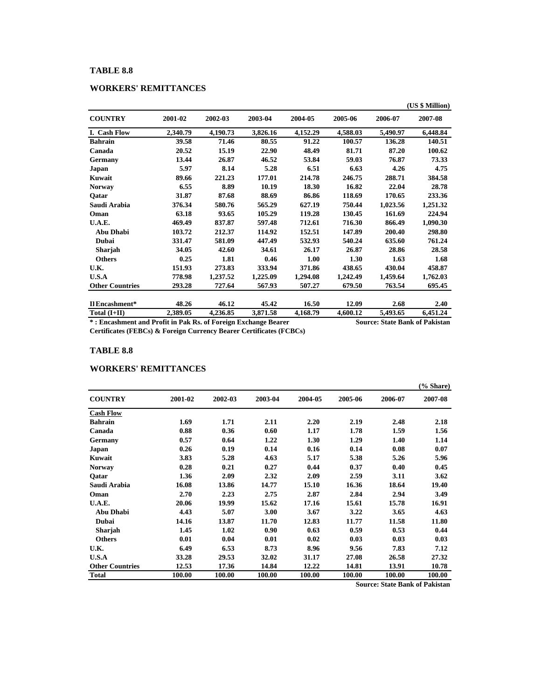### **WORKERS' REMITTANCES**

|                        |          |          |          |          |          |          | (US \$ Million) |
|------------------------|----------|----------|----------|----------|----------|----------|-----------------|
| <b>COUNTRY</b>         | 2001-02  | 2002-03  | 2003-04  | 2004-05  | 2005-06  | 2006-07  | 2007-08         |
| I. Cash Flow           | 2,340.79 | 4,190.73 | 3,826.16 | 4,152.29 | 4,588.03 | 5,490.97 | 6,448.84        |
| <b>Bahrain</b>         | 39.58    | 71.46    | 80.55    | 91.22    | 100.57   | 136.28   | 140.51          |
| Canada                 | 20.52    | 15.19    | 22.90    | 48.49    | 81.71    | 87.20    | 100.62          |
| <b>Germany</b>         | 13.44    | 26.87    | 46.52    | 53.84    | 59.03    | 76.87    | 73.33           |
| Japan                  | 5.97     | 8.14     | 5.28     | 6.51     | 6.63     | 4.26     | 4.75            |
| Kuwait                 | 89.66    | 221.23   | 177.01   | 214.78   | 246.75   | 288.71   | 384.58          |
| <b>Norway</b>          | 6.55     | 8.89     | 10.19    | 18.30    | 16.82    | 22.04    | 28.78           |
| Qatar                  | 31.87    | 87.68    | 88.69    | 86.86    | 118.69   | 170.65   | 233.36          |
| Saudi Arabia           | 376.34   | 580.76   | 565.29   | 627.19   | 750.44   | 1,023.56 | 1,251.32        |
| Oman                   | 63.18    | 93.65    | 105.29   | 119.28   | 130.45   | 161.69   | 224.94          |
| U.A.E.                 | 469.49   | 837.87   | 597.48   | 712.61   | 716.30   | 866.49   | 1,090.30        |
| <b>Abu Dhabi</b>       | 103.72   | 212.37   | 114.92   | 152.51   | 147.89   | 200.40   | 298.80          |
| Dubai                  | 331.47   | 581.09   | 447.49   | 532.93   | 540.24   | 635.60   | 761.24          |
| Sharjah                | 34.05    | 42.60    | 34.61    | 26.17    | 26.87    | 28.86    | 28.58           |
| <b>Others</b>          | 0.25     | 1.81     | 0.46     | 1.00     | 1.30     | 1.63     | 1.68            |
| U.K.                   | 151.93   | 273.83   | 333.94   | 371.86   | 438.65   | 430.04   | 458.87          |
| U.S.A                  | 778.98   | 1,237.52 | 1,225.09 | 1,294.08 | 1,242.49 | 1,459.64 | 1,762.03        |
| <b>Other Countries</b> | 293.28   | 727.64   | 567.93   | 507.27   | 679.50   | 763.54   | 695.45          |
| Il Encashment*         | 48.26    | 46.12    | 45.42    | 16.50    | 12.09    | 2.68     | 2.40            |
| Total $(I+II)$         | 2,389.05 | 4,236.85 | 3,871.58 | 4,168.79 | 4,600.12 | 5,493.65 | 6,451.24        |

**\* : Encashment and Profit in Pak Rs. of Foreign Exchange Bearer Source: State Bank of Pakistan**

**Certificates (FEBCs) & Foreign Currency Bearer Certificates (FCBCs)**

### **TABLE 8.8**

#### **WORKERS' REMITTANCES**

|                        |         |         |         |         |         |         | (% Share) |
|------------------------|---------|---------|---------|---------|---------|---------|-----------|
| <b>COUNTRY</b>         | 2001-02 | 2002-03 | 2003-04 | 2004-05 | 2005-06 | 2006-07 | 2007-08   |
| <b>Cash Flow</b>       |         |         |         |         |         |         |           |
| <b>Bahrain</b>         | 1.69    | 1.71    | 2.11    | 2.20    | 2.19    | 2.48    | 2.18      |
| Canada                 | 0.88    | 0.36    | 0.60    | 1.17    | 1.78    | 1.59    | 1.56      |
| Germany                | 0.57    | 0.64    | 1.22    | 1.30    | 1.29    | 1.40    | 1.14      |
| Japan                  | 0.26    | 0.19    | 0.14    | 0.16    | 0.14    | 0.08    | 0.07      |
| Kuwait                 | 3.83    | 5.28    | 4.63    | 5.17    | 5.38    | 5.26    | 5.96      |
| <b>Norway</b>          | 0.28    | 0.21    | 0.27    | 0.44    | 0.37    | 0.40    | 0.45      |
| Qatar                  | 1.36    | 2.09    | 2.32    | 2.09    | 2.59    | 3.11    | 3.62      |
| Saudi Arabia           | 16.08   | 13.86   | 14.77   | 15.10   | 16.36   | 18.64   | 19.40     |
| Oman                   | 2.70    | 2.23    | 2.75    | 2.87    | 2.84    | 2.94    | 3.49      |
| U.A.E.                 | 20.06   | 19.99   | 15.62   | 17.16   | 15.61   | 15.78   | 16.91     |
| <b>Abu Dhabi</b>       | 4.43    | 5.07    | 3.00    | 3.67    | 3.22    | 3.65    | 4.63      |
| Dubai                  | 14.16   | 13.87   | 11.70   | 12.83   | 11.77   | 11.58   | 11.80     |
| Sharjah                | 1.45    | 1.02    | 0.90    | 0.63    | 0.59    | 0.53    | 0.44      |
| <b>Others</b>          | 0.01    | 0.04    | 0.01    | 0.02    | 0.03    | 0.03    | 0.03      |
| U.K.                   | 6.49    | 6.53    | 8.73    | 8.96    | 9.56    | 7.83    | 7.12      |
| U.S.A                  | 33.28   | 29.53   | 32.02   | 31.17   | 27.08   | 26.58   | 27.32     |
| <b>Other Countries</b> | 12.53   | 17.36   | 14.84   | 12.22   | 14.81   | 13.91   | 10.78     |
| <b>Total</b>           | 100.00  | 100.00  | 100.00  | 100.00  | 100.00  | 100.00  | 100.00    |

**Source: State Bank of Pakistan**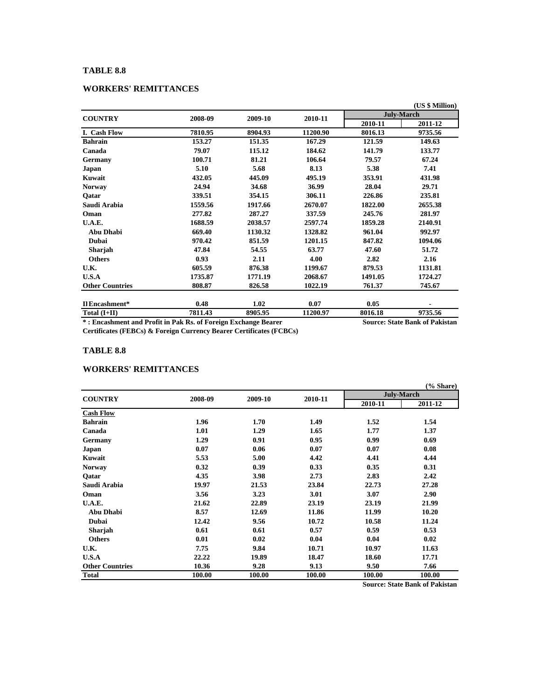### **WORKERS' REMITTANCES**

|                        |         |         |          |         | (US \$ Million)   |
|------------------------|---------|---------|----------|---------|-------------------|
| <b>COUNTRY</b>         | 2008-09 | 2009-10 | 2010-11  |         | <b>July-March</b> |
|                        |         |         |          | 2010-11 | 2011-12           |
| I. Cash Flow           | 7810.95 | 8904.93 | 11200.90 | 8016.13 | 9735.56           |
| <b>Bahrain</b>         | 153.27  | 151.35  | 167.29   | 121.59  | 149.63            |
| Canada                 | 79.07   | 115.12  | 184.62   | 141.79  | 133.77            |
| <b>Germany</b>         | 100.71  | 81.21   | 106.64   | 79.57   | 67.24             |
| Japan                  | 5.10    | 5.68    | 8.13     | 5.38    | 7.41              |
| Kuwait                 | 432.05  | 445.09  | 495.19   | 353.91  | 431.98            |
| <b>Norway</b>          | 24.94   | 34.68   | 36.99    | 28.04   | 29.71             |
| Qatar                  | 339.51  | 354.15  | 306.11   | 226.86  | 235.81            |
| Saudi Arabia           | 1559.56 | 1917.66 | 2670.07  | 1822.00 | 2655.38           |
| Oman                   | 277.82  | 287.27  | 337.59   | 245.76  | 281.97            |
| U.A.E.                 | 1688.59 | 2038.57 | 2597.74  | 1859.28 | 2140.91           |
| Abu Dhabi              | 669.40  | 1130.32 | 1328.82  | 961.04  | 992.97            |
| <b>Dubai</b>           | 970.42  | 851.59  | 1201.15  | 847.82  | 1094.06           |
| Sharjah                | 47.84   | 54.55   | 63.77    | 47.60   | 51.72             |
| <b>Others</b>          | 0.93    | 2.11    | 4.00     | 2.82    | 2.16              |
| U.K.                   | 605.59  | 876.38  | 1199.67  | 879.53  | 1131.81           |
| U.S.A                  | 1735.87 | 1771.19 | 2068.67  | 1491.05 | 1724.27           |
| <b>Other Countries</b> | 808.87  | 826.58  | 1022.19  | 761.37  | 745.67            |
| Il Encashment*         | 0.48    | 1.02    | 0.07     | 0.05    |                   |
| Total $(I+II)$         | 7811.43 | 8905.95 | 11200.97 | 8016.18 | 9735.56           |
|                        |         |         |          |         |                   |

**\* : Encashment and Profit in Pak Rs. of Foreign Exchange Bearer Source: State Bank of Pakistan**

**Certificates (FEBCs) & Foreign Currency Bearer Certificates (FCBCs)**

### **TABLE 8.8**

#### **WORKERS' REMITTANCES**

|                        |         |         |         |         | (% Share)         |
|------------------------|---------|---------|---------|---------|-------------------|
| <b>COUNTRY</b>         | 2008-09 | 2009-10 | 2010-11 |         | <b>July-March</b> |
|                        |         |         |         | 2010-11 | 2011-12           |
| <b>Cash Flow</b>       |         |         |         |         |                   |
| <b>Bahrain</b>         | 1.96    | 1.70    | 1.49    | 1.52    | 1.54              |
| Canada                 | 1.01    | 1.29    | 1.65    | 1.77    | 1.37              |
| Germany                | 1.29    | 0.91    | 0.95    | 0.99    | 0.69              |
| Japan                  | 0.07    | 0.06    | 0.07    | 0.07    | 0.08              |
| Kuwait                 | 5.53    | 5.00    | 4.42    | 4.41    | 4.44              |
| <b>Norway</b>          | 0.32    | 0.39    | 0.33    | 0.35    | 0.31              |
| Qatar                  | 4.35    | 3.98    | 2.73    | 2.83    | 2.42              |
| Saudi Arabia           | 19.97   | 21.53   | 23.84   | 22.73   | 27.28             |
| Oman                   | 3.56    | 3.23    | 3.01    | 3.07    | 2.90              |
| U.A.E.                 | 21.62   | 22.89   | 23.19   | 23.19   | 21.99             |
| <b>Abu Dhabi</b>       | 8.57    | 12.69   | 11.86   | 11.99   | 10.20             |
| <b>Dubai</b>           | 12.42   | 9.56    | 10.72   | 10.58   | 11.24             |
| <b>Sharjah</b>         | 0.61    | 0.61    | 0.57    | 0.59    | 0.53              |
| <b>Others</b>          | 0.01    | 0.02    | 0.04    | 0.04    | 0.02              |
| U.K.                   | 7.75    | 9.84    | 10.71   | 10.97   | 11.63             |
| U.S.A                  | 22.22   | 19.89   | 18.47   | 18.60   | 17.71             |
| <b>Other Countries</b> | 10.36   | 9.28    | 9.13    | 9.50    | 7.66              |
| <b>Total</b>           | 100.00  | 100.00  | 100.00  | 100.00  | 100.00            |

**Source: State Bank of Pakistan**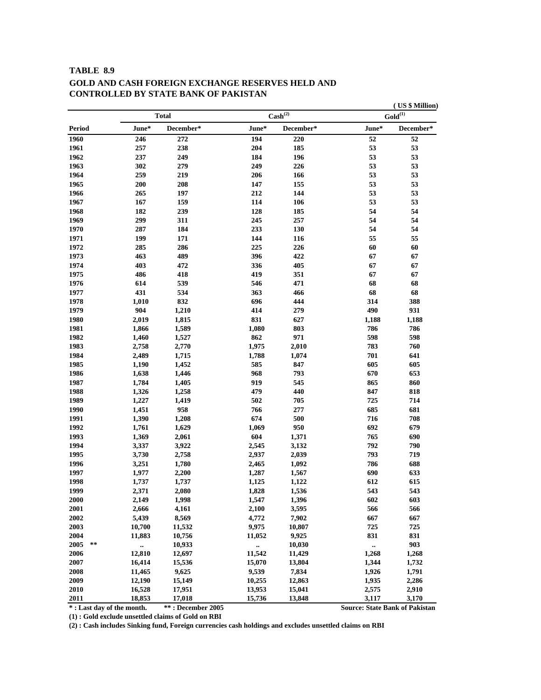### **TABLE 8.9 GOLD AND CASH FOREIGN EXCHANGE RESERVES HELD AND CONTROLLED BY STATE BANK OF PAKISTAN**

**\* : Last day of the month. \*\* : December 2005 Source: State Bank of Pakistan**

**( US \$ Million)**

**(1) : Gold exclude unsettled claims of Gold on RBI**

**(2) : Cash includes Sinking fund, Foreign currencies cash holdings and excludes unsettled claims on RBI**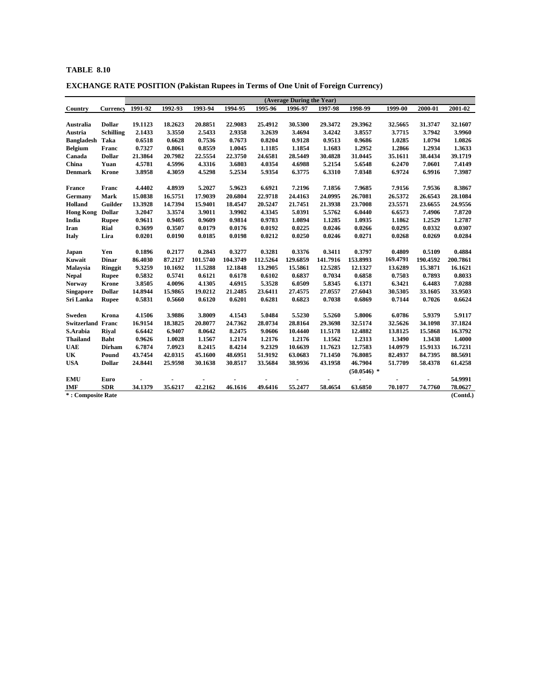**EXCHANGE RATE POSITION (Pakistan Rupees in Terms of One Unit of Foreign Currency)**

|                          |                  |                |                |          |          |          | (Average During the Year) |          |               |          |                |          |
|--------------------------|------------------|----------------|----------------|----------|----------|----------|---------------------------|----------|---------------|----------|----------------|----------|
| Country                  | Currency         | 1991-92        | 1992-93        | 1993-94  | 1994-95  | 1995-96  | 1996-97                   | 1997-98  | 1998-99       | 1999-00  | 2000-01        | 2001-02  |
|                          |                  |                |                |          |          |          |                           |          |               |          |                |          |
| Australia                | <b>Dollar</b>    | 19.1123        | 18.2623        | 20.8851  | 22.9083  | 25.4912  | 30.5300                   | 29.3472  | 29.3962       | 32.5665  | 31.3747        | 32.1607  |
| Austria                  | <b>Schilling</b> | 2.1433         | 3.3550         | 2.5433   | 2.9358   | 3.2639   | 3.4694                    | 3.4242   | 3.8557        | 3.7715   | 3.7942         | 3.9960   |
| <b>Bangladesh</b>        | Taka             | 0.6518         | 0.6628         | 0.7536   | 0.7673   | 0.8204   | 0.9128                    | 0.9513   | 0.9686        | 1.0285   | 1.0794         | 1.0826   |
| <b>Belgium</b>           | Franc            | 0.7327         | 0.8061         | 0.8559   | 1.0045   | 1.1185   | 1.1854                    | 1.1683   | 1.2952        | 1.2866   | 1.2934         | 1.3633   |
| Canada                   | <b>Dollar</b>    | 21.3864        | 20.7982        | 22.5554  | 22.3750  | 24.6581  | 28.5449                   | 30.4828  | 31.0445       | 35.1611  | 38.4434        | 39.1719  |
| China                    | Yuan             | 4.5781         | 4.5996         | 4.3316   | 3.6803   | 4.0354   | 4.6988                    | 5.2154   | 5.6548        | 6.2470   | 7.0601         | 7.4149   |
| <b>Denmark</b>           | <b>Krone</b>     | 3.8958         | 4.3059         | 4.5298   | 5.2534   | 5.9354   | 6.3775                    | 6.3310   | 7.0348        | 6.9724   | 6.9916         | 7.3987   |
|                          |                  |                |                |          |          |          |                           |          |               |          |                |          |
| <b>France</b>            | Franc            | 4.4402         | 4.8939         | 5.2027   | 5.9623   | 6.6921   | 7.2196                    | 7.1856   | 7.9685        | 7.9156   | 7.9536         | 8.3867   |
| <b>Germany</b>           | <b>Mark</b>      | 15.0838        | 16.5751        | 17.9039  | 20.6804  | 22.9718  | 24.4163                   | 24.0995  | 26.7081       | 26.5372  | 26.6543        | 28.1084  |
| Holland                  | Guilder          | 13.3928        | 14.7394        | 15.9401  | 18.4547  | 20.5247  | 21.7451                   | 21.3938  | 23.7008       | 23.5571  | 23.6655        | 24.9556  |
| <b>Hong Kong</b>         | <b>Dollar</b>    | 3.2047         | 3.3574         | 3.9011   | 3.9902   | 4.3345   | 5.0391                    | 5.5762   | 6.0440        | 6.6573   | 7.4906         | 7.8720   |
| India                    | <b>Rupee</b>     | 0.9611         | 0.9405         | 0.9609   | 0.9814   | 0.9783   | 1.0894                    | 1.1285   | 1.0935        | 1.1862   | 1.2529         | 1.2787   |
| Iran                     | Rial             | 0.3699         | 0.3507         | 0.0179   | 0.0176   | 0.0192   | 0.0225                    | 0.0246   | 0.0266        | 0.0295   | 0.0332         | 0.0307   |
| <b>Italy</b>             | Lira             | 0.0201         | 0.0190         | 0.0185   | 0.0198   | 0.0212   | 0.0250                    | 0.0246   | 0.0271        | 0.0268   | 0.0269         | 0.0284   |
|                          |                  |                |                |          |          |          |                           |          |               |          |                |          |
| Japan                    | Yen              | 0.1896         | 0.2177         | 0.2843   | 0.3277   | 0.3281   | 0.3376                    | 0.3411   | 0.3797        | 0.4809   | 0.5109         | 0.4884   |
| Kuwait                   | <b>Dinar</b>     | 86.4030        | 87.2127        | 101.5740 | 104.3749 | 112.5264 | 129.6859                  | 141.7916 | 153.8993      | 169.4791 | 190.4592       | 200.7861 |
| <b>Malaysia</b>          | Ringgit          | 9.3259         | 10.1692        | 11.5288  | 12.1848  | 13.2905  | 15.5861                   | 12.5285  | 12.1327       | 13.6289  | 15.3871        | 16.1621  |
| <b>Nepal</b>             | <b>Rupee</b>     | 0.5832         | 0.5741         | 0.6121   | 0.6178   | 0.6102   | 0.6837                    | 0.7034   | 0.6858        | 0.7503   | 0.7893         | 0.8033   |
| <b>Norway</b>            | <b>Krone</b>     | 3.8505         | 4.0096         | 4.1305   | 4.6915   | 5.3528   | 6.0509                    | 5.8345   | 6.1371        | 6.3421   | 6.4483         | 7.0288   |
| <b>Singapore</b>         | <b>Dollar</b>    | 14.8944        | 15.9865        | 19.0212  | 21.2485  | 23.6411  | 27.4575                   | 27.0557  | 27.6043       | 30.5305  | 33.1605        | 33.9503  |
| Sri Lanka                | <b>Rupee</b>     | 0.5831         | 0.5660         | 0.6120   | 0.6201   | 0.6281   | 0.6823                    | 0.7038   | 0.6869        | 0.7144   | 0.7026         | 0.6624   |
|                          |                  |                |                |          |          |          |                           |          |               |          |                |          |
| Sweden                   | Krona            | 4.1506         | 3.9886         | 3.8009   | 4.1543   | 5.0484   | 5.5230                    | 5.5260   | 5.8006        | 6.0786   | 5.9379         | 5.9117   |
| <b>Switzerland Franc</b> |                  | 16.9154        | 18.3825        | 20.8077  | 24.7362  | 28.0734  | 28.8164                   | 29.3698  | 32.5174       | 32.5626  | 34.1098        | 37.1824  |
| S.Arabia                 | <b>Riyal</b>     | 6.6442         | 6.9407         | 8.0642   | 8.2475   | 9.0606   | 10.4440                   | 11.5178  | 12.4882       | 13.8125  | 15.5868        | 16.3792  |
| <b>Thailand</b>          | <b>Baht</b>      | 0.9626         | 1.0028         | 1.1567   | 1.2174   | 1.2176   | 1.2176                    | 1.1562   | 1.2313        | 1.3490   | 1.3438         | 1.4000   |
| <b>UAE</b>               | <b>Dirham</b>    | 6.7874         | 7.0923         | 8.2415   | 8.4214   | 9.2329   | 10.6639                   | 11.7623  | 12.7583       | 14.0979  | 15.9133        | 16.7231  |
| UK                       | Pound            | 43.7454        | 42.0315        | 45.1600  | 48.6951  | 51.9192  | 63.0683                   | 71.1450  | 76.8085       | 82.4937  | 84.7395        | 88.5691  |
| <b>USA</b>               | <b>Dollar</b>    | 24.8441        | 25.9598        | 30.1638  | 30.8517  | 33.5684  | 38.9936                   | 43.1958  | 46.7904       | 51.7709  | 58.4378        | 61.4258  |
|                          |                  |                |                |          |          |          |                           |          | $(50.0546)$ * |          |                |          |
| <b>EMU</b>               | Euro             | $\blacksquare$ | $\blacksquare$ |          |          |          | $\overline{a}$            |          |               |          | $\overline{a}$ | 54.9991  |
| <b>IMF</b>               | <b>SDR</b>       | 34.1379        | 35.6217        | 42.2162  | 46.1616  | 49.6416  | 55.2477                   | 58.4654  | 63.6850       | 70.1077  | 74.7760        | 78.0627  |
| *: Composite Rate        |                  |                |                |          |          |          |                           |          |               |          |                | (Contd.) |